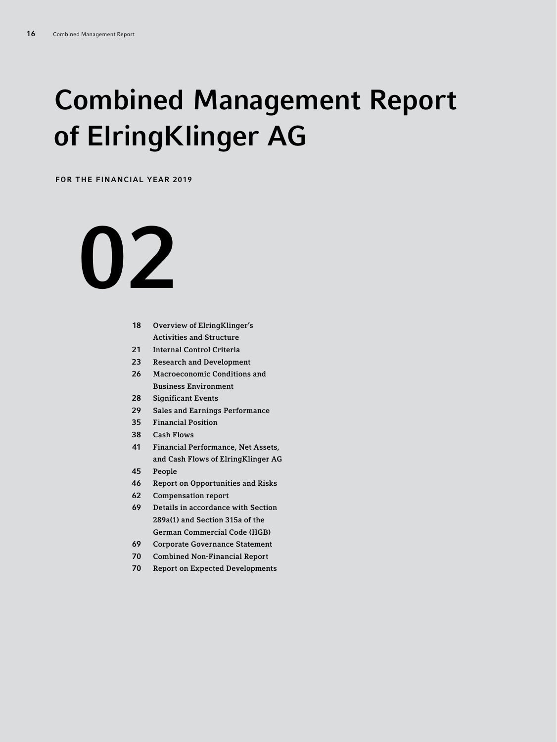# Combined Management Report of ElringKlinger AG

FOR THE FINANCIAL YEAR 2019

# 

- Overview of ElringKlinger's Activities and Structure
- Internal Control Criteria
- Research and Development
- Macroeconomic Conditions and Business Environment
- Significant Events
- Sales and Earnings Performance
- Financial Position
- Cash Flows
- Financial Performance, Net Assets, and Cash Flows of ElringKlinger AG
- People
- Report on Opportunities and Risks
- Compensation report
- Details in accordance with Section 289a(1) and Section 315a of the German Commercial Code (HGB)
- Corporate Governance Statement
- Combined Non-Financial Report
- Report on Expected Developments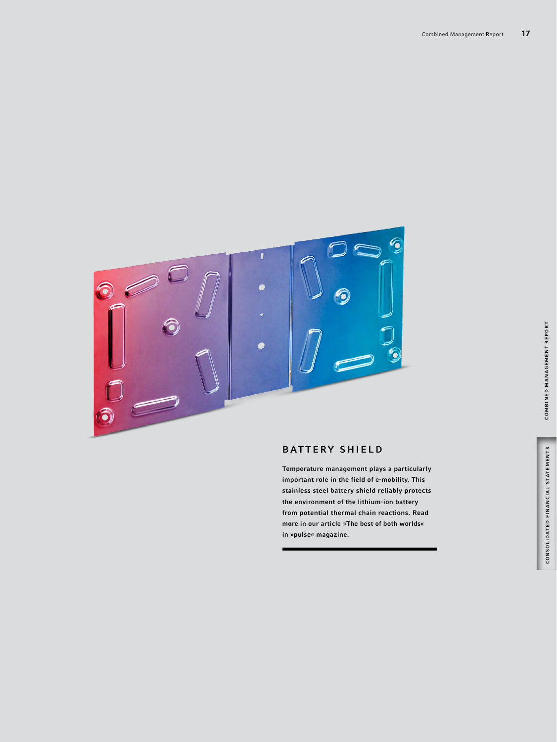

# **BATTERY SHIELD**

Temperature management plays a particularly important role in the field of e-mobility. This stainless steel battery shield reliably protects the environment of the lithium-ion battery from potential thermal chain reactions. Read more in our article »The best of both worlds« in »pulse« magazine.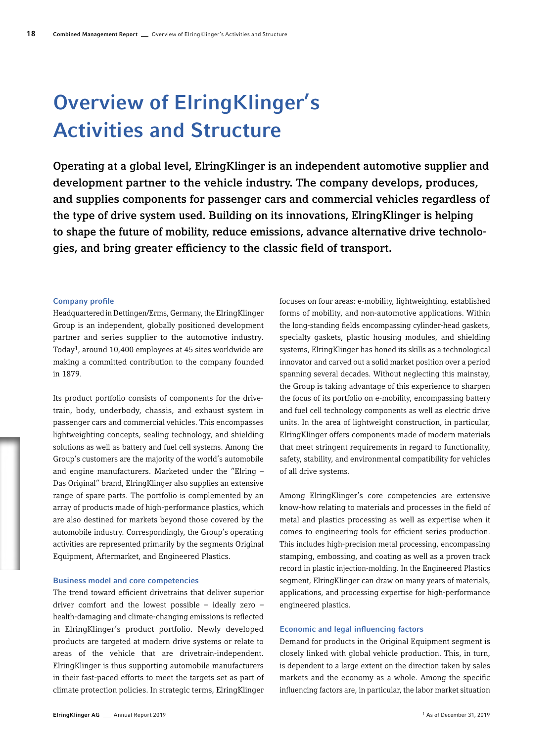# Overview of ElringKlinger's Activities and Structure

Operating at a global level, ElringKlinger is an independent automotive supplier and development partner to the vehicle industry. The company develops, produces, and supplies components for passenger cars and commercial vehicles regardless of the type of drive system used. Building on its innovations, ElringKlinger is helping to shape the future of mobility, reduce emissions, advance alternative drive technologies, and bring greater efficiency to the classic field of transport.

#### Company profile

Headquartered in Dettingen/Erms, Germany, the ElringKlinger Group is an independent, globally positioned development partner and series supplier to the automotive industry. Today1, around 10,400 employees at 45 sites worldwide are making a committed contribution to the company founded in 1879.

Its product portfolio consists of components for the drivetrain, body, underbody, chassis, and exhaust system in passenger cars and commercial vehicles. This encompasses lightweighting concepts, sealing technology, and shielding solutions as well as battery and fuel cell systems. Among the Group's customers are the majority of the world's automobile and engine manufacturers. Marketed under the "Elring – Das Original" brand, ElringKlinger also supplies an extensive range of spare parts. The portfolio is complemented by an array of products made of high-performance plastics, which are also destined for markets beyond those covered by the automobile industry. Correspondingly, the Group's operating activities are represented primarily by the segments Original Equipment, Aftermarket, and Engineered Plastics.

#### Business model and core competencies

The trend toward efficient drivetrains that deliver superior driver comfort and the lowest possible – ideally zero – health-damaging and climate-changing emissions is reflected in ElringKlinger's product portfolio. Newly developed products are targeted at modern drive systems or relate to areas of the vehicle that are drivetrain-independent. ElringKlinger is thus supporting automobile manufacturers in their fast-paced efforts to meet the targets set as part of climate protection policies. In strategic terms, ElringKlinger

focuses on four areas: e-mobility, lightweighting, established forms of mobility, and non-automotive applications. Within the long-standing fields encompassing cylinder-head gaskets, specialty gaskets, plastic housing modules, and shielding systems, ElringKlinger has honed its skills as a technological innovator and carved out a solid market position over a period spanning several decades. Without neglecting this mainstay, the Group is taking advantage of this experience to sharpen the focus of its portfolio on e-mobility, encompassing battery and fuel cell technology components as well as electric drive units. In the area of lightweight construction, in particular, ElringKlinger offers components made of modern materials that meet stringent requirements in regard to functionality, safety, stability, and environmental compatibility for vehicles of all drive systems.

Among ElringKlinger's core competencies are extensive know-how relating to materials and processes in the field of metal and plastics processing as well as expertise when it comes to engineering tools for efficient series production. This includes high-precision metal processing, encompassing stamping, embossing, and coating as well as a proven track record in plastic injection-molding. In the Engineered Plastics segment, ElringKlinger can draw on many years of materials, applications, and processing expertise for high-performance engineered plastics.

## Economic and legal influencing factors

Demand for products in the Original Equipment segment is closely linked with global vehicle production. This, in turn, is dependent to a large extent on the direction taken by sales markets and the economy as a whole. Among the specific influencing factors are, in particular, the labor market situation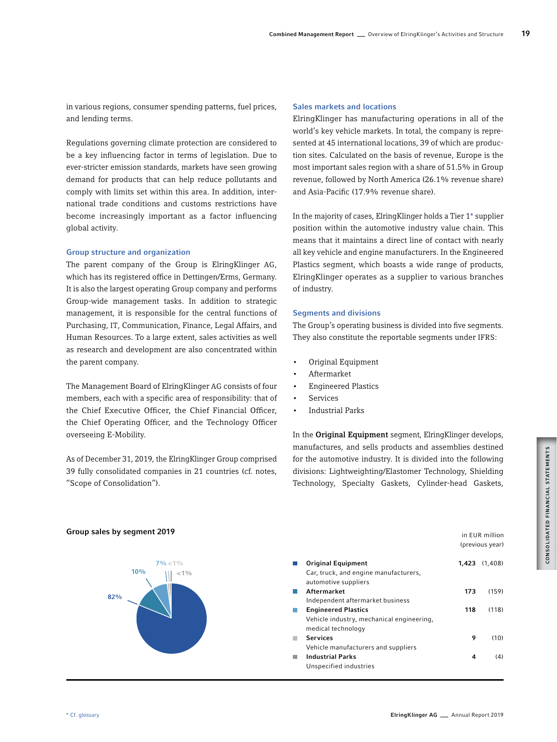in various regions, consumer spending patterns, fuel prices, and lending terms.

Regulations governing climate protection are considered to be a key influencing factor in terms of legislation. Due to ever-stricter emission standards, markets have seen growing demand for products that can help reduce pollutants and comply with limits set within this area. In addition, international trade conditions and customs restrictions have become increasingly important as a factor influencing global activity.

# Group structure and organization

The parent company of the Group is ElringKlinger AG, which has its registered office in Dettingen/Erms, Germany. It is also the largest operating Group company and performs Group-wide management tasks. In addition to strategic management, it is responsible for the central functions of Purchasing, IT, Communication, Finance, Legal Affairs, and Human Resources. To a large extent, sales activities as well as research and development are also concentrated within the parent company.

The Management Board of ElringKlinger AG consists of four members, each with a specific area of responsibility: that of the Chief Executive Officer, the Chief Financial Officer, the Chief Operating Officer, and the Technology Officer overseeing E-Mobility.

As of December 31, 2019, the ElringKlinger Group comprised 39 fully consolidated companies in 21 countries (cf. notes, "Scope of Consolidation").

# Sales markets and locations

ElringKlinger has manufacturing operations in all of the world's key vehicle markets. In total, the company is represented at 45 international locations, 39 of which are production sites. Calculated on the basis of revenue, Europe is the most important sales region with a share of 51.5% in Group revenue, followed by North America (26.1% revenue share) and Asia-Pacific (17.9% revenue share).

In the majority of cases, ElringKlinger holds a Tier 1\* supplier position within the automotive industry value chain. This means that it maintains a direct line of contact with nearly all key vehicle and engine manufacturers. In the Engineered Plastics segment, which boasts a wide range of products, ElringKlinger operates as a supplier to various branches of industry.

#### Segments and divisions

The Group's operating business is divided into five segments. They also constitute the reportable segments under IFRS:

- Original Equipment
- Aftermarket
- Engineered Plastics
- **Services**
- Industrial Parks

In the **Original Equipment** segment, ElringKlinger develops, manufactures, and sells products and assemblies destined for the automotive industry. It is divided into the following divisions: Lightweighting/Elastomer Technology, Shielding Technology, Specialty Gaskets, Cylinder-head Gaskets,

in EUR million (previous year)



# Group sales by segment 2019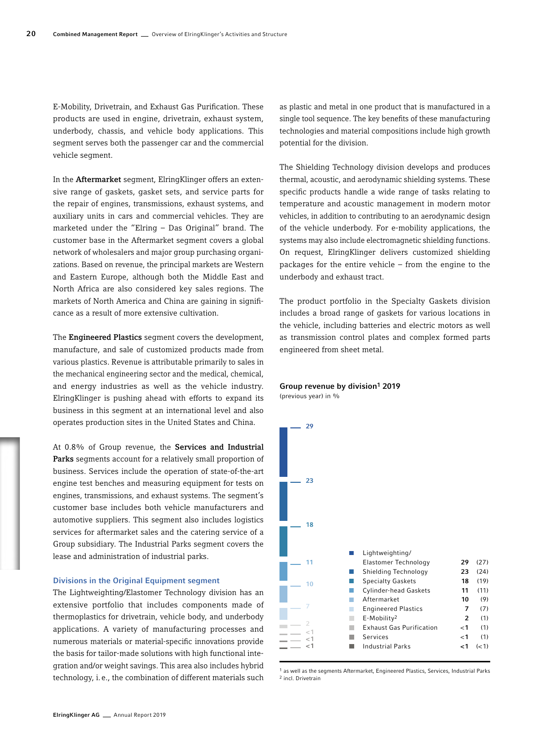E-Mobility, Drivetrain, and Exhaust Gas Purification. These products are used in engine, drivetrain, exhaust system, underbody, chassis, and vehicle body applications. This segment serves both the passenger car and the commercial vehicle segment.

In the Aftermarket segment, ElringKlinger offers an extensive range of gaskets, gasket sets, and service parts for the repair of engines, transmissions, exhaust systems, and auxiliary units in cars and commercial vehicles. They are marketed under the "Elring – Das Original" brand. The customer base in the Aftermarket segment covers a global network of wholesalers and major group purchasing organizations. Based on revenue, the principal markets are Western and Eastern Europe, although both the Middle East and North Africa are also considered key sales regions. The markets of North America and China are gaining in significance as a result of more extensive cultivation.

The Engineered Plastics segment covers the development, manufacture, and sale of customized products made from various plastics. Revenue is attributable primarily to sales in the mechanical engineering sector and the medical, chemical, and energy industries as well as the vehicle industry. ElringKlinger is pushing ahead with efforts to expand its business in this segment at an international level and also operates production sites in the United States and China.

At 0.8% of Group revenue, the Services and Industrial Parks segments account for a relatively small proportion of business. Services include the operation of state-of-the-art engine test benches and measuring equipment for tests on engines, transmissions, and exhaust systems. The segment's customer base includes both vehicle manufacturers and automotive suppliers. This segment also includes logistics services for aftermarket sales and the catering service of a Group subsidiary. The Industrial Parks segment covers the lease and administration of industrial parks.

# Divisions in the Original Equipment segment

The Lightweighting/Elastomer Technology division has an extensive portfolio that includes components made of thermoplastics for drivetrain, vehicle body, and underbody applications. A variety of manufacturing processes and numerous materials or material-specific innovations provide the basis for tailor-made solutions with high functional integration and/or weight savings. This area also includes hybrid technology, i.e., the combination of different materials such

as plastic and metal in one product that is manufactured in a single tool sequence. The key benefits of these manufacturing technologies and material compositions include high growth potential for the division.

The Shielding Technology division develops and produces thermal, acoustic, and aerodynamic shielding systems. These specific products handle a wide range of tasks relating to temperature and acoustic management in modern motor vehicles, in addition to contributing to an aerodynamic design of the vehicle underbody. For e-mobility applications, the systems may also include electromagnetic shielding functions. On request, ElringKlinger delivers customized shielding packages for the entire vehicle – from the engine to the underbody and exhaust tract.

The product portfolio in the Specialty Gaskets division includes a broad range of gaskets for various locations in the vehicle, including batteries and electric motors as well as transmission control plates and complex formed parts engineered from sheet metal.

# Group revenue by division<sup>1</sup> 2019

(previous year) in %



1 as well as the segments Aftermarket, Engineered Plastics, Services, Industrial Parks 2 incl. Drivetrain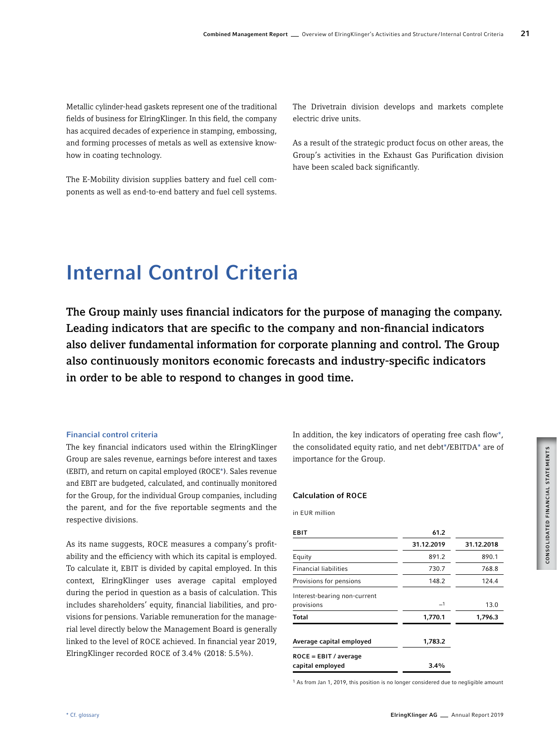Metallic cylinder-head gaskets represent one of the traditional fields of business for ElringKlinger. In this field, the company has acquired decades of experience in stamping, embossing, and forming processes of metals as well as extensive knowhow in coating technology.

The E-Mobility division supplies battery and fuel cell components as well as end-to-end battery and fuel cell systems.

The Drivetrain division develops and markets complete electric drive units.

As a result of the strategic product focus on other areas, the Group's activities in the Exhaust Gas Purification division have been scaled back significantly.

# Internal Control Criteria

The Group mainly uses financial indicators for the purpose of managing the company. Leading indicators that are specific to the company and non-financial indicators also deliver fundamental information for corporate planning and control. The Group also continuously monitors economic forecasts and industry-specific indicators in order to be able to respond to changes in good time.

## Financial control criteria

The key financial indicators used within the ElringKlinger Group are sales revenue, earnings before interest and taxes (EBIT), and return on capital employed (ROCE\*). Sales revenue and EBIT are budgeted, calculated, and continually monitored for the Group, for the individual Group companies, including the parent, and for the five reportable segments and the respective divisions.

As its name suggests, ROCE measures a company's profitability and the efficiency with which its capital is employed. To calculate it, EBIT is divided by capital employed. In this context, ElringKlinger uses average capital employed during the period in question as a basis of calculation. This includes shareholders' equity, financial liabilities, and provisions for pensions. Variable remuneration for the managerial level directly below the Management Board is generally linked to the level of ROCE achieved. In financial year 2019, ElringKlinger recorded ROCE of 3.4% (2018: 5.5%).

In addition, the key indicators of operating free cash flow\*, the consolidated equity ratio, and net debt\*/EBITDA\* are of importance for the Group.

#### Calculation of ROCE

in EUR million

| <b>EBIT</b>                                 | 61.2       |            |
|---------------------------------------------|------------|------------|
|                                             | 31.12.2019 | 31.12.2018 |
| Equity                                      | 891.2      | 890.1      |
| <b>Financial liabilities</b>                | 730.7      | 768.8      |
| Provisions for pensions                     | 148.2      | 124.4      |
| Interest-bearing non-current<br>provisions  | $-1$       | 13.0       |
| Total                                       | 1,770.1    | 1,796.3    |
| Average capital employed                    | 1,783.2    |            |
| $ROCE = EBIT / average$<br>capital employed | $3.4\%$    |            |
|                                             |            |            |

1 As from Jan 1, 2019, this position is no longer considered due to negligible amount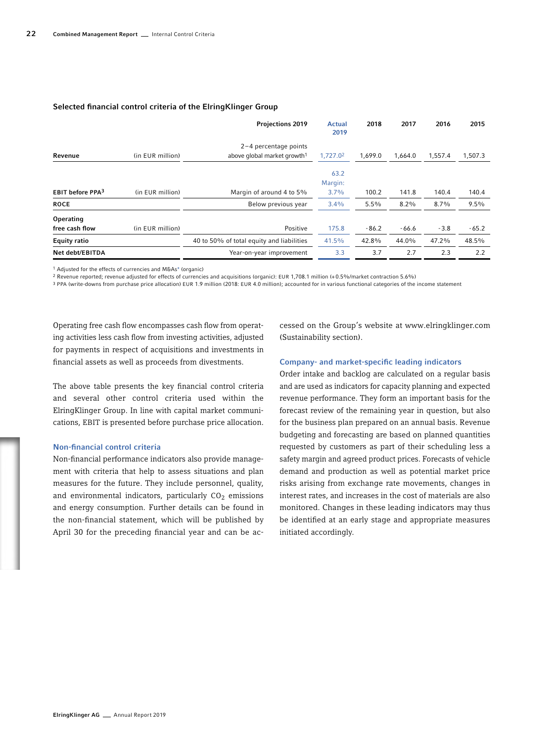|                              |                  | <b>Projections 2019</b>                   | <b>Actual</b><br>2019 | 2018    | 2017    | 2016    | 2015    |
|------------------------------|------------------|-------------------------------------------|-----------------------|---------|---------|---------|---------|
|                              |                  | $2-4$ percentage points                   |                       |         |         |         |         |
| Revenue                      | (in EUR million) | above global market growth <sup>1</sup>   | 1,727.02              | 1,699.0 | 1,664.0 | 1,557.4 | 1,507.3 |
|                              |                  |                                           | 63.2<br>Margin:       |         |         |         |         |
| EBIT before PPA <sup>3</sup> | (in EUR million) | Margin of around 4 to 5%                  | 3.7%                  | 100.2   | 141.8   | 140.4   | 140.4   |
| <b>ROCE</b>                  |                  | Below previous year                       | 3.4%                  | 5.5%    | $8.2\%$ | 8.7%    | $9.5\%$ |
| Operating                    |                  |                                           |                       |         |         |         |         |
| free cash flow               | (in EUR million) | Positive                                  | 175.8                 | $-86.2$ | $-66.6$ | $-3.8$  | $-65.2$ |
| <b>Equity ratio</b>          |                  | 40 to 50% of total equity and liabilities | 41.5%                 | 42.8%   | 44.0%   | 47.2%   | 48.5%   |
| Net debt/EBITDA              |                  | Year-on-year improvement                  | 3.3                   | 3.7     | 2.7     | 2.3     | 2.2     |

# Selected financial control criteria of the ElringKlinger Group

1 Adjusted for the effects of currencies and M&As\* (organic)

2 Revenue reported; revenue adjusted for effects of currencies and acquisitions (organic): EUR 1,708.1 million (+0.5%/market contraction 5.6%)

3 PPA (write-downs from purchase price allocation) EUR 1.9 million (2018: EUR 4.0 million); accounted for in various functional categories of the income statement

Operating free cash flow encompasses cash flow from operating activities less cash flow from investing activities, adjusted for payments in respect of acquisitions and investments in financial assets as well as proceeds from divestments.

The above table presents the key financial control criteria and several other control criteria used within the ElringKlinger Group. In line with capital market communications, EBIT is presented before purchase price allocation.

# Non-financial control criteria

Non-financial performance indicators also provide management with criteria that help to assess situations and plan measures for the future. They include personnel, quality, and environmental indicators, particularly  $CO<sub>2</sub>$  emissions and energy consumption. Further details can be found in the non-financial statement, which will be published by April 30 for the preceding financial year and can be accessed on the Group's website at www.elringklinger.com (Sustainability section).

# Company- and market-specific leading indicators

Order intake and backlog are calculated on a regular basis and are used as indicators for capacity planning and expected revenue performance. They form an important basis for the forecast review of the remaining year in question, but also for the business plan prepared on an annual basis. Revenue budgeting and forecasting are based on planned quantities requested by customers as part of their scheduling less a safety margin and agreed product prices. Forecasts of vehicle demand and production as well as potential market price risks arising from exchange rate movements, changes in interest rates, and increases in the cost of materials are also monitored. Changes in these leading indicators may thus be identified at an early stage and appropriate measures initiated accordingly.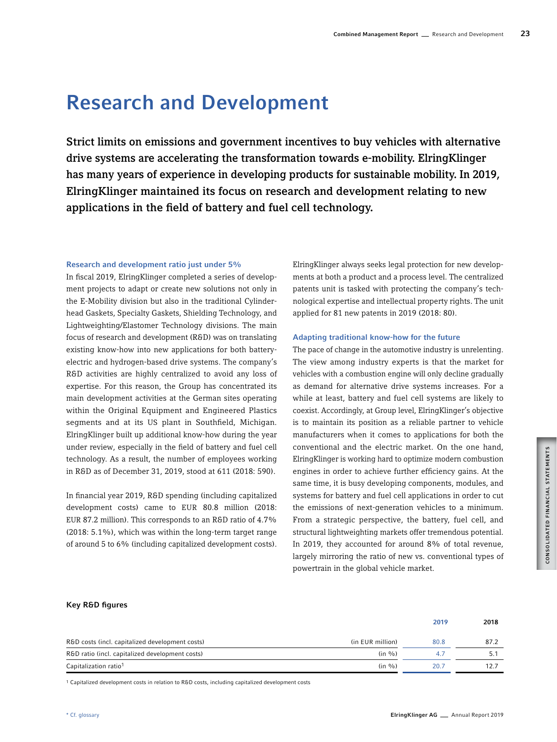# Research and Development

Strict limits on emissions and government incentives to buy vehicles with alternative drive systems are accelerating the transformation towards e-mobility. ElringKlinger has many years of experience in developing products for sustainable mobility. In 2019, ElringKlinger maintained its focus on research and development relating to new applications in the field of battery and fuel cell technology.

# Research and development ratio just under 5%

In fiscal 2019, ElringKlinger completed a series of development projects to adapt or create new solutions not only in the E-Mobility division but also in the traditional Cylinderhead Gaskets, Specialty Gaskets, Shielding Technology, and Lightweighting/Elastomer Technology divisions. The main focus of research and development (R&D) was on translating existing know-how into new applications for both batteryelectric and hydrogen-based drive systems. The company's R&D activities are highly centralized to avoid any loss of expertise. For this reason, the Group has concentrated its main development activities at the German sites operating within the Original Equipment and Engineered Plastics segments and at its US plant in Southfield, Michigan. ElringKlinger built up additional know-how during the year under review, especially in the field of battery and fuel cell technology. As a result, the number of employees working in R&D as of December 31, 2019, stood at 611 (2018: 590).

In financial year 2019, R&D spending (including capitalized development costs) came to EUR 80.8 million (2018: EUR 87.2 million). This corresponds to an R&D ratio of 4.7% (2018: 5.1%), which was within the long-term target range of around 5 to 6% (including capitalized development costs).

ElringKlinger always seeks legal protection for new developments at both a product and a process level. The centralized patents unit is tasked with protecting the company's technological expertise and intellectual property rights. The unit applied for 81 new patents in 2019 (2018: 80).

# Adapting traditional know-how for the future

The pace of change in the automotive industry is unrelenting. The view among industry experts is that the market for vehicles with a combustion engine will only decline gradually as demand for alternative drive systems increases. For a while at least, battery and fuel cell systems are likely to coexist. Accordingly, at Group level, ElringKlinger's objective is to maintain its position as a reliable partner to vehicle manufacturers when it comes to applications for both the conventional and the electric market. On the one hand, ElringKlinger is working hard to optimize modern combustion engines in order to achieve further efficiency gains. At the same time, it is busy developing components, modules, and systems for battery and fuel cell applications in order to cut the emissions of next-generation vehicles to a minimum. From a strategic perspective, the battery, fuel cell, and structural lightweighting markets offer tremendous potential. In 2019, they accounted for around 8% of total revenue, largely mirroring the ratio of new vs. conventional types of powertrain in the global vehicle market.

# Key R&D figures

|                                                 |                  | 2019 | 2018 |
|-------------------------------------------------|------------------|------|------|
| R&D costs (incl. capitalized development costs) | (in EUR million) | 80.8 | 87.2 |
| R&D ratio (incl. capitalized development costs) | $(in \%)$        |      |      |
| Capitalization ratio <sup>1</sup>               | $(in \%)$        | 20.7 | 12.7 |

1 Capitalized development costs in relation to R&D costs, including capitalized development costs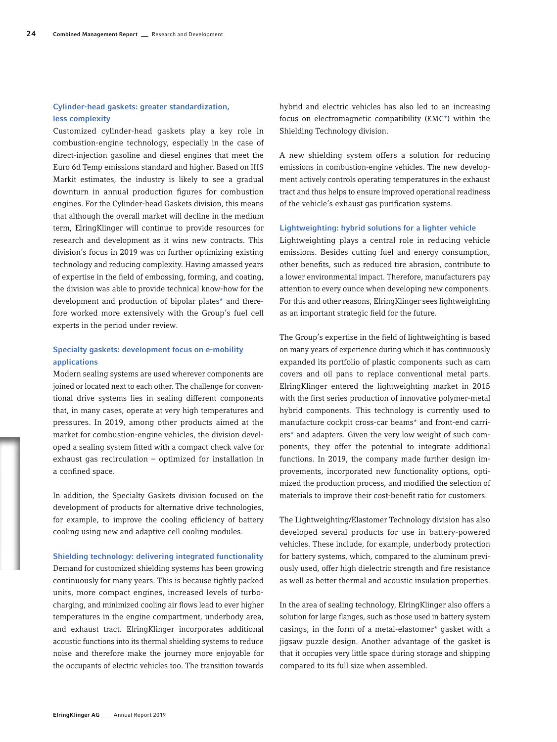# Cylinder-head gaskets: greater standardization, less complexity

Customized cylinder-head gaskets play a key role in combustion-engine technology, especially in the case of direct-injection gasoline and diesel engines that meet the Euro 6d Temp emissions standard and higher. Based on IHS Markit estimates, the industry is likely to see a gradual downturn in annual production figures for combustion engines. For the Cylinder-head Gaskets division, this means that although the overall market will decline in the medium term, ElringKlinger will continue to provide resources for research and development as it wins new contracts. This division's focus in 2019 was on further optimizing existing technology and reducing complexity. Having amassed years of expertise in the field of embossing, forming, and coating, the division was able to provide technical know-how for the development and production of bipolar plates\* and therefore worked more extensively with the Group's fuel cell experts in the period under review.

# Specialty gaskets: development focus on e-mobility applications

Modern sealing systems are used wherever components are joined or located next to each other. The challenge for conventional drive systems lies in sealing different components that, in many cases, operate at very high temperatures and pressures. In 2019, among other products aimed at the market for combustion-engine vehicles, the division developed a sealing system fitted with a compact check valve for exhaust gas recirculation – optimized for installation in a confined space.

In addition, the Specialty Gaskets division focused on the development of products for alternative drive technologies, for example, to improve the cooling efficiency of battery cooling using new and adaptive cell cooling modules.

# Shielding technology: delivering integrated functionality

Demand for customized shielding systems has been growing continuously for many years. This is because tightly packed units, more compact engines, increased levels of turbocharging, and minimized cooling air flows lead to ever higher temperatures in the engine compartment, underbody area, and exhaust tract. ElringKlinger incorporates additional acoustic functions into its thermal shielding systems to reduce noise and therefore make the journey more enjoyable for the occupants of electric vehicles too. The transition towards

hybrid and electric vehicles has also led to an increasing focus on electromagnetic compatibility (EMC\*) within the Shielding Technology division.

A new shielding system offers a solution for reducing emissions in combustion-engine vehicles. The new development actively controls operating temperatures in the exhaust tract and thus helps to ensure improved operational readiness of the vehicle's exhaust gas purification systems.

## Lightweighting: hybrid solutions for a lighter vehicle

Lightweighting plays a central role in reducing vehicle emissions. Besides cutting fuel and energy consumption, other benefits, such as reduced tire abrasion, contribute to a lower environmental impact. Therefore, manufacturers pay attention to every ounce when developing new components. For this and other reasons, ElringKlinger sees lightweighting as an important strategic field for the future.

The Group's expertise in the field of lightweighting is based on many years of experience during which it has continuously expanded its portfolio of plastic components such as cam covers and oil pans to replace conventional metal parts. ElringKlinger entered the lightweighting market in 2015 with the first series production of innovative polymer-metal hybrid components. This technology is currently used to manufacture cockpit cross-car beams\* and front-end carriers\* and adapters. Given the very low weight of such components, they offer the potential to integrate additional functions. In 2019, the company made further design improvements, incorporated new functionality options, optimized the production process, and modified the selection of materials to improve their cost-benefit ratio for customers.

The Lightweighting/Elastomer Technology division has also developed several products for use in battery-powered vehicles. These include, for example, underbody protection for battery systems, which, compared to the aluminum previously used, offer high dielectric strength and fire resistance as well as better thermal and acoustic insulation properties.

In the area of sealing technology, ElringKlinger also offers a solution for large flanges, such as those used in battery system casings, in the form of a metal-elastomer\* gasket with a jigsaw puzzle design. Another advantage of the gasket is that it occupies very little space during storage and shipping compared to its full size when assembled.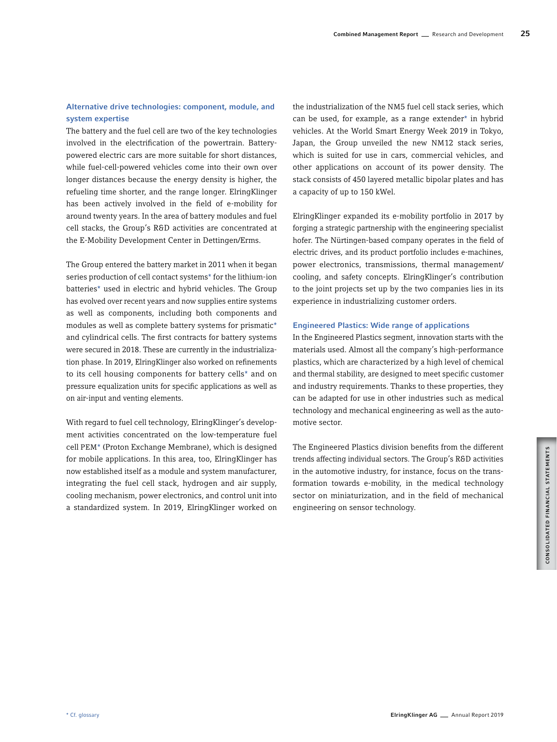# Alternative drive technologies: component, module, and system expertise

The battery and the fuel cell are two of the key technologies involved in the electrification of the powertrain. Batterypowered electric cars are more suitable for short distances, while fuel-cell-powered vehicles come into their own over longer distances because the energy density is higher, the refueling time shorter, and the range longer. ElringKlinger has been actively involved in the field of e-mobility for around twenty years. In the area of battery modules and fuel cell stacks, the Group's R&D activities are concentrated at the E-Mobility Development Center in Dettingen/Erms.

The Group entered the battery market in 2011 when it began series production of cell contact systems\* for the lithium-ion batteries\* used in electric and hybrid vehicles. The Group has evolved over recent years and now supplies entire systems as well as components, including both components and modules as well as complete battery systems for prismatic\* and cylindrical cells. The first contracts for battery systems were secured in 2018. These are currently in the industrialization phase. In 2019, ElringKlinger also worked on refinements to its cell housing components for battery cells\* and on pressure equalization units for specific applications as well as on air-input and venting elements.

With regard to fuel cell technology, ElringKlinger's development activities concentrated on the low-temperature fuel cell PEM\* (Proton Exchange Membrane), which is designed for mobile applications. In this area, too, ElringKlinger has now established itself as a module and system manufacturer, integrating the fuel cell stack, hydrogen and air supply, cooling mechanism, power electronics, and control unit into a standardized system. In 2019, ElringKlinger worked on

the industrialization of the NM5 fuel cell stack series, which can be used, for example, as a range extender\* in hybrid vehicles. At the World Smart Energy Week 2019 in Tokyo, Japan, the Group unveiled the new NM12 stack series, which is suited for use in cars, commercial vehicles, and other applications on account of its power density. The stack consists of 450 layered metallic bipolar plates and has a capacity of up to 150 kWel.

ElringKlinger expanded its e-mobility portfolio in 2017 by forging a strategic partnership with the engineering specialist hofer. The Nürtingen-based company operates in the field of electric drives, and its product portfolio includes e-machines, power electronics, transmissions, thermal management/ cooling, and safety concepts. ElringKlinger's contribution to the joint projects set up by the two companies lies in its experience in industrializing customer orders.

# Engineered Plastics: Wide range of applications

In the Engineered Plastics segment, innovation starts with the materials used. Almost all the company's high-performance plastics, which are characterized by a high level of chemical and thermal stability, are designed to meet specific customer and industry requirements. Thanks to these properties, they can be adapted for use in other industries such as medical technology and mechanical engineering as well as the automotive sector.

The Engineered Plastics division benefits from the different trends affecting individual sectors. The Group's R&D activities in the automotive industry, for instance, focus on the transformation towards e-mobility, in the medical technology sector on miniaturization, and in the field of mechanical engineering on sensor technology.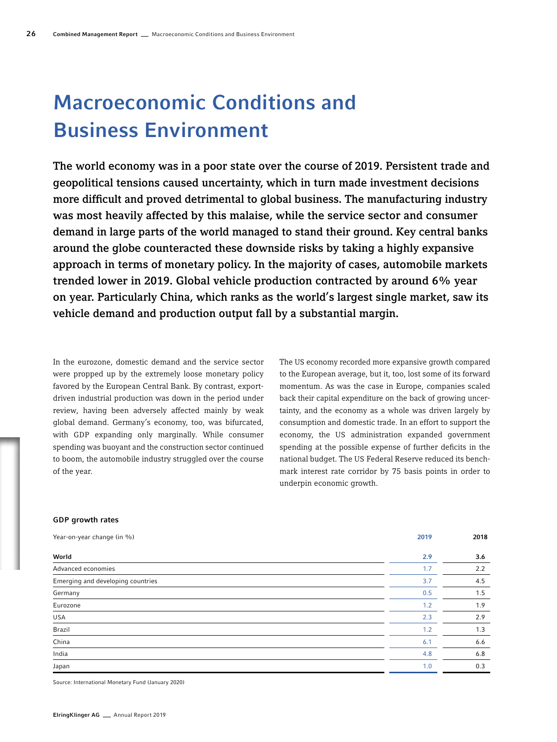# Macroeconomic Conditions and Business Environment

The world economy was in a poor state over the course of 2019. Persistent trade and geopolitical tensions caused uncertainty, which in turn made investment decisions more difficult and proved detrimental to global business. The manufacturing industry was most heavily affected by this malaise, while the service sector and consumer demand in large parts of the world managed to stand their ground. Key central banks around the globe counteracted these downside risks by taking a highly expansive approach in terms of monetary policy. In the majority of cases, automobile markets trended lower in 2019. Global vehicle production contracted by around 6% year on year. Particularly China, which ranks as the world's largest single market, saw its vehicle demand and production output fall by a substantial margin.

In the eurozone, domestic demand and the service sector were propped up by the extremely loose monetary policy favored by the European Central Bank. By contrast, exportdriven industrial production was down in the period under review, having been adversely affected mainly by weak global demand. Germany's economy, too, was bifurcated, with GDP expanding only marginally. While consumer spending was buoyant and the construction sector continued to boom, the automobile industry struggled over the course of the year.

The US economy recorded more expansive growth compared to the European average, but it, too, lost some of its forward momentum. As was the case in Europe, companies scaled back their capital expenditure on the back of growing uncertainty, and the economy as a whole was driven largely by consumption and domestic trade. In an effort to support the economy, the US administration expanded government spending at the possible expense of further deficits in the national budget. The US Federal Reserve reduced its benchmark interest rate corridor by 75 basis points in order to underpin economic growth.

# GDP growth rates

| Year-on-year change (in %)        | 2019 | 2018 |
|-----------------------------------|------|------|
| World                             | 2.9  | 3.6  |
| Advanced economies                | 1.7  | 2.2  |
| Emerging and developing countries | 3.7  | 4.5  |
| Germany                           | 0.5  | 1.5  |
| Eurozone                          | 1.2  | 1.9  |
| <b>USA</b>                        | 2.3  | 2.9  |
| Brazil                            | 1.2  | 1.3  |
| China                             | 6.1  | 6.6  |
| India                             | 4.8  | 6.8  |
| Japan                             | 1.0  | 0.3  |

Source: International Monetary Fund (January 2020)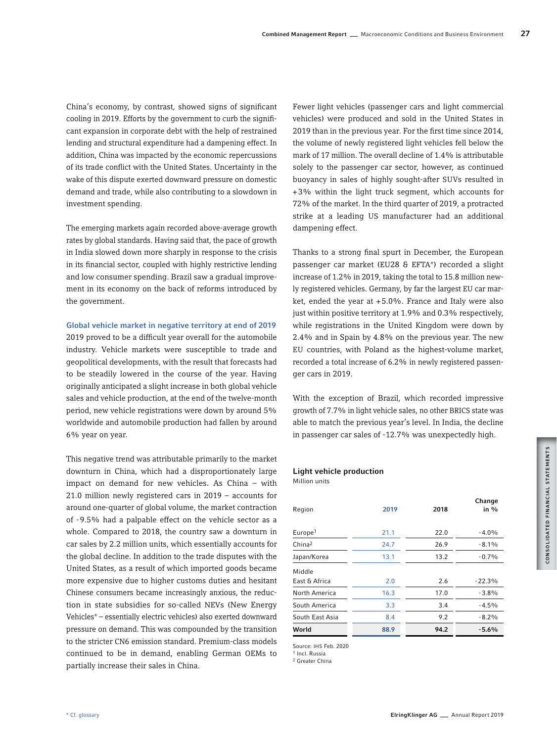China's economy, by contrast, showed signs of significant cooling in 2019. Efforts by the government to curb the significant expansion in corporate debt with the help of restrained lending and structural expenditure had a dampening effect. In addition, China was impacted by the economic repercussions of its trade conflict with the United States. Uncertainty in the wake of this dispute exerted downward pressure on domestic demand and trade, while also contributing to a slowdown in investment spending.

The emerging markets again recorded above-average growth rates by global standards. Having said that, the pace of growth in India slowed down more sharply in response to the crisis in its financial sector, coupled with highly restrictive lending and low consumer spending. Brazil saw a gradual improvement in its economy on the back of reforms introduced by the government.

# Global vehicle market in negative territory at end of 2019

2019 proved to be a difficult year overall for the automobile industry. Vehicle markets were susceptible to trade and geopolitical developments, with the result that forecasts had to be steadily lowered in the course of the year. Having originally anticipated a slight increase in both global vehicle sales and vehicle production, at the end of the twelve-month period, new vehicle registrations were down by around 5% worldwide and automobile production had fallen by around 6% year on year.

This negative trend was attributable primarily to the market downturn in China, which had a disproportionately large impact on demand for new vehicles. As China – with 21.0 million newly registered cars in 2019 – accounts for around one-quarter of global volume, the market contraction of -9.5% had a palpable effect on the vehicle sector as a whole. Compared to 2018, the country saw a downturn in car sales by 2.2 million units, which essentially accounts for the global decline. In addition to the trade disputes with the United States, as a result of which imported goods became more expensive due to higher customs duties and hesitant Chinese consumers became increasingly anxious, the reduction in state subsidies for so-called NEVs (New Energy Vehicles\* – essentially electric vehicles) also exerted downward pressure on demand. This was compounded by the transition to the stricter CN6 emission standard. Premium-class models continued to be in demand, enabling German OEMs to partially increase their sales in China.

Fewer light vehicles (passenger cars and light commercial vehicles) were produced and sold in the United States in 2019 than in the previous year. For the first time since 2014, the volume of newly registered light vehicles fell below the mark of 17 million. The overall decline of 1.4% is attributable solely to the passenger car sector, however, as continued buoyancy in sales of highly sought-after SUVs resulted in +3% within the light truck segment, which accounts for 72% of the market. In the third quarter of 2019, a protracted strike at a leading US manufacturer had an additional dampening effect.

Thanks to a strong final spurt in December, the European passenger car market (EU28 & EFTA\*) recorded a slight increase of 1.2% in 2019, taking the total to 15.8 million newly registered vehicles. Germany, by far the largest EU car market, ended the year at +5.0%. France and Italy were also just within positive territory at 1.9% and 0.3% respectively, while registrations in the United Kingdom were down by 2.4% and in Spain by 4.8% on the previous year. The new EU countries, with Poland as the highest-volume market, recorded a total increase of 6.2% in newly registered passenger cars in 2019.

With the exception of Brazil, which recorded impressive growth of 7.7% in light vehicle sales, no other BRICS state was able to match the previous year's level. In India, the decline in passenger car sales of -12.7% was unexpectedly high.

#### Light vehicle production

Million units

| Region              | 2019 | 2018 | Change<br>in $\%$ |
|---------------------|------|------|-------------------|
| Europe <sup>1</sup> | 21.1 | 22.0 | $-4.0%$           |
| China <sup>2</sup>  | 24.7 | 26.9 | $-8.1%$           |
| Japan/Korea         | 13.1 | 13.2 | $-0.7%$           |
| Middle              |      |      |                   |
| East & Africa       | 2.0  | 2.6  | $-22.3%$          |
| North America       | 16.3 | 17.0 | $-3.8%$           |
| South America       | 3.3  | 3.4  | $-4.5%$           |
| South East Asia     | 8.4  | 9.2  | $-8.2\%$          |
| World               | 88.9 | 94.2 | $-5.6%$           |

Source: IHS Feb. 2020

<sup>1</sup> Incl. Russia

2 Greater China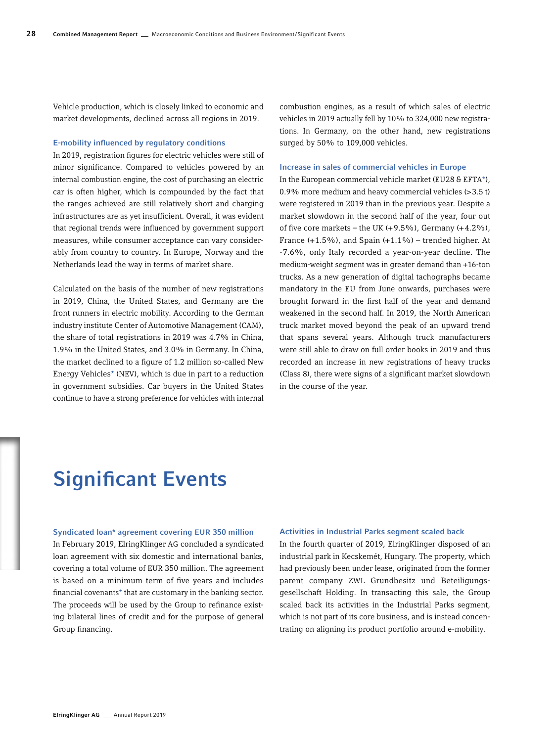Vehicle production, which is closely linked to economic and market developments, declined across all regions in 2019.

#### E-mobility influenced by regulatory conditions

In 2019, registration figures for electric vehicles were still of minor significance. Compared to vehicles powered by an internal combustion engine, the cost of purchasing an electric car is often higher, which is compounded by the fact that the ranges achieved are still relatively short and charging infrastructures are as yet insufficient. Overall, it was evident that regional trends were influenced by government support measures, while consumer acceptance can vary considerably from country to country. In Europe, Norway and the Netherlands lead the way in terms of market share.

Calculated on the basis of the number of new registrations in 2019, China, the United States, and Germany are the front runners in electric mobility. According to the German industry institute Center of Automotive Management (CAM), the share of total registrations in 2019 was 4.7% in China, 1.9% in the United States, and 3.0% in Germany. In China, the market declined to a figure of 1.2 million so-called New Energy Vehicles\* (NEV), which is due in part to a reduction in government subsidies. Car buyers in the United States continue to have a strong preference for vehicles with internal combustion engines, as a result of which sales of electric vehicles in 2019 actually fell by 10% to 324,000 new registrations. In Germany, on the other hand, new registrations surged by 50% to 109,000 vehicles.

## Increase in sales of commercial vehicles in Europe

In the European commercial vehicle market (EU28 & EFTA\*), 0.9% more medium and heavy commercial vehicles (>3.5 t) were registered in 2019 than in the previous year. Despite a market slowdown in the second half of the year, four out of five core markets – the UK  $(+9.5\%)$ , Germany  $(+4.2\%)$ , France  $(+1.5\%)$ , and Spain  $(+1.1\%)$  – trended higher. At -7.6%, only Italy recorded a year-on-year decline. The medium-weight segment was in greater demand than +16-ton trucks. As a new generation of digital tachographs became mandatory in the EU from June onwards, purchases were brought forward in the first half of the year and demand weakened in the second half. In 2019, the North American truck market moved beyond the peak of an upward trend that spans several years. Although truck manufacturers were still able to draw on full order books in 2019 and thus recorded an increase in new registrations of heavy trucks (Class 8), there were signs of a significant market slowdown in the course of the year.

# Significant Events

# Syndicated loan\* agreement covering EUR 350 million

In February 2019, ElringKlinger AG concluded a syndicated loan agreement with six domestic and international banks, covering a total volume of EUR 350 million. The agreement is based on a minimum term of five years and includes financial covenants\* that are customary in the banking sector. The proceeds will be used by the Group to refinance existing bilateral lines of credit and for the purpose of general Group financing.

# Activities in Industrial Parks segment scaled back

In the fourth quarter of 2019, ElringKlinger disposed of an industrial park in Kecskemét, Hungary. The property, which had previously been under lease, originated from the former parent company ZWL Grundbesitz und Beteiligungsgesellschaft Holding. In transacting this sale, the Group scaled back its activities in the Industrial Parks segment, which is not part of its core business, and is instead concentrating on aligning its product portfolio around e-mobility.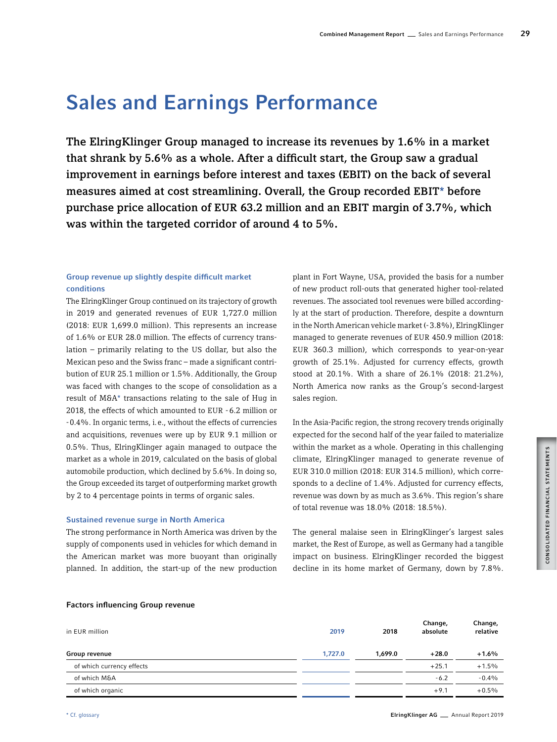# Sales and Earnings Performance

The ElringKlinger Group managed to increase its revenues by 1.6% in a market that shrank by 5.6% as a whole. After a difficult start, the Group saw a gradual improvement in earnings before interest and taxes (EBIT) on the back of several measures aimed at cost streamlining. Overall, the Group recorded EBIT\* before purchase price allocation of EUR 63.2 million and an EBIT margin of 3.7%, which was within the targeted corridor of around 4 to 5%.

# Group revenue up slightly despite difficult market conditions

The ElringKlinger Group continued on its trajectory of growth in 2019 and generated revenues of EUR 1,727.0 million (2018: EUR 1,699.0 million). This represents an increase of 1.6% or EUR 28.0 million. The effects of currency translation – primarily relating to the US dollar, but also the Mexican peso and the Swiss franc – made a significant contribution of EUR 25.1 million or 1.5%. Additionally, the Group was faced with changes to the scope of consolidation as a result of M&A\* transactions relating to the sale of Hug in 2018, the effects of which amounted to EUR -6.2 million or -0.4%. In organic terms, i.e., without the effects of currencies and acquisitions, revenues were up by EUR 9.1 million or 0.5%. Thus, ElringKlinger again managed to outpace the market as a whole in 2019, calculated on the basis of global automobile production, which declined by 5.6%. In doing so, the Group exceeded its target of outperforming market growth by 2 to 4 percentage points in terms of organic sales.

# Sustained revenue surge in North America

The strong performance in North America was driven by the supply of components used in vehicles for which demand in the American market was more buoyant than originally planned. In addition, the start-up of the new production

plant in Fort Wayne, USA, provided the basis for a number of new product roll-outs that generated higher tool-related revenues. The associated tool revenues were billed accordingly at the start of production. Therefore, despite a downturn in the North American vehicle market (-3.8%), ElringKlinger managed to generate revenues of EUR 450.9 million (2018: EUR 360.3 million), which corresponds to year-on-year growth of 25.1%. Adjusted for currency effects, growth stood at 20.1%. With a share of 26.1% (2018: 21.2%), North America now ranks as the Group's second-largest sales region.

In the Asia-Pacific region, the strong recovery trends originally expected for the second half of the year failed to materialize within the market as a whole. Operating in this challenging climate, ElringKlinger managed to generate revenue of EUR 310.0 million (2018: EUR 314.5 million), which corresponds to a decline of 1.4%. Adjusted for currency effects, revenue was down by as much as 3.6%. This region's share of total revenue was 18.0% (2018: 18.5%).

The general malaise seen in ElringKlinger's largest sales market, the Rest of Europe, as well as Germany had a tangible impact on business. ElringKlinger recorded the biggest decline in its home market of Germany, down by 7.8%.

# Factors influencing Group revenue

| in EUR million            | 2019    | 2018    | Change,<br>absolute | Change,<br>relative |
|---------------------------|---------|---------|---------------------|---------------------|
| Group revenue             | 1.727.0 | 1.699.0 | $+28.0$             | $+1.6%$             |
| of which currency effects |         |         | $+25.1$             | $+1.5%$             |
| of which M&A              |         |         | $-6.2$              | $-0.4\%$            |
| of which organic          |         |         | $+9.1$              | $+0.5\%$            |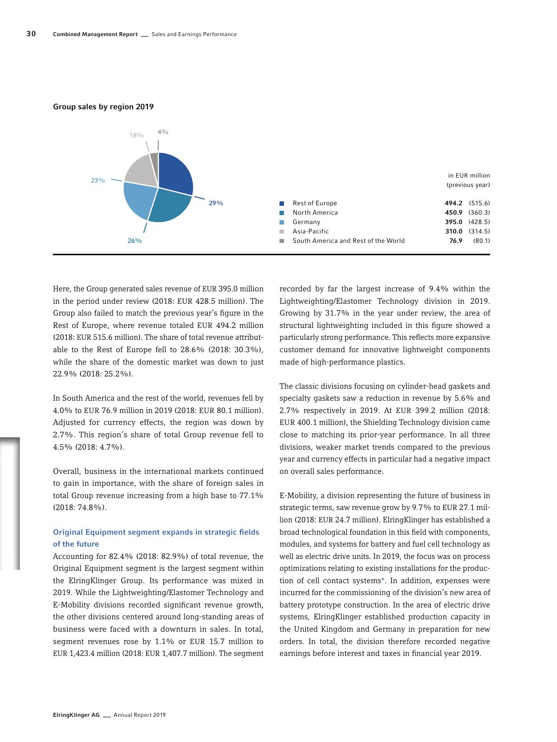#### Group sales by region 2019



Here, the Group generated sales revenue of EUR 395.0 million in the period under review (2018: EUR 428.5 million). The Group also failed to match the previous year's figure in the Rest of Europe, where revenue totaled EUR 494.2 million (2018: EUR 515.6 million). The share of total revenue attributable to the Rest of Europe fell to 28.6% (2018: 30.3%), while the share of the domestic market was down to just 22.9% (2018: 25.2%).

In South America and the rest of the world, revenues fell by 4.0% to EUR 76.9 million in 2019 (2018: EUR 80.1 million). Adjusted for currency effects, the region was down by 2.7%. This region's share of total Group revenue fell to 4.5% (2018: 4.7%).

Overall, business in the international markets continued to gain in importance, with the share of foreign sales in total Group revenue increasing from a high base to 77.1% (2018: 74.8%).

# Original Equipment segment expands in strategic fields of the future

Accounting for 82.4% (2018: 82.9%) of total revenue, the Original Equipment segment is the largest segment within the ElringKlinger Group. Its performance was mixed in 2019. While the Lightweighting/Elastomer Technology and E-Mobility divisions recorded significant revenue growth, the other divisions centered around long-standing areas of business were faced with a downturn in sales. In total, segment revenues rose by 1.1% or EUR 15.7 million to EUR 1,423.4 million (2018: EUR 1,407.7 million). The segment recorded by far the largest increase of 9.4% within the Lightweighting/Elastomer Technology division in 2019. Growing by 31.7% in the year under review, the area of structural lightweighting included in this figure showed a particularly strong performance. This reflects more expansive customer demand for innovative lightweight components made of high-performance plastics.

The classic divisions focusing on cylinder-head gaskets and specialty gaskets saw a reduction in revenue by 5.6% and 2.7% respectively in 2019. At EUR 399.2 million (2018: EUR 400.1 million), the Shielding Technology division came close to matching its prior-year performance. In all three divisions, weaker market trends compared to the previous year and currency effects in particular had a negative impact on overall sales performance.

E-Mobility, a division representing the future of business in strategic terms, saw revenue grow by 9.7% to EUR 27.1 million (2018: EUR 24.7 million). ElringKlinger has established a broad technological foundation in this field with components, modules, and systems for battery and fuel cell technology as well as electric drive units. In 2019, the focus was on process optimizations relating to existing installations for the production of cell contact systems\*. In addition, expenses were incurred for the commissioning of the division's new area of battery prototype construction. In the area of electric drive systems, ElringKlinger established production capacity in the United Kingdom and Germany in preparation for new orders. In total, the division therefore recorded negative earnings before interest and taxes in financial year 2019.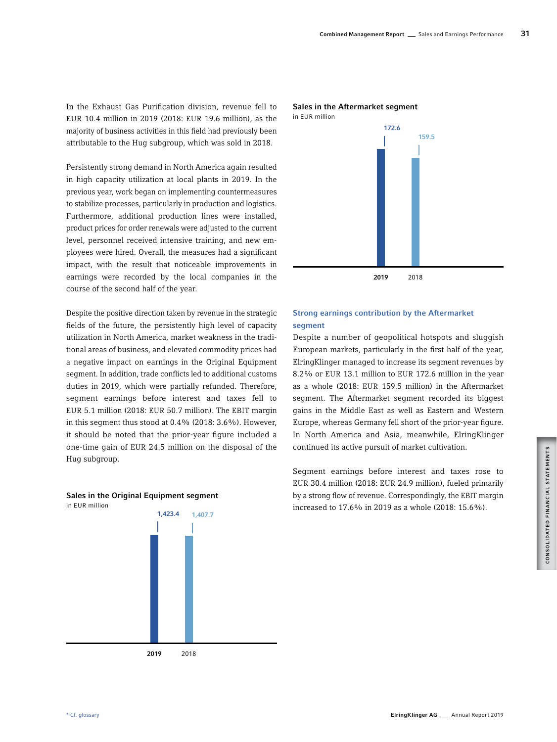In the Exhaust Gas Purification division, revenue fell to EUR 10.4 million in 2019 (2018: EUR 19.6 million), as the majority of business activities in this field had previously been attributable to the Hug subgroup, which was sold in 2018.

Persistently strong demand in North America again resulted in high capacity utilization at local plants in 2019. In the previous year, work began on implementing countermeasures to stabilize processes, particularly in production and logistics. Furthermore, additional production lines were installed, product prices for order renewals were adjusted to the current level, personnel received intensive training, and new employees were hired. Overall, the measures had a significant impact, with the result that noticeable improvements in earnings were recorded by the local companies in the course of the second half of the year.

Despite the positive direction taken by revenue in the strategic fields of the future, the persistently high level of capacity utilization in North America, market weakness in the traditional areas of business, and elevated commodity prices had a negative impact on earnings in the Original Equipment segment. In addition, trade conflicts led to additional customs duties in 2019, which were partially refunded. Therefore, segment earnings before interest and taxes fell to EUR 5.1 million (2018: EUR 50.7 million). The EBIT margin in this segment thus stood at 0.4% (2018: 3.6%). However, it should be noted that the prior-year figure included a one-time gain of EUR 24.5 million on the disposal of the Hug subgroup.



# Sales in the Original Equipment segment

2019 2018



# 2019 2018

# Strong earnings contribution by the Aftermarket segment

Despite a number of geopolitical hotspots and sluggish European markets, particularly in the first half of the year, ElringKlinger managed to increase its segment revenues by 8.2% or EUR 13.1 million to EUR 172.6 million in the year as a whole (2018: EUR 159.5 million) in the Aftermarket segment. The Aftermarket segment recorded its biggest gains in the Middle East as well as Eastern and Western Europe, whereas Germany fell short of the prior-year figure. In North America and Asia, meanwhile, ElringKlinger continued its active pursuit of market cultivation.

Segment earnings before interest and taxes rose to EUR 30.4 million (2018: EUR 24.9 million), fueled primarily by a strong flow of revenue. Correspondingly, the EBIT margin increased to 17.6% in 2019 as a whole (2018: 15.6%).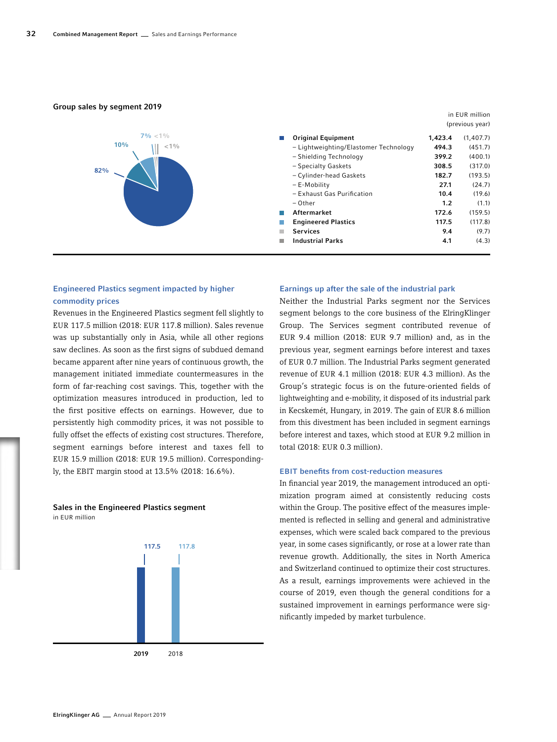#### Group sales by segment 2019



# Engineered Plastics segment impacted by higher commodity prices

Revenues in the Engineered Plastics segment fell slightly to EUR 117.5 million (2018: EUR 117.8 million). Sales revenue was up substantially only in Asia, while all other regions saw declines. As soon as the first signs of subdued demand became apparent after nine years of continuous growth, the management initiated immediate countermeasures in the form of far-reaching cost savings. This, together with the optimization measures introduced in production, led to the first positive effects on earnings. However, due to persistently high commodity prices, it was not possible to fully offset the effects of existing cost structures. Therefore, segment earnings before interest and taxes fell to EUR 15.9 million (2018: EUR 19.5 million). Correspondingly, the EBIT margin stood at 13.5% (2018: 16.6%).

# Sales in the Engineered Plastics segment in EUR million



#### Earnings up after the sale of the industrial park

Neither the Industrial Parks segment nor the Services segment belongs to the core business of the ElringKlinger Group. The Services segment contributed revenue of EUR 9.4 million (2018: EUR 9.7 million) and, as in the previous year, segment earnings before interest and taxes of EUR 0.7 million. The Industrial Parks segment generated revenue of EUR 4.1 million (2018: EUR 4.3 million). As the Group's strategic focus is on the future-oriented fields of lightweighting and e-mobility, it disposed of its industrial park in Kecskemét, Hungary, in 2019. The gain of EUR 8.6 million from this divestment has been included in segment earnings before interest and taxes, which stood at EUR 9.2 million in total (2018: EUR 0.3 million).

# EBIT benefits from cost-reduction measures

In financial year 2019, the management introduced an optimization program aimed at consistently reducing costs within the Group. The positive effect of the measures implemented is reflected in selling and general and administrative expenses, which were scaled back compared to the previous year, in some cases significantly, or rose at a lower rate than revenue growth. Additionally, the sites in North America and Switzerland continued to optimize their cost structures. As a result, earnings improvements were achieved in the course of 2019, even though the general conditions for a sustained improvement in earnings performance were significantly impeded by market turbulence.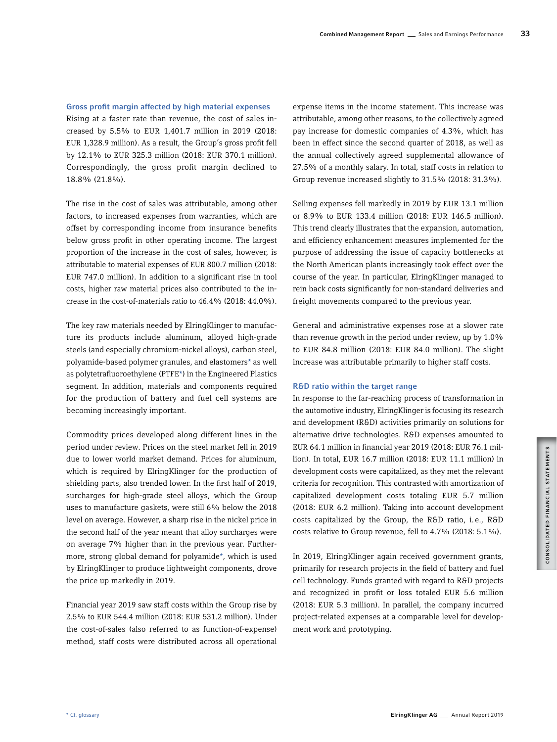# Gross profit margin affected by high material expenses

Rising at a faster rate than revenue, the cost of sales increased by 5.5% to EUR 1,401.7 million in 2019 (2018: EUR 1,328.9 million). As a result, the Group's gross profit fell by 12.1% to EUR 325.3 million (2018: EUR 370.1 million). Correspondingly, the gross profit margin declined to 18.8% (21.8%).

The rise in the cost of sales was attributable, among other factors, to increased expenses from warranties, which are offset by corresponding income from insurance benefits below gross profit in other operating income. The largest proportion of the increase in the cost of sales, however, is attributable to material expenses of EUR 800.7 million (2018: EUR 747.0 million). In addition to a significant rise in tool costs, higher raw material prices also contributed to the increase in the cost-of-materials ratio to 46.4% (2018: 44.0%).

The key raw materials needed by ElringKlinger to manufacture its products include aluminum, alloyed high-grade steels (and especially chromium-nickel alloys), carbon steel, polyamide-based polymer granules, and elastomers\* as well as polytetrafluoroethylene (PTFE\*) in the Engineered Plastics segment. In addition, materials and components required for the production of battery and fuel cell systems are becoming increasingly important.

Commodity prices developed along different lines in the period under review. Prices on the steel market fell in 2019 due to lower world market demand. Prices for aluminum, which is required by ElringKlinger for the production of shielding parts, also trended lower. In the first half of 2019, surcharges for high-grade steel alloys, which the Group uses to manufacture gaskets, were still 6% below the 2018 level on average. However, a sharp rise in the nickel price in the second half of the year meant that alloy surcharges were on average 7% higher than in the previous year. Furthermore, strong global demand for polyamide\*, which is used by ElringKlinger to produce lightweight components, drove the price up markedly in 2019.

Financial year 2019 saw staff costs within the Group rise by 2.5% to EUR 544.4 million (2018: EUR 531.2 million). Under the cost-of-sales (also referred to as function-of-expense) method, staff costs were distributed across all operational

expense items in the income statement. This increase was attributable, among other reasons, to the collectively agreed pay increase for domestic companies of 4.3%, which has been in effect since the second quarter of 2018, as well as the annual collectively agreed supplemental allowance of 27.5% of a monthly salary. In total, staff costs in relation to Group revenue increased slightly to 31.5% (2018: 31.3%).

Selling expenses fell markedly in 2019 by EUR 13.1 million or 8.9% to EUR 133.4 million (2018: EUR 146.5 million). This trend clearly illustrates that the expansion, automation, and efficiency enhancement measures implemented for the purpose of addressing the issue of capacity bottlenecks at the North American plants increasingly took effect over the course of the year. In particular, ElringKlinger managed to rein back costs significantly for non-standard deliveries and freight movements compared to the previous year.

General and administrative expenses rose at a slower rate than revenue growth in the period under review, up by 1.0% to EUR 84.8 million (2018: EUR 84.0 million). The slight increase was attributable primarily to higher staff costs.

# R&D ratio within the target range

In response to the far-reaching process of transformation in the automotive industry, ElringKlinger is focusing its research and development (R&D) activities primarily on solutions for alternative drive technologies. R&D expenses amounted to EUR 64.1 million in financial year 2019 (2018: EUR 76.1 million). In total, EUR 16.7 million (2018: EUR 11.1 million) in development costs were capitalized, as they met the relevant criteria for recognition. This contrasted with amortization of capitalized development costs totaling EUR 5.7 million (2018: EUR 6.2 million). Taking into account development costs capitalized by the Group, the R&D ratio, i.e., R&D costs relative to Group revenue, fell to 4.7% (2018: 5.1%).

In 2019, ElringKlinger again received government grants, primarily for research projects in the field of battery and fuel cell technology. Funds granted with regard to R&D projects and recognized in profit or loss totaled EUR 5.6 million (2018: EUR 5.3 million). In parallel, the company incurred project-related expenses at a comparable level for development work and prototyping.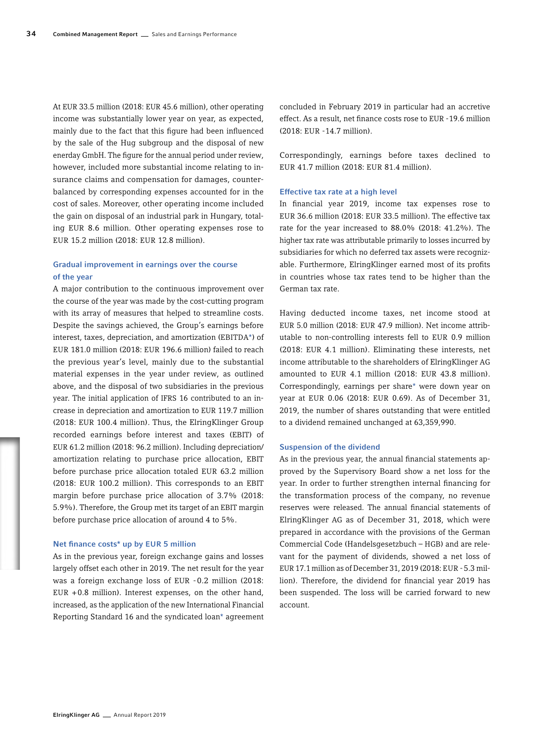At EUR 33.5 million (2018: EUR 45.6 million), other operating income was substantially lower year on year, as expected, mainly due to the fact that this figure had been influenced by the sale of the Hug subgroup and the disposal of new enerday GmbH. The figure for the annual period under review, however, included more substantial income relating to insurance claims and compensation for damages, counterbalanced by corresponding expenses accounted for in the cost of sales. Moreover, other operating income included the gain on disposal of an industrial park in Hungary, totaling EUR 8.6 million. Other operating expenses rose to EUR 15.2 million (2018: EUR 12.8 million).

# Gradual improvement in earnings over the course of the year

A major contribution to the continuous improvement over the course of the year was made by the cost-cutting program with its array of measures that helped to streamline costs. Despite the savings achieved, the Group's earnings before interest, taxes, depreciation, and amortization (EBITDA\*) of EUR 181.0 million (2018: EUR 196.6 million) failed to reach the previous year's level, mainly due to the substantial material expenses in the year under review, as outlined above, and the disposal of two subsidiaries in the previous year. The initial application of IFRS 16 contributed to an increase in depreciation and amortization to EUR 119.7 million (2018: EUR 100.4 million). Thus, the ElringKlinger Group recorded earnings before interest and taxes (EBIT) of EUR 61.2 million (2018: 96.2 million). Including depreciation/ amortization relating to purchase price allocation, EBIT before purchase price allocation totaled EUR 63.2 million (2018: EUR 100.2 million). This corresponds to an EBIT margin before purchase price allocation of 3.7% (2018: 5.9%). Therefore, the Group met its target of an EBIT margin before purchase price allocation of around 4 to 5%.

#### Net finance costs\* up by EUR 5 million

As in the previous year, foreign exchange gains and losses largely offset each other in 2019. The net result for the year was a foreign exchange loss of EUR -0.2 million (2018: EUR  $+0.8$  million). Interest expenses, on the other hand, increased, as the application of the new International Financial Reporting Standard 16 and the syndicated loan\* agreement concluded in February 2019 in particular had an accretive effect. As a result, net finance costs rose to EUR -19.6 million (2018: EUR -14.7 million).

Correspondingly, earnings before taxes declined to EUR 41.7 million (2018: EUR 81.4 million).

#### Effective tax rate at a high level

In financial year 2019, income tax expenses rose to EUR 36.6 million (2018: EUR 33.5 million). The effective tax rate for the year increased to 88.0% (2018: 41.2%). The higher tax rate was attributable primarily to losses incurred by subsidiaries for which no deferred tax assets were recognizable. Furthermore, ElringKlinger earned most of its profits in countries whose tax rates tend to be higher than the German tax rate.

Having deducted income taxes, net income stood at EUR 5.0 million (2018: EUR 47.9 million). Net income attributable to non-controlling interests fell to EUR 0.9 million (2018: EUR 4.1 million). Eliminating these interests, net income attributable to the shareholders of ElringKlinger AG amounted to EUR 4.1 million (2018: EUR 43.8 million). Correspondingly, earnings per share\* were down year on year at EUR 0.06 (2018: EUR 0.69). As of December 31, 2019, the number of shares outstanding that were entitled to a dividend remained unchanged at 63,359,990.

## Suspension of the dividend

As in the previous year, the annual financial statements approved by the Supervisory Board show a net loss for the year. In order to further strengthen internal financing for the transformation process of the company, no revenue reserves were released. The annual financial statements of ElringKlinger AG as of December 31, 2018, which were prepared in accordance with the provisions of the German Commercial Code (Handelsgesetzbuch – HGB) and are relevant for the payment of dividends, showed a net loss of EUR 17.1 million as of December 31, 2019 (2018: EUR -5.3 million). Therefore, the dividend for financial year 2019 has been suspended. The loss will be carried forward to new account.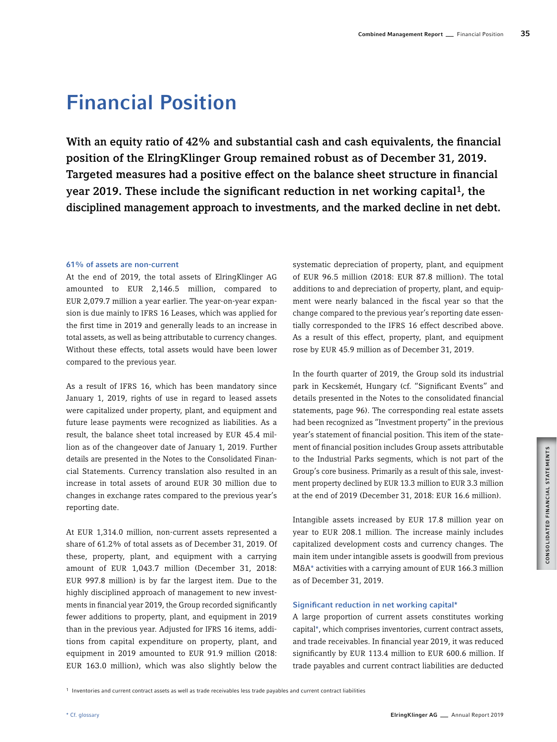# Financial Position

With an equity ratio of 42% and substantial cash and cash equivalents, the financial position of the ElringKlinger Group remained robust as of December 31, 2019. Targeted measures had a positive effect on the balance sheet structure in financial year 2019. These include the significant reduction in net working capital1, the disciplined management approach to investments, and the marked decline in net debt.

# 61% of assets are non-current

At the end of 2019, the total assets of ElringKlinger AG amounted to EUR 2,146.5 million, compared to EUR 2,079.7 million a year earlier. The year-on-year expansion is due mainly to IFRS 16 Leases, which was applied for the first time in 2019 and generally leads to an increase in total assets, as well as being attributable to currency changes. Without these effects, total assets would have been lower compared to the previous year.

As a result of IFRS 16, which has been mandatory since January 1, 2019, rights of use in regard to leased assets were capitalized under property, plant, and equipment and future lease payments were recognized as liabilities. As a result, the balance sheet total increased by EUR 45.4 million as of the changeover date of January 1, 2019. Further details are presented in the Notes to the Consolidated Financial Statements. Currency translation also resulted in an increase in total assets of around EUR 30 million due to changes in exchange rates compared to the previous year's reporting date.

At EUR 1,314.0 million, non-current assets represented a share of 61.2% of total assets as of December 31, 2019. Of these, property, plant, and equipment with a carrying amount of EUR 1,043.7 million (December 31, 2018: EUR 997.8 million) is by far the largest item. Due to the highly disciplined approach of management to new investments in financial year 2019, the Group recorded significantly fewer additions to property, plant, and equipment in 2019 than in the previous year. Adjusted for IFRS 16 items, additions from capital expenditure on property, plant, and equipment in 2019 amounted to EUR 91.9 million (2018: EUR 163.0 million), which was also slightly below the

systematic depreciation of property, plant, and equipment of EUR 96.5 million (2018: EUR 87.8 million). The total additions to and depreciation of property, plant, and equipment were nearly balanced in the fiscal year so that the change compared to the previous year's reporting date essentially corresponded to the IFRS 16 effect described above. As a result of this effect, property, plant, and equipment rose by EUR 45.9 million as of December 31, 2019.

In the fourth quarter of 2019, the Group sold its industrial park in Kecskemét, Hungary (cf. "Significant Events" and details presented in the Notes to the consolidated financial statements, page 96). The corresponding real estate assets had been recognized as "Investment property" in the previous year's statement of financial position. This item of the statement of financial position includes Group assets attributable to the Industrial Parks segments, which is not part of the Group's core business. Primarily as a result of this sale, investment property declined by EUR 13.3 million to EUR 3.3 million at the end of 2019 (December 31, 2018: EUR 16.6 million).

Intangible assets increased by EUR 17.8 million year on year to EUR 208.1 million. The increase mainly includes capitalized development costs and currency changes. The main item under intangible assets is goodwill from previous M&A\* activities with a carrying amount of EUR 166.3 million as of December 31, 2019.

# Significant reduction in net working capital\*

A large proportion of current assets constitutes working capital\*, which comprises inventories, current contract assets, and trade receivables. In financial year 2019, it was reduced significantly by EUR 113.4 million to EUR 600.6 million. If trade payables and current contract liabilities are deducted

<sup>1</sup> Inventories and current contract assets as well as trade receivables less trade payables and current contract liabilities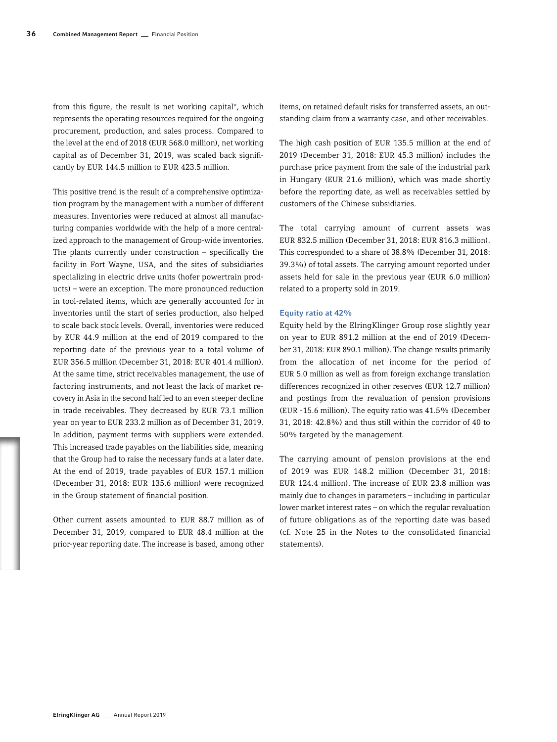from this figure, the result is net working capital\*, which represents the operating resources required for the ongoing procurement, production, and sales process. Compared to the level at the end of 2018 (EUR 568.0 million), net working capital as of December 31, 2019, was scaled back significantly by EUR 144.5 million to EUR 423.5 million.

This positive trend is the result of a comprehensive optimization program by the management with a number of different measures. Inventories were reduced at almost all manufacturing companies worldwide with the help of a more centralized approach to the management of Group-wide inventories. The plants currently under construction  $-$  specifically the facility in Fort Wayne, USA, and the sites of subsidiaries specializing in electric drive units (hofer powertrain products) – were an exception. The more pronounced reduction in tool-related items, which are generally accounted for in inventories until the start of series production, also helped to scale back stock levels. Overall, inventories were reduced by EUR 44.9 million at the end of 2019 compared to the reporting date of the previous year to a total volume of EUR 356.5 million (December 31, 2018: EUR 401.4 million). At the same time, strict receivables management, the use of factoring instruments, and not least the lack of market recovery in Asia in the second half led to an even steeper decline in trade receivables. They decreased by EUR 73.1 million year on year to EUR 233.2 million as of December 31, 2019. In addition, payment terms with suppliers were extended. This increased trade payables on the liabilities side, meaning that the Group had to raise the necessary funds at a later date. At the end of 2019, trade payables of EUR 157.1 million (December 31, 2018: EUR 135.6 million) were recognized in the Group statement of financial position.

Other current assets amounted to EUR 88.7 million as of December 31, 2019, compared to EUR 48.4 million at the prior-year reporting date. The increase is based, among other

items, on retained default risks for transferred assets, an outstanding claim from a warranty case, and other receivables.

The high cash position of EUR 135.5 million at the end of 2019 (December 31, 2018: EUR 45.3 million) includes the purchase price payment from the sale of the industrial park in Hungary (EUR 21.6 million), which was made shortly before the reporting date, as well as receivables settled by customers of the Chinese subsidiaries.

The total carrying amount of current assets was EUR 832.5 million (December 31, 2018: EUR 816.3 million). This corresponded to a share of 38.8% (December 31, 2018: 39.3%) of total assets. The carrying amount reported under assets held for sale in the previous year (EUR 6.0 million) related to a property sold in 2019.

#### Equity ratio at 42%

Equity held by the ElringKlinger Group rose slightly year on year to EUR 891.2 million at the end of 2019 (December 31, 2018: EUR 890.1 million). The change results primarily from the allocation of net income for the period of EUR 5.0 million as well as from foreign exchange translation differences recognized in other reserves (EUR 12.7 million) and postings from the revaluation of pension provisions (EUR -15.6 million). The equity ratio was 41.5% (December 31, 2018: 42.8%) and thus still within the corridor of 40 to 50% targeted by the management.

The carrying amount of pension provisions at the end of 2019 was EUR 148.2 million (December 31, 2018: EUR 124.4 million). The increase of EUR 23.8 million was mainly due to changes in parameters – including in particular lower market interest rates – on which the regular revaluation of future obligations as of the reporting date was based (cf. Note 25 in the Notes to the consolidated financial statements).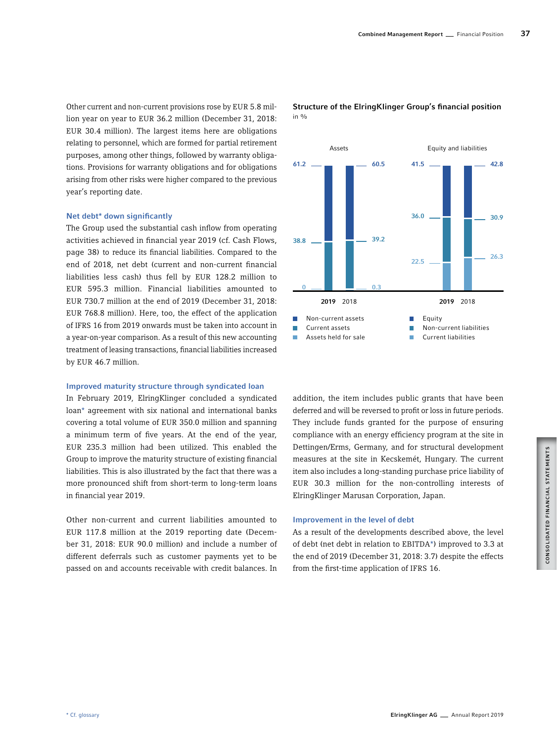Other current and non-current provisions rose by EUR 5.8 million year on year to EUR 36.2 million (December 31, 2018: EUR 30.4 million). The largest items here are obligations relating to personnel, which are formed for partial retirement purposes, among other things, followed by warranty obligations. Provisions for warranty obligations and for obligations arising from other risks were higher compared to the previous year's reporting date.

# Net debt\* down significantly

The Group used the substantial cash inflow from operating activities achieved in financial year 2019 (cf. Cash Flows, page 38) to reduce its financial liabilities. Compared to the end of 2018, net debt (current and non-current financial liabilities less cash) thus fell by EUR 128.2 million to EUR 595.3 million. Financial liabilities amounted to EUR 730.7 million at the end of 2019 (December 31, 2018: EUR 768.8 million). Here, too, the effect of the application of IFRS 16 from 2019 onwards must be taken into account in a year-on-year comparison. As a result of this new accounting treatment of leasing transactions, financial liabilities increased by EUR 46.7 million.

# Improved maturity structure through syndicated loan

In February 2019, ElringKlinger concluded a syndicated loan\* agreement with six national and international banks covering a total volume of EUR 350.0 million and spanning a minimum term of five years. At the end of the year, EUR 235.3 million had been utilized. This enabled the Group to improve the maturity structure of existing financial liabilities. This is also illustrated by the fact that there was a more pronounced shift from short-term to long-term loans in financial year 2019.

Other non-current and current liabilities amounted to EUR 117.8 million at the 2019 reporting date (December 31, 2018: EUR 90.0 million) and include a number of different deferrals such as customer payments yet to be passed on and accounts receivable with credit balances. In Structure of the ElringKlinger Group's financial position in  $\frac{0}{n}$ 



addition, the item includes public grants that have been deferred and will be reversed to profit or loss in future periods. They include funds granted for the purpose of ensuring compliance with an energy efficiency program at the site in Dettingen/Erms, Germany, and for structural development measures at the site in Kecskemét, Hungary. The current item also includes a long-standing purchase price liability of EUR 30.3 million for the non-controlling interests of ElringKlinger Marusan Corporation, Japan.

# Improvement in the level of debt

As a result of the developments described above, the level of debt (net debt in relation to EBITDA\*) improved to 3.3 at the end of 2019 (December 31, 2018: 3.7) despite the effects from the first-time application of IFRS 16.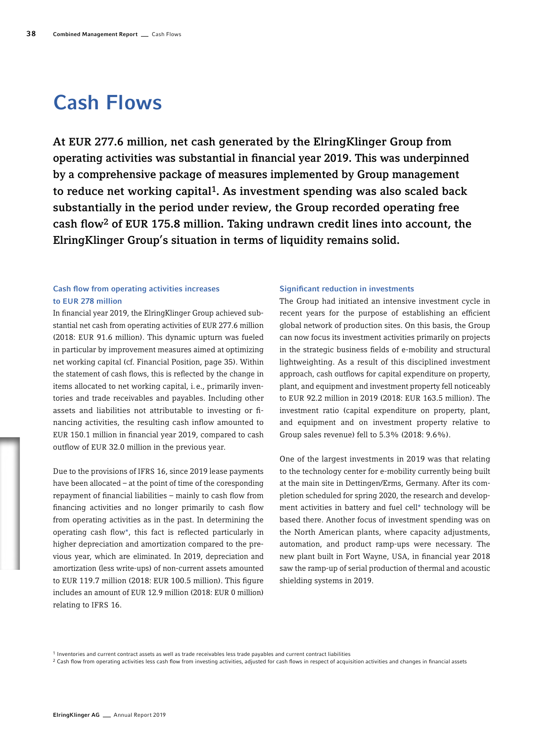# Cash Flows

At EUR 277.6 million, net cash generated by the ElringKlinger Group from operating activities was substantial in financial year 2019. This was underpinned by a comprehensive package of measures implemented by Group management to reduce net working capital1. As investment spending was also scaled back substantially in the period under review, the Group recorded operating free cash flow2 of EUR 175.8 million. Taking undrawn credit lines into account, the ElringKlinger Group's situation in terms of liquidity remains solid.

# Cash flow from operating activities increases to EUR 278 million

In financial year 2019, the ElringKlinger Group achieved substantial net cash from operating activities of EUR 277.6 million (2018: EUR 91.6 million). This dynamic upturn was fueled in particular by improvement measures aimed at optimizing net working capital (cf. Financial Position, page 35). Within the statement of cash flows, this is reflected by the change in items allocated to net working capital, i.e., primarily inventories and trade receivables and payables. Including other assets and liabilities not attributable to investing or financing activities, the resulting cash inflow amounted to EUR 150.1 million in financial year 2019, compared to cash outflow of EUR 32.0 million in the previous year.

Due to the provisions of IFRS 16, since 2019 lease payments have been allocated – at the point of time of the coresponding repayment of financial liabilities – mainly to cash flow from financing activities and no longer primarily to cash flow from operating activities as in the past. In determining the operating cash flow\*, this fact is reflected particularly in higher depreciation and amortization compared to the previous year, which are eliminated. In 2019, depreciation and amortization (less write-ups) of non-current assets amounted to EUR 119.7 million (2018: EUR 100.5 million). This figure includes an amount of EUR 12.9 million (2018: EUR 0 million) relating to IFRS 16.

# Significant reduction in investments

The Group had initiated an intensive investment cycle in recent years for the purpose of establishing an efficient global network of production sites. On this basis, the Group can now focus its investment activities primarily on projects in the strategic business fields of e-mobility and structural lightweighting. As a result of this disciplined investment approach, cash outflows for capital expenditure on property, plant, and equipment and investment property fell noticeably to EUR 92.2 million in 2019 (2018: EUR 163.5 million). The investment ratio (capital expenditure on property, plant, and equipment and on investment property relative to Group sales revenue) fell to 5.3% (2018: 9.6%).

One of the largest investments in 2019 was that relating to the technology center for e-mobility currently being built at the main site in Dettingen/Erms, Germany. After its completion scheduled for spring 2020, the research and development activities in battery and fuel cell\* technology will be based there. Another focus of investment spending was on the North American plants, where capacity adjustments, automation, and product ramp-ups were necessary. The new plant built in Fort Wayne, USA, in financial year 2018 saw the ramp-up of serial production of thermal and acoustic shielding systems in 2019.

<sup>1</sup> Inventories and current contract assets as well as trade receivables less trade payables and current contract liabilities

<sup>&</sup>lt;sup>2</sup> Cash flow from operating activities less cash flow from investing activities, adjusted for cash flows in respect of acquisition activities and changes in financial assets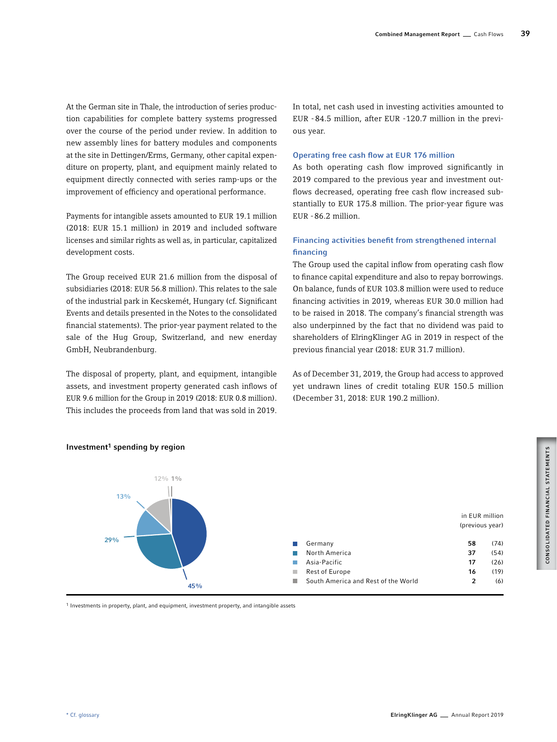At the German site in Thale, the introduction of series production capabilities for complete battery systems progressed over the course of the period under review. In addition to new assembly lines for battery modules and components at the site in Dettingen/Erms, Germany, other capital expenditure on property, plant, and equipment mainly related to equipment directly connected with series ramp-ups or the improvement of efficiency and operational performance.

Payments for intangible assets amounted to EUR 19.1 million (2018: EUR 15.1 million) in 2019 and included software licenses and similar rights as well as, in particular, capitalized development costs.

The Group received EUR 21.6 million from the disposal of subsidiaries (2018: EUR 56.8 million). This relates to the sale of the industrial park in Kecskemét, Hungary (cf. Significant Events and details presented in the Notes to the consolidated financial statements). The prior-year payment related to the sale of the Hug Group, Switzerland, and new enerday GmbH, Neubrandenburg.

The disposal of property, plant, and equipment, intangible assets, and investment property generated cash inflows of EUR 9.6 million for the Group in 2019 (2018: EUR 0.8 million). This includes the proceeds from land that was sold in 2019. In total, net cash used in investing activities amounted to EUR -84.5 million, after EUR -120.7 million in the previous year.

# Operating free cash flow at EUR 176 million

As both operating cash flow improved significantly in 2019 compared to the previous year and investment outflows decreased, operating free cash flow increased substantially to EUR 175.8 million. The prior-year figure was EUR -86.2 million.

# Financing activities benefit from strengthened internal financing

The Group used the capital inflow from operating cash flow to finance capital expenditure and also to repay borrowings. On balance, funds of EUR 103.8 million were used to reduce financing activities in 2019, whereas EUR 30.0 million had to be raised in 2018. The company's financial strength was also underpinned by the fact that no dividend was paid to shareholders of ElringKlinger AG in 2019 in respect of the previous financial year (2018: EUR 31.7 million).

As of December 31, 2019, the Group had access to approved yet undrawn lines of credit totaling EUR 150.5 million (December 31, 2018: EUR 190.2 million).



# Investment<sup>1</sup> spending by region

1 Investments in property, plant, and equipment, investment property, and intangible assets

CONSOLIDATED FINANCIAL STATEMENTS CONSOLIDATED FINANCIAL STATEMENTS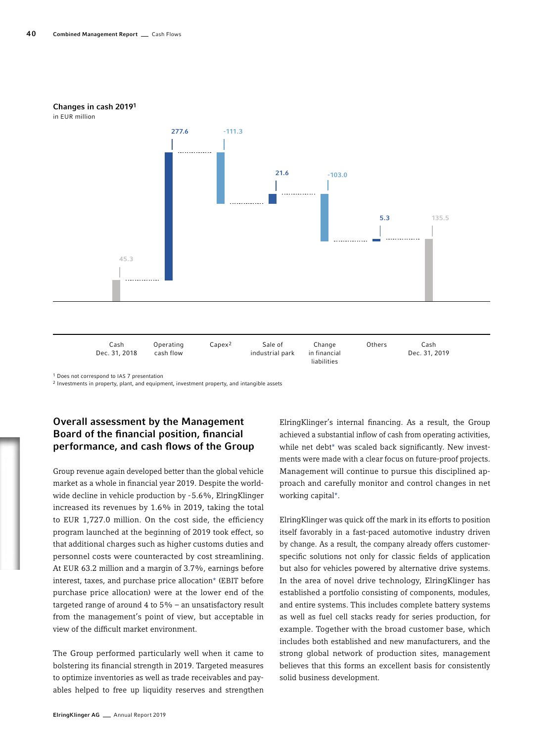

industrial park

in financial liabilities

1 Does not correspond to IAS 7 presentation

Dec. 31, 2018

2 Investments in property, plant, and equipment, investment property, and intangible assets

cash flow

# Overall assessment by the Management Board of the financial position, financial performance, and cash flows of the Group

Group revenue again developed better than the global vehicle market as a whole in financial year 2019. Despite the worldwide decline in vehicle production by -5.6%, ElringKlinger increased its revenues by 1.6% in 2019, taking the total to EUR 1,727.0 million. On the cost side, the efficiency program launched at the beginning of 2019 took effect, so that additional charges such as higher customs duties and personnel costs were counteracted by cost streamlining. At EUR 63.2 million and a margin of 3.7%, earnings before interest, taxes, and purchase price allocation\* (EBIT before purchase price allocation) were at the lower end of the targeted range of around 4 to 5% – an unsatisfactory result from the management's point of view, but acceptable in view of the difficult market environment.

The Group performed particularly well when it came to bolstering its financial strength in 2019. Targeted measures to optimize inventories as well as trade receivables and payables helped to free up liquidity reserves and strengthen

ElringKlinger's internal financing. As a result, the Group achieved a substantial inflow of cash from operating activities, while net debt\* was scaled back significantly. New investments were made with a clear focus on future-proof projects. Management will continue to pursue this disciplined approach and carefully monitor and control changes in net working capital\*.

Dec. 31, 2019

ElringKlinger was quick off the mark in its efforts to position itself favorably in a fast-paced automotive industry driven by change. As a result, the company already offers customerspecific solutions not only for classic fields of application but also for vehicles powered by alternative drive systems. In the area of novel drive technology, ElringKlinger has established a portfolio consisting of components, modules, and entire systems. This includes complete battery systems as well as fuel cell stacks ready for series production, for example. Together with the broad customer base, which includes both established and new manufacturers, and the strong global network of production sites, management believes that this forms an excellent basis for consistently solid business development.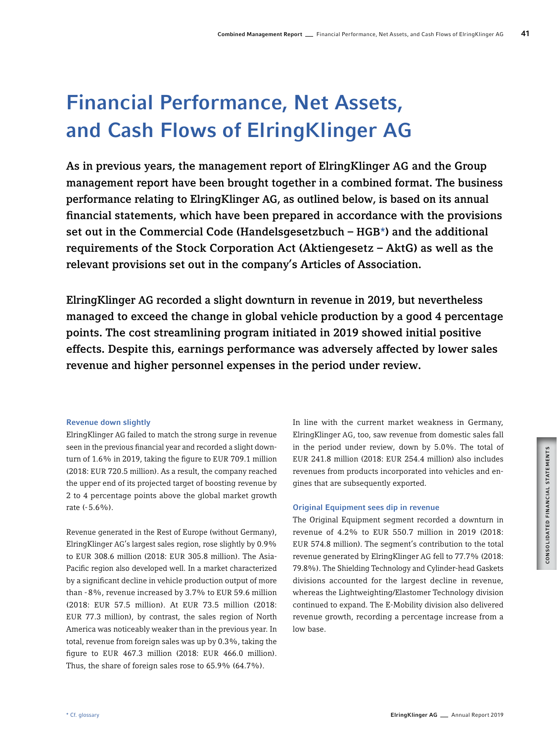# Financial Performance, Net Assets, and Cash Flows of ElringKlinger AG

As in previous years, the management report of ElringKlinger AG and the Group management report have been brought together in a combined format. The business performance relating to ElringKlinger AG, as outlined below, is based on its annual financial statements, which have been prepared in accordance with the provisions set out in the Commercial Code (Handelsgesetzbuch – HGB\*) and the additional requirements of the Stock Corporation Act (Aktiengesetz – AktG) as well as the relevant provisions set out in the company's Articles of Association.

ElringKlinger AG recorded a slight downturn in revenue in 2019, but nevertheless managed to exceed the change in global vehicle production by a good 4 percentage points. The cost streamlining program initiated in 2019 showed initial positive effects. Despite this, earnings performance was adversely affected by lower sales revenue and higher personnel expenses in the period under review.

# Revenue down slightly

ElringKlinger AG failed to match the strong surge in revenue seen in the previous financial year and recorded a slight downturn of 1.6% in 2019, taking the figure to EUR 709.1 million (2018: EUR 720.5 million). As a result, the company reached the upper end of its projected target of boosting revenue by 2 to 4 percentage points above the global market growth rate (-5.6%).

Revenue generated in the Rest of Europe (without Germany), ElringKlinger AG's largest sales region, rose slightly by 0.9% to EUR 308.6 million (2018: EUR 305.8 million). The Asia-Pacific region also developed well. In a market characterized by a significant decline in vehicle production output of more than -8%, revenue increased by 3.7% to EUR 59.6 million (2018: EUR 57.5 million). At EUR 73.5 million (2018: EUR 77.3 million), by contrast, the sales region of North America was noticeably weaker than in the previous year. In total, revenue from foreign sales was up by 0.3%, taking the figure to EUR 467.3 million (2018: EUR 466.0 million). Thus, the share of foreign sales rose to 65.9% (64.7%).

In line with the current market weakness in Germany, ElringKlinger AG, too, saw revenue from domestic sales fall in the period under review, down by 5.0%. The total of EUR 241.8 million (2018: EUR 254.4 million) also includes revenues from products incorporated into vehicles and engines that are subsequently exported.

# Original Equipment sees dip in revenue

The Original Equipment segment recorded a downturn in revenue of 4.2% to EUR 550.7 million in 2019 (2018: EUR 574.8 million). The segment's contribution to the total revenue generated by ElringKlinger AG fell to 77.7% (2018: 79.8%). The Shielding Technology and Cylinder-head Gaskets divisions accounted for the largest decline in revenue, whereas the Lightweighting/Elastomer Technology division continued to expand. The E-Mobility division also delivered revenue growth, recording a percentage increase from a low base.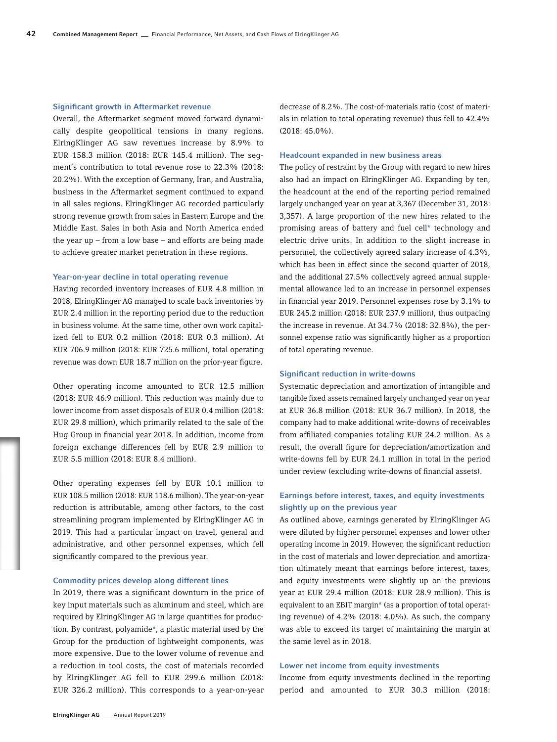#### Significant growth in Aftermarket revenue

Overall, the Aftermarket segment moved forward dynamically despite geopolitical tensions in many regions. ElringKlinger AG saw revenues increase by 8.9% to EUR 158.3 million (2018: EUR 145.4 million). The segment's contribution to total revenue rose to 22.3% (2018: 20.2%). With the exception of Germany, Iran, and Australia, business in the Aftermarket segment continued to expand in all sales regions. ElringKlinger AG recorded particularly strong revenue growth from sales in Eastern Europe and the Middle East. Sales in both Asia and North America ended the year  $up$  – from a low base – and efforts are being made to achieve greater market penetration in these regions.

#### Year-on-year decline in total operating revenue

Having recorded inventory increases of EUR 4.8 million in 2018, ElringKlinger AG managed to scale back inventories by EUR 2.4 million in the reporting period due to the reduction in business volume. At the same time, other own work capitalized fell to EUR 0.2 million (2018: EUR 0.3 million). At EUR 706.9 million (2018: EUR 725.6 million), total operating revenue was down EUR 18.7 million on the prior-year figure.

Other operating income amounted to EUR 12.5 million (2018: EUR 46.9 million). This reduction was mainly due to lower income from asset disposals of EUR 0.4 million (2018: EUR 29.8 million), which primarily related to the sale of the Hug Group in financial year 2018. In addition, income from foreign exchange differences fell by EUR 2.9 million to EUR 5.5 million (2018: EUR 8.4 million).

Other operating expenses fell by EUR 10.1 million to EUR 108.5 million (2018: EUR 118.6 million). The year-on-year reduction is attributable, among other factors, to the cost streamlining program implemented by ElringKlinger AG in 2019. This had a particular impact on travel, general and administrative, and other personnel expenses, which fell significantly compared to the previous year.

#### Commodity prices develop along different lines

In 2019, there was a significant downturn in the price of key input materials such as aluminum and steel, which are required by ElringKlinger AG in large quantities for production. By contrast, polyamide\*, a plastic material used by the Group for the production of lightweight components, was more expensive. Due to the lower volume of revenue and a reduction in tool costs, the cost of materials recorded by ElringKlinger AG fell to EUR 299.6 million (2018: EUR 326.2 million). This corresponds to a year-on-year

decrease of 8.2%. The cost-of-materials ratio (cost of materials in relation to total operating revenue) thus fell to 42.4% (2018: 45.0%).

#### Headcount expanded in new business areas

The policy of restraint by the Group with regard to new hires also had an impact on ElringKlinger AG. Expanding by ten, the headcount at the end of the reporting period remained largely unchanged year on year at 3,367 (December 31, 2018: 3,357). A large proportion of the new hires related to the promising areas of battery and fuel cell\* technology and electric drive units. In addition to the slight increase in personnel, the collectively agreed salary increase of 4.3%, which has been in effect since the second quarter of 2018, and the additional 27.5% collectively agreed annual supplemental allowance led to an increase in personnel expenses in financial year 2019. Personnel expenses rose by 3.1% to EUR 245.2 million (2018: EUR 237.9 million), thus outpacing the increase in revenue. At 34.7% (2018: 32.8%), the personnel expense ratio was significantly higher as a proportion of total operating revenue.

#### Significant reduction in write-downs

Systematic depreciation and amortization of intangible and tangible fixed assets remained largely unchanged year on year at EUR 36.8 million (2018: EUR 36.7 million). In 2018, the company had to make additional write-downs of receivables from affiliated companies totaling EUR 24.2 million. As a result, the overall figure for depreciation/amortization and write-downs fell by EUR 24.1 million in total in the period under review (excluding write-downs of financial assets).

# Earnings before interest, taxes, and equity investments slightly up on the previous year

As outlined above, earnings generated by ElringKlinger AG were diluted by higher personnel expenses and lower other operating income in 2019. However, the significant reduction in the cost of materials and lower depreciation and amortization ultimately meant that earnings before interest, taxes, and equity investments were slightly up on the previous year at EUR 29.4 million (2018: EUR 28.9 million). This is equivalent to an EBIT margin\* (as a proportion of total operating revenue) of 4.2% (2018: 4.0%). As such, the company was able to exceed its target of maintaining the margin at the same level as in 2018.

#### Lower net income from equity investments

Income from equity investments declined in the reporting period and amounted to EUR 30.3 million (2018: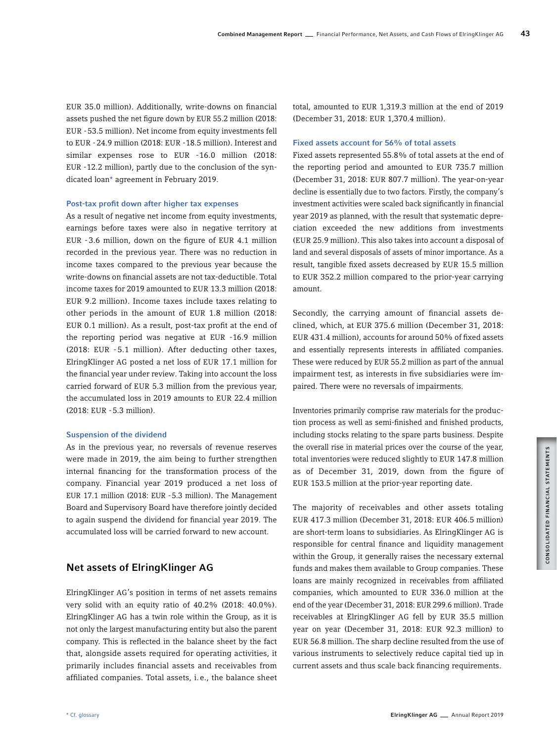EUR 35.0 million). Additionally, write-downs on financial assets pushed the net figure down by EUR 55.2 million (2018: EUR -53.5 million). Net income from equity investments fell to EUR -24.9 million (2018: EUR -18.5 million). Interest and similar expenses rose to EUR -16.0 million (2018: EUR -12.2 million), partly due to the conclusion of the syndicated loan\* agreement in February 2019.

#### Post-tax profit down after higher tax expenses

As a result of negative net income from equity investments, earnings before taxes were also in negative territory at EUR -3.6 million, down on the figure of EUR 4.1 million recorded in the previous year. There was no reduction in income taxes compared to the previous year because the write-downs on financial assets are not tax-deductible. Total income taxes for 2019 amounted to EUR 13.3 million (2018: EUR 9.2 million). Income taxes include taxes relating to other periods in the amount of EUR 1.8 million (2018: EUR 0.1 million). As a result, post-tax profit at the end of the reporting period was negative at EUR -16.9 million (2018: EUR -5.1 million). After deducting other taxes, ElringKlinger AG posted a net loss of EUR 17.1 million for the financial year under review. Taking into account the loss carried forward of EUR 5.3 million from the previous year, the accumulated loss in 2019 amounts to EUR 22.4 million (2018: EUR -5.3 million).

## Suspension of the dividend

As in the previous year, no reversals of revenue reserves were made in 2019, the aim being to further strengthen internal financing for the transformation process of the company. Financial year 2019 produced a net loss of EUR 17.1 million (2018: EUR -5.3 million). The Management Board and Supervisory Board have therefore jointly decided to again suspend the dividend for financial year 2019. The accumulated loss will be carried forward to new account.

# Net assets of ElringKlinger AG

ElringKlinger AG's position in terms of net assets remains very solid with an equity ratio of 40.2% (2018: 40.0%). ElringKlinger AG has a twin role within the Group, as it is not only the largest manufacturing entity but also the parent company. This is reflected in the balance sheet by the fact that, alongside assets required for operating activities, it primarily includes financial assets and receivables from affiliated companies. Total assets, i. e., the balance sheet total, amounted to EUR 1,319.3 million at the end of 2019 (December 31, 2018: EUR 1,370.4 million).

## Fixed assets account for 56% of total assets

Fixed assets represented 55.8% of total assets at the end of the reporting period and amounted to EUR 735.7 million (December 31, 2018: EUR 807.7 million). The year-on-year decline is essentially due to two factors. Firstly, the company's investment activities were scaled back significantly in financial year 2019 as planned, with the result that systematic depreciation exceeded the new additions from investments (EUR 25.9 million). This also takes into account a disposal of land and several disposals of assets of minor importance. As a result, tangible fixed assets decreased by EUR 15.5 million to EUR 352.2 million compared to the prior-year carrying amount.

Secondly, the carrying amount of financial assets declined, which, at EUR 375.6 million (December 31, 2018: EUR 431.4 million), accounts for around 50% of fixed assets and essentially represents interests in affiliated companies. These were reduced by EUR 55.2 million as part of the annual impairment test, as interests in five subsidiaries were impaired. There were no reversals of impairments.

Inventories primarily comprise raw materials for the production process as well as semi-finished and finished products, including stocks relating to the spare parts business. Despite the overall rise in material prices over the course of the year, total inventories were reduced slightly to EUR 147.8 million as of December 31, 2019, down from the figure of EUR 153.5 million at the prior-year reporting date.

The majority of receivables and other assets totaling EUR 417.3 million (December 31, 2018: EUR 406.5 million) are short-term loans to subsidiaries. As ElringKlinger AG is responsible for central finance and liquidity management within the Group, it generally raises the necessary external funds and makes them available to Group companies. These loans are mainly recognized in receivables from affiliated companies, which amounted to EUR 336.0 million at the end of the year (December 31, 2018: EUR 299.6 million). Trade receivables at ElringKlinger AG fell by EUR 35.5 million year on year (December 31, 2018: EUR 92.3 million) to EUR 56.8 million. The sharp decline resulted from the use of various instruments to selectively reduce capital tied up in current assets and thus scale back financing requirements.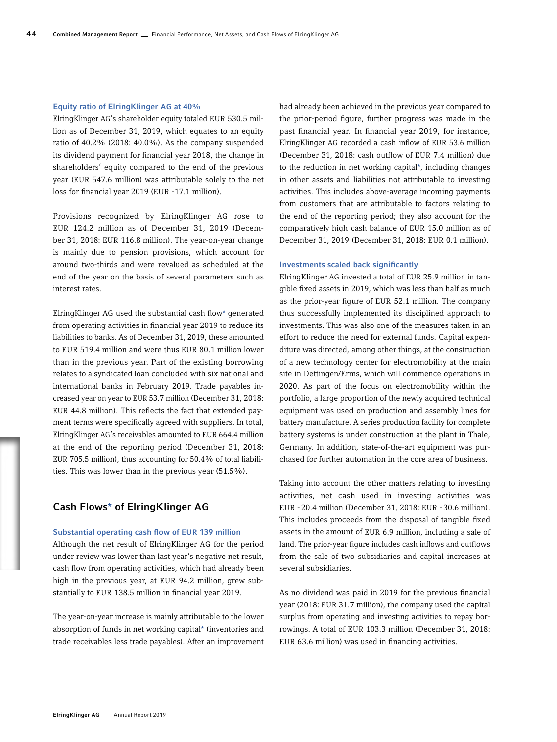#### Equity ratio of ElringKlinger AG at 40%

ElringKlinger AG's shareholder equity totaled EUR 530.5 million as of December 31, 2019, which equates to an equity ratio of 40.2% (2018: 40.0%). As the company suspended its dividend payment for financial year 2018, the change in shareholders' equity compared to the end of the previous year (EUR 547.6 million) was attributable solely to the net loss for financial year 2019 (EUR -17.1 million).

Provisions recognized by ElringKlinger AG rose to EUR 124.2 million as of December 31, 2019 (December 31, 2018: EUR 116.8 million). The year-on-year change is mainly due to pension provisions, which account for around two-thirds and were revalued as scheduled at the end of the year on the basis of several parameters such as interest rates.

ElringKlinger AG used the substantial cash flow\* generated from operating activities in financial year 2019 to reduce its liabilities to banks. As of December 31, 2019, these amounted to EUR 519.4 million and were thus EUR 80.1 million lower than in the previous year. Part of the existing borrowing relates to a syndicated loan concluded with six national and international banks in February 2019. Trade payables increased year on year to EUR 53.7 million (December 31, 2018: EUR 44.8 million). This reflects the fact that extended payment terms were specifically agreed with suppliers. In total, ElringKlinger AG's receivables amounted to EUR 664.4 million at the end of the reporting period (December 31, 2018: EUR 705.5 million), thus accounting for 50.4% of total liabilities. This was lower than in the previous year (51.5%).

# Cash Flows\* of ElringKlinger AG

# Substantial operating cash flow of EUR 139 million

Although the net result of ElringKlinger AG for the period under review was lower than last year's negative net result, cash flow from operating activities, which had already been high in the previous year, at EUR 94.2 million, grew substantially to EUR 138.5 million in financial year 2019.

The year-on-year increase is mainly attributable to the lower absorption of funds in net working capital\* (inventories and trade receivables less trade payables). After an improvement

had already been achieved in the previous year compared to the prior-period figure, further progress was made in the past financial year. In financial year 2019, for instance, ElringKlinger AG recorded a cash inflow of EUR 53.6 million (December 31, 2018: cash outflow of EUR 7.4 million) due to the reduction in net working capital\*, including changes in other assets and liabilities not attributable to investing activities. This includes above-average incoming payments from customers that are attributable to factors relating to the end of the reporting period; they also account for the comparatively high cash balance of EUR 15.0 million as of December 31, 2019 (December 31, 2018: EUR 0.1 million).

#### Investments scaled back significantly

ElringKlinger AG invested a total of EUR 25.9 million in tangible fixed assets in 2019, which was less than half as much as the prior-year figure of EUR 52.1 million. The company thus successfully implemented its disciplined approach to investments. This was also one of the measures taken in an effort to reduce the need for external funds. Capital expenditure was directed, among other things, at the construction of a new technology center for electromobility at the main site in Dettingen/Erms, which will commence operations in 2020. As part of the focus on electromobility within the portfolio, a large proportion of the newly acquired technical equipment was used on production and assembly lines for battery manufacture. A series production facility for complete battery systems is under construction at the plant in Thale, Germany. In addition, state-of-the-art equipment was purchased for further automation in the core area of business.

Taking into account the other matters relating to investing activities, net cash used in investing activities was EUR -20.4 million (December 31, 2018: EUR -30.6 million). This includes proceeds from the disposal of tangible fixed assets in the amount of EUR 6.9 million, including a sale of land. The prior-year figure includes cash inflows and outflows from the sale of two subsidiaries and capital increases at several subsidiaries.

As no dividend was paid in 2019 for the previous financial year (2018: EUR 31.7 million), the company used the capital surplus from operating and investing activities to repay borrowings. A total of EUR 103.3 million (December 31, 2018: EUR 63.6 million) was used in financing activities.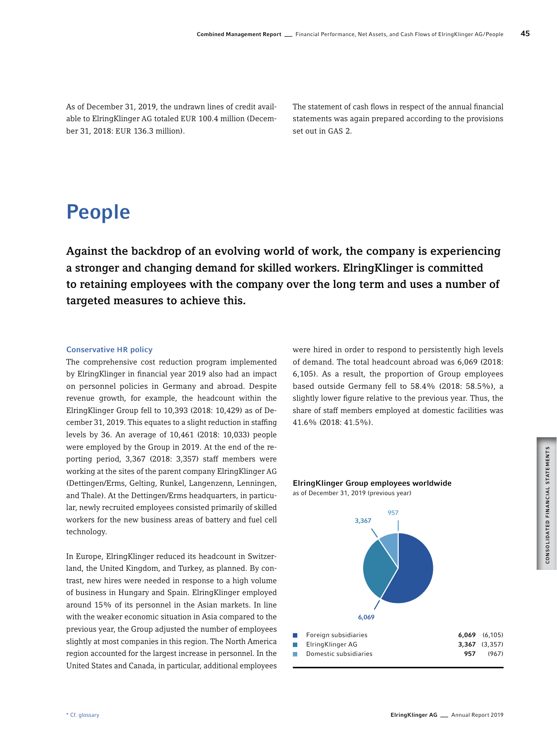As of December 31, 2019, the undrawn lines of credit available to ElringKlinger AG totaled EUR 100.4 million (December 31, 2018: EUR 136.3 million).

The statement of cash flows in respect of the annual financial statements was again prepared according to the provisions set out in GAS 2.

# People

Against the backdrop of an evolving world of work, the company is experiencing a stronger and changing demand for skilled workers. ElringKlinger is committed to retaining employees with the company over the long term and uses a number of targeted measures to achieve this.

# Conservative HR policy

The comprehensive cost reduction program implemented by ElringKlinger in financial year 2019 also had an impact on personnel policies in Germany and abroad. Despite revenue growth, for example, the headcount within the ElringKlinger Group fell to 10,393 (2018: 10,429) as of December 31, 2019. This equates to a slight reduction in staffing levels by 36. An average of 10,461 (2018: 10,033) people were employed by the Group in 2019. At the end of the reporting period, 3,367 (2018: 3,357) staff members were working at the sites of the parent company ElringKlinger AG (Dettingen/Erms, Gelting, Runkel, Langenzenn, Lenningen, and Thale). At the Dettingen/Erms headquarters, in particular, newly recruited employees consisted primarily of skilled workers for the new business areas of battery and fuel cell technology.

In Europe, ElringKlinger reduced its headcount in Switzerland, the United Kingdom, and Turkey, as planned. By contrast, new hires were needed in response to a high volume of business in Hungary and Spain. ElringKlinger employed around 15% of its personnel in the Asian markets. In line with the weaker economic situation in Asia compared to the previous year, the Group adjusted the number of employees slightly at most companies in this region. The North America region accounted for the largest increase in personnel. In the United States and Canada, in particular, additional employees

were hired in order to respond to persistently high levels of demand. The total headcount abroad was 6,069 (2018: 6,105). As a result, the proportion of Group employees based outside Germany fell to 58.4% (2018: 58.5%), a slightly lower figure relative to the previous year. Thus, the share of staff members employed at domestic facilities was 41.6% (2018: 41.5%).

# ElringKlinger Group employees worldwide as of December 31, 2019 (previous year)

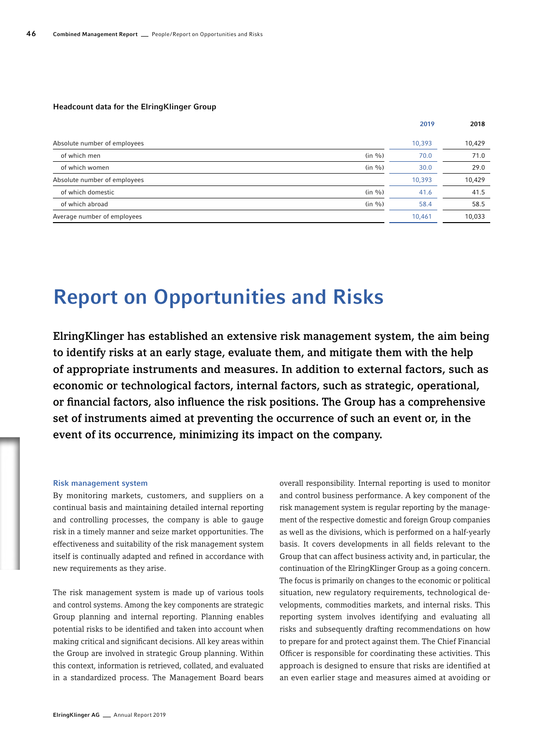#### Headcount data for the ElringKlinger Group

|                                | 2019   | 2018   |
|--------------------------------|--------|--------|
| Absolute number of employees   | 10,393 | 10,429 |
| (in %)<br>of which men         | 70.0   | 71.0   |
| (in %)<br>of which women       | 30.0   | 29.0   |
| Absolute number of employees   | 10,393 | 10,429 |
| $(in \%)$<br>of which domestic | 41.6   | 41.5   |
| (in %)<br>of which abroad      | 58.4   | 58.5   |
| Average number of employees    | 10,461 | 10,033 |

# Report on Opportunities and Risks

ElringKlinger has established an extensive risk management system, the aim being to identify risks at an early stage, evaluate them, and mitigate them with the help of appropriate instruments and measures. In addition to external factors, such as economic or technological factors, internal factors, such as strategic, operational, or financial factors, also influence the risk positions. The Group has a comprehensive set of instruments aimed at preventing the occurrence of such an event or, in the event of its occurrence, minimizing its impact on the company.

#### Risk management system

By monitoring markets, customers, and suppliers on a continual basis and maintaining detailed internal reporting and controlling processes, the company is able to gauge risk in a timely manner and seize market opportunities. The effectiveness and suitability of the risk management system itself is continually adapted and refined in accordance with new requirements as they arise.

The risk management system is made up of various tools and control systems. Among the key components are strategic Group planning and internal reporting. Planning enables potential risks to be identified and taken into account when making critical and significant decisions. All key areas within the Group are involved in strategic Group planning. Within this context, information is retrieved, collated, and evaluated in a standardized process. The Management Board bears

overall responsibility. Internal reporting is used to monitor and control business performance. A key component of the risk management system is regular reporting by the management of the respective domestic and foreign Group companies as well as the divisions, which is performed on a half-yearly basis. It covers developments in all fields relevant to the Group that can affect business activity and, in particular, the continuation of the ElringKlinger Group as a going concern. The focus is primarily on changes to the economic or political situation, new regulatory requirements, technological developments, commodities markets, and internal risks. This reporting system involves identifying and evaluating all risks and subsequently drafting recommendations on how to prepare for and protect against them. The Chief Financial Officer is responsible for coordinating these activities. This approach is designed to ensure that risks are identified at an even earlier stage and measures aimed at avoiding or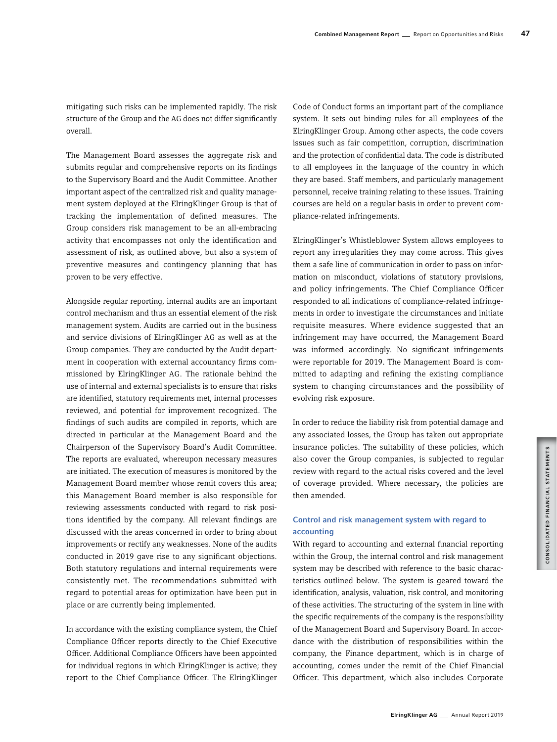mitigating such risks can be implemented rapidly. The risk structure of the Group and the AG does not differ significantly overall.

The Management Board assesses the aggregate risk and submits regular and comprehensive reports on its findings to the Supervisory Board and the Audit Committee. Another important aspect of the centralized risk and quality management system deployed at the ElringKlinger Group is that of tracking the implementation of defined measures. The Group considers risk management to be an all-embracing activity that encompasses not only the identification and assessment of risk, as outlined above, but also a system of preventive measures and contingency planning that has proven to be very effective.

Alongside regular reporting, internal audits are an important control mechanism and thus an essential element of the risk management system. Audits are carried out in the business and service divisions of ElringKlinger AG as well as at the Group companies. They are conducted by the Audit department in cooperation with external accountancy firms commissioned by ElringKlinger AG. The rationale behind the use of internal and external specialists is to ensure that risks are identified, statutory requirements met, internal processes reviewed, and potential for improvement recognized. The findings of such audits are compiled in reports, which are directed in particular at the Management Board and the Chairperson of the Supervisory Board's Audit Committee. The reports are evaluated, whereupon necessary measures are initiated. The execution of measures is monitored by the Management Board member whose remit covers this area; this Management Board member is also responsible for reviewing assessments conducted with regard to risk positions identified by the company. All relevant findings are discussed with the areas concerned in order to bring about improvements or rectify any weaknesses. None of the audits conducted in 2019 gave rise to any significant objections. Both statutory regulations and internal requirements were consistently met. The recommendations submitted with regard to potential areas for optimization have been put in place or are currently being implemented.

In accordance with the existing compliance system, the Chief Compliance Officer reports directly to the Chief Executive Officer. Additional Compliance Officers have been appointed for individual regions in which ElringKlinger is active; they report to the Chief Compliance Officer. The ElringKlinger

Code of Conduct forms an important part of the compliance system. It sets out binding rules for all employees of the ElringKlinger Group. Among other aspects, the code covers issues such as fair competition, corruption, discrimination and the protection of confidential data. The code is distributed to all employees in the language of the country in which they are based. Staff members, and particularly management personnel, receive training relating to these issues. Training courses are held on a regular basis in order to prevent compliance-related infringements.

ElringKlinger's Whistleblower System allows employees to report any irregularities they may come across. This gives them a safe line of communication in order to pass on information on misconduct, violations of statutory provisions, and policy infringements. The Chief Compliance Officer responded to all indications of compliance-related infringements in order to investigate the circumstances and initiate requisite measures. Where evidence suggested that an infringement may have occurred, the Management Board was informed accordingly. No significant infringements were reportable for 2019. The Management Board is committed to adapting and refining the existing compliance system to changing circumstances and the possibility of evolving risk exposure.

In order to reduce the liability risk from potential damage and any associated losses, the Group has taken out appropriate insurance policies. The suitability of these policies, which also cover the Group companies, is subjected to regular review with regard to the actual risks covered and the level of coverage provided. Where necessary, the policies are then amended.

# Control and risk management system with regard to accounting

With regard to accounting and external financial reporting within the Group, the internal control and risk management system may be described with reference to the basic characteristics outlined below. The system is geared toward the identification, analysis, valuation, risk control, and monitoring of these activities. The structuring of the system in line with the specific requirements of the company is the responsibility of the Management Board and Supervisory Board. In accordance with the distribution of responsibilities within the company, the Finance department, which is in charge of accounting, comes under the remit of the Chief Financial Officer. This department, which also includes Corporate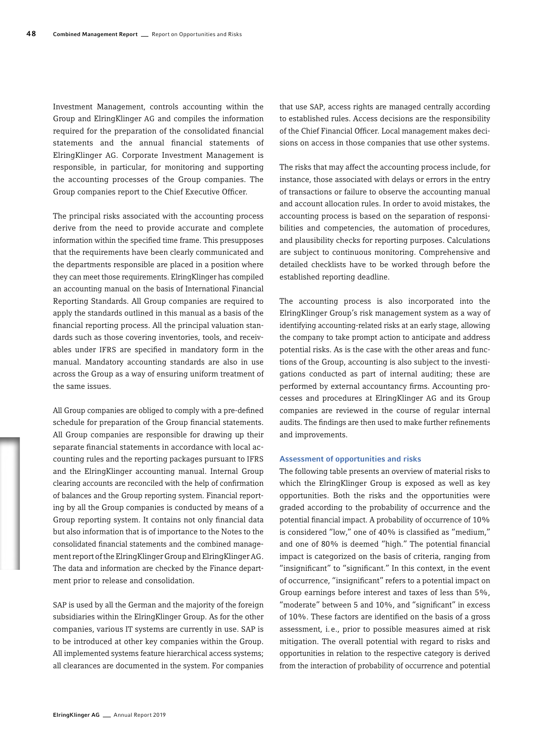Investment Management, controls accounting within the Group and ElringKlinger AG and compiles the information required for the preparation of the consolidated financial statements and the annual financial statements of ElringKlinger AG. Corporate Investment Management is responsible, in particular, for monitoring and supporting the accounting processes of the Group companies. The Group companies report to the Chief Executive Officer.

The principal risks associated with the accounting process derive from the need to provide accurate and complete information within the specified time frame. This presupposes that the requirements have been clearly communicated and the departments responsible are placed in a position where they can meet those requirements. ElringKlinger has compiled an accounting manual on the basis of International Financial Reporting Standards. All Group companies are required to apply the standards outlined in this manual as a basis of the financial reporting process. All the principal valuation standards such as those covering inventories, tools, and receivables under IFRS are specified in mandatory form in the manual. Mandatory accounting standards are also in use across the Group as a way of ensuring uniform treatment of the same issues.

All Group companies are obliged to comply with a pre-defined schedule for preparation of the Group financial statements. All Group companies are responsible for drawing up their separate financial statements in accordance with local accounting rules and the reporting packages pursuant to IFRS and the ElringKlinger accounting manual. Internal Group clearing accounts are reconciled with the help of confirmation of balances and the Group reporting system. Financial reporting by all the Group companies is conducted by means of a Group reporting system. It contains not only financial data but also information that is of importance to the Notes to the consolidated financial statements and the combined management report of the ElringKlinger Group and ElringKlinger AG. The data and information are checked by the Finance department prior to release and consolidation.

SAP is used by all the German and the majority of the foreign subsidiaries within the ElringKlinger Group. As for the other companies, various IT systems are currently in use. SAP is to be introduced at other key companies within the Group. All implemented systems feature hierarchical access systems; all clearances are documented in the system. For companies that use SAP, access rights are managed centrally according to established rules. Access decisions are the responsibility of the Chief Financial Officer. Local management makes decisions on access in those companies that use other systems.

The risks that may affect the accounting process include, for instance, those associated with delays or errors in the entry of transactions or failure to observe the accounting manual and account allocation rules. In order to avoid mistakes, the accounting process is based on the separation of responsibilities and competencies, the automation of procedures, and plausibility checks for reporting purposes. Calculations are subject to continuous monitoring. Comprehensive and detailed checklists have to be worked through before the established reporting deadline.

The accounting process is also incorporated into the ElringKlinger Group's risk management system as a way of identifying accounting-related risks at an early stage, allowing the company to take prompt action to anticipate and address potential risks. As is the case with the other areas and functions of the Group, accounting is also subject to the investigations conducted as part of internal auditing; these are performed by external accountancy firms. Accounting processes and procedures at ElringKlinger AG and its Group companies are reviewed in the course of regular internal audits. The findings are then used to make further refinements and improvements.

# Assessment of opportunities and risks

The following table presents an overview of material risks to which the ElringKlinger Group is exposed as well as key opportunities. Both the risks and the opportunities were graded according to the probability of occurrence and the potential financial impact. A probability of occurrence of 10% is considered "low," one of 40% is classified as "medium," and one of 80% is deemed "high." The potential financial impact is categorized on the basis of criteria, ranging from "insignificant" to "significant." In this context, in the event of occurrence, "insignificant" refers to a potential impact on Group earnings before interest and taxes of less than 5%, "moderate" between 5 and 10%, and "significant" in excess of 10%. These factors are identified on the basis of a gross assessment, i.e., prior to possible measures aimed at risk mitigation. The overall potential with regard to risks and opportunities in relation to the respective category is derived from the interaction of probability of occurrence and potential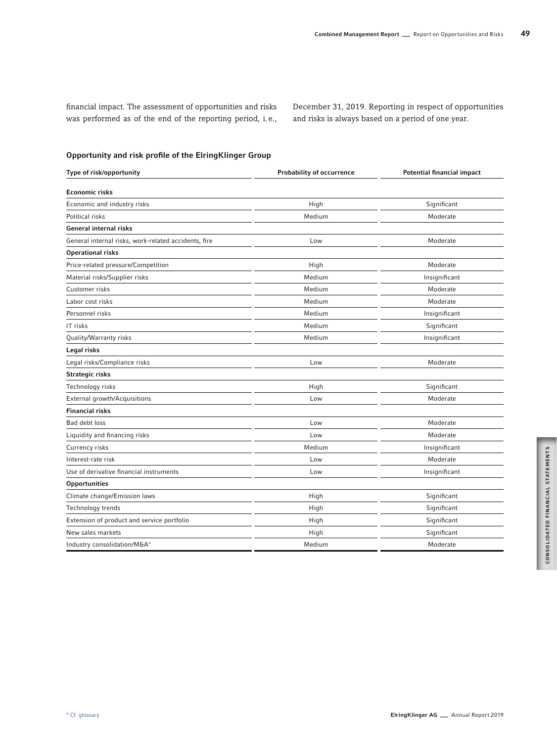financial impact. The assessment of opportunities and risks was performed as of the end of the reporting period, i.e., December 31, 2019. Reporting in respect of opportunities and risks is always based on a period of one year.

# Opportunity and risk profile of the ElringKlinger Group

| Type of risk/opportunity                             | <b>Probability of occurrence</b> | <b>Potential financial impact</b> |
|------------------------------------------------------|----------------------------------|-----------------------------------|
| <b>Economic risks</b>                                |                                  |                                   |
| Economic and industry risks                          | High                             | Significant                       |
| Political risks                                      | Medium                           | Moderate                          |
| <b>General internal risks</b>                        |                                  |                                   |
| General internal risks, work-related accidents, fire | Low                              | Moderate                          |
| <b>Operational risks</b>                             |                                  |                                   |
| Price-related pressure/Competition                   | High                             | Moderate                          |
| Material risks/Supplier risks                        | Medium                           | Insignificant                     |
| Customer risks                                       | Medium                           | Moderate                          |
| Labor cost risks                                     | Medium                           | Moderate                          |
| Personnel risks                                      | Medium                           | Insignificant                     |
| IT risks                                             | Medium                           | Significant                       |
| Quality/Warranty risks                               | Medium                           | Insignificant                     |
| Legal risks                                          |                                  |                                   |
| Legal risks/Compliance risks                         | Low                              | Moderate                          |
| <b>Strategic risks</b>                               |                                  |                                   |
| Technology risks                                     | High                             | Significant                       |
| External growth/Acquisitions                         | Low                              | Moderate                          |
| <b>Financial risks</b>                               |                                  |                                   |
| Bad debt loss                                        | Low                              | Moderate                          |
| Liquidity and financing risks                        | Low                              | Moderate                          |
| Currency risks                                       | Medium                           | Insignificant                     |
| Interest-rate risk                                   | Low                              | Moderate                          |
| Use of derivative financial instruments              | Low                              | Insignificant                     |
| <b>Opportunities</b>                                 |                                  |                                   |
| Climate change/Emission laws                         | High                             | Significant                       |
| Technology trends                                    | High                             | Significant                       |
| Extension of product and service portfolio           | High                             | Significant                       |
| New sales markets                                    | High                             | Significant                       |
| Industry consolidation/M&A*                          | Medium                           | Moderate                          |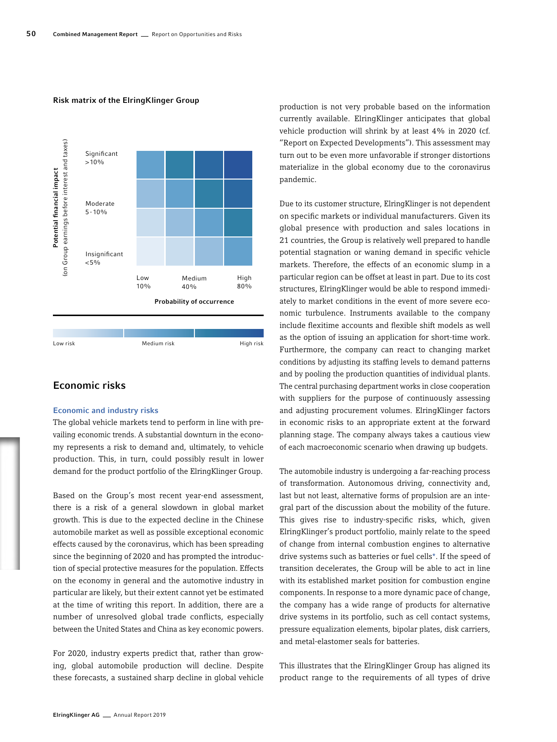# Risk matrix of the ElringKlinger Group



# Economic risks

# Economic and industry risks

The global vehicle markets tend to perform in line with prevailing economic trends. A substantial downturn in the economy represents a risk to demand and, ultimately, to vehicle production. This, in turn, could possibly result in lower demand for the product portfolio of the ElringKlinger Group.

Based on the Group's most recent year-end assessment, there is a risk of a general slowdown in global market growth. This is due to the expected decline in the Chinese automobile market as well as possible exceptional economic effects caused by the coronavirus, which has been spreading since the beginning of 2020 and has prompted the introduction of special protective measures for the population. Effects on the economy in general and the automotive industry in particular are likely, but their extent cannot yet be estimated at the time of writing this report. In addition, there are a number of unresolved global trade conflicts, especially between the United States and China as key economic powers.

For 2020, industry experts predict that, rather than growing, global automobile production will decline. Despite these forecasts, a sustained sharp decline in global vehicle production is not very probable based on the information currently available. ElringKlinger anticipates that global vehicle production will shrink by at least 4% in 2020 (cf. "Report on Expected Developments"). This assessment may turn out to be even more unfavorable if stronger distortions materialize in the global economy due to the coronavirus pandemic.

Due to its customer structure, ElringKlinger is not dependent on specific markets or individual manufacturers. Given its global presence with production and sales locations in 21 countries, the Group is relatively well prepared to handle potential stagnation or waning demand in specific vehicle markets. Therefore, the effects of an economic slump in a particular region can be offset at least in part. Due to its cost structures, ElringKlinger would be able to respond immediately to market conditions in the event of more severe economic turbulence. Instruments available to the company include flexitime accounts and flexible shift models as well as the option of issuing an application for short-time work. Furthermore, the company can react to changing market conditions by adjusting its staffing levels to demand patterns and by pooling the production quantities of individual plants. The central purchasing department works in close cooperation with suppliers for the purpose of continuously assessing and adjusting procurement volumes. ElringKlinger factors in economic risks to an appropriate extent at the forward planning stage. The company always takes a cautious view of each macroeconomic scenario when drawing up budgets.

The automobile industry is undergoing a far-reaching process of transformation. Autonomous driving, connectivity and, last but not least, alternative forms of propulsion are an integral part of the discussion about the mobility of the future. This gives rise to industry-specific risks, which, given ElringKlinger's product portfolio, mainly relate to the speed of change from internal combustion engines to alternative drive systems such as batteries or fuel cells\*. If the speed of transition decelerates, the Group will be able to act in line with its established market position for combustion engine components. In response to a more dynamic pace of change, the company has a wide range of products for alternative drive systems in its portfolio, such as cell contact systems, pressure equalization elements, bipolar plates, disk carriers, and metal-elastomer seals for batteries.

This illustrates that the ElringKlinger Group has aligned its product range to the requirements of all types of drive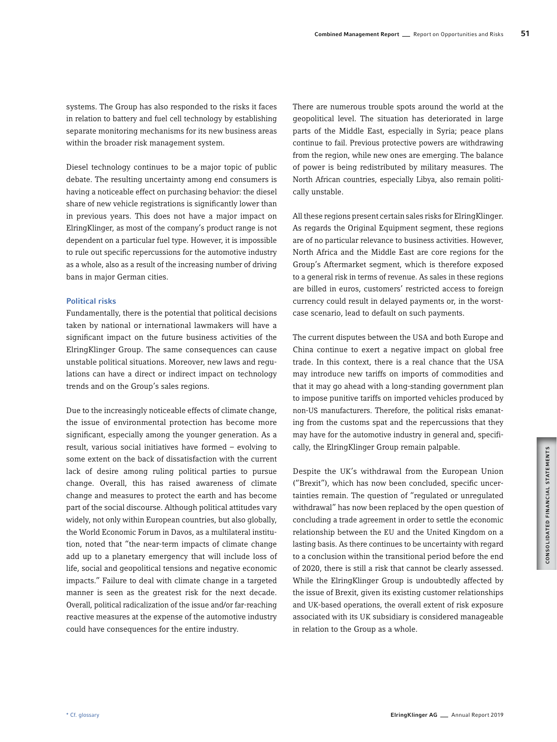systems. The Group has also responded to the risks it faces in relation to battery and fuel cell technology by establishing separate monitoring mechanisms for its new business areas within the broader risk management system.

Diesel technology continues to be a major topic of public debate. The resulting uncertainty among end consumers is having a noticeable effect on purchasing behavior: the diesel share of new vehicle registrations is significantly lower than in previous years. This does not have a major impact on ElringKlinger, as most of the company's product range is not dependent on a particular fuel type. However, it is impossible to rule out specific repercussions for the automotive industry as a whole, also as a result of the increasing number of driving bans in major German cities.

## Political risks

Fundamentally, there is the potential that political decisions taken by national or international lawmakers will have a significant impact on the future business activities of the ElringKlinger Group. The same consequences can cause unstable political situations. Moreover, new laws and regulations can have a direct or indirect impact on technology trends and on the Group's sales regions.

Due to the increasingly noticeable effects of climate change, the issue of environmental protection has become more significant, especially among the younger generation. As a result, various social initiatives have formed – evolving to some extent on the back of dissatisfaction with the current lack of desire among ruling political parties to pursue change. Overall, this has raised awareness of climate change and measures to protect the earth and has become part of the social discourse. Although political attitudes vary widely, not only within European countries, but also globally, the World Economic Forum in Davos, as a multilateral institution, noted that "the near-term impacts of climate change add up to a planetary emergency that will include loss of life, social and geopolitical tensions and negative economic impacts." Failure to deal with climate change in a targeted manner is seen as the greatest risk for the next decade. Overall, political radicalization of the issue and/or far-reaching reactive measures at the expense of the automotive industry could have consequences for the entire industry.

There are numerous trouble spots around the world at the geopolitical level. The situation has deteriorated in large parts of the Middle East, especially in Syria; peace plans continue to fail. Previous protective powers are withdrawing from the region, while new ones are emerging. The balance of power is being redistributed by military measures. The North African countries, especially Libya, also remain politically unstable.

All these regions present certain sales risks for ElringKlinger. As regards the Original Equipment segment, these regions are of no particular relevance to business activities. However, North Africa and the Middle East are core regions for the Group's Aftermarket segment, which is therefore exposed to a general risk in terms of revenue. As sales in these regions are billed in euros, customers' restricted access to foreign currency could result in delayed payments or, in the worstcase scenario, lead to default on such payments.

The current disputes between the USA and both Europe and China continue to exert a negative impact on global free trade. In this context, there is a real chance that the USA may introduce new tariffs on imports of commodities and that it may go ahead with a long-standing government plan to impose punitive tariffs on imported vehicles produced by non-US manufacturers. Therefore, the political risks emanating from the customs spat and the repercussions that they may have for the automotive industry in general and, specifically, the ElringKlinger Group remain palpable.

Despite the UK's withdrawal from the European Union ("Brexit"), which has now been concluded, specific uncertainties remain. The question of "regulated or unregulated withdrawal" has now been replaced by the open question of concluding a trade agreement in order to settle the economic relationship between the EU and the United Kingdom on a lasting basis. As there continues to be uncertainty with regard to a conclusion within the transitional period before the end of 2020, there is still a risk that cannot be clearly assessed. While the ElringKlinger Group is undoubtedly affected by the issue of Brexit, given its existing customer relationships and UK-based operations, the overall extent of risk exposure associated with its UK subsidiary is considered manageable in relation to the Group as a whole.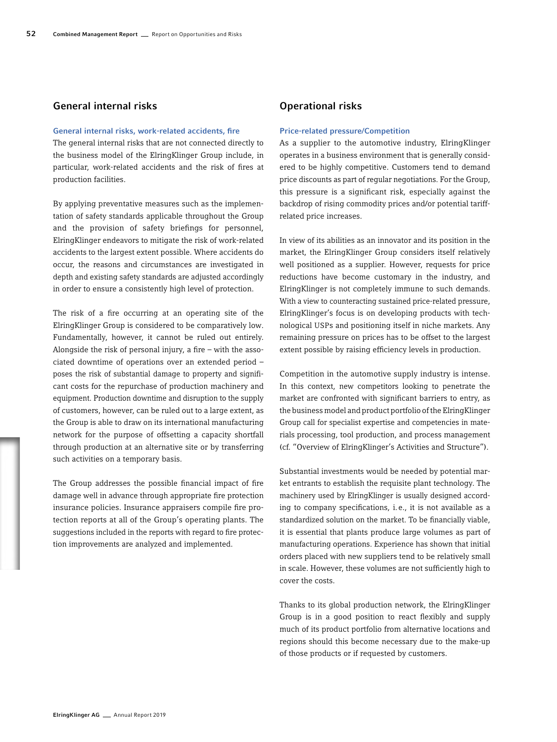# General internal risks

# General internal risks, work-related accidents, fire

The general internal risks that are not connected directly to the business model of the ElringKlinger Group include, in particular, work-related accidents and the risk of fires at production facilities.

By applying preventative measures such as the implementation of safety standards applicable throughout the Group and the provision of safety briefings for personnel, ElringKlinger endeavors to mitigate the risk of work-related accidents to the largest extent possible. Where accidents do occur, the reasons and circumstances are investigated in depth and existing safety standards are adjusted accordingly in order to ensure a consistently high level of protection.

The risk of a fire occurring at an operating site of the ElringKlinger Group is considered to be comparatively low. Fundamentally, however, it cannot be ruled out entirely. Alongside the risk of personal injury, a fire – with the associated downtime of operations over an extended period – poses the risk of substantial damage to property and significant costs for the repurchase of production machinery and equipment. Production downtime and disruption to the supply of customers, however, can be ruled out to a large extent, as the Group is able to draw on its international manufacturing network for the purpose of offsetting a capacity shortfall through production at an alternative site or by transferring such activities on a temporary basis.

The Group addresses the possible financial impact of fire damage well in advance through appropriate fire protection insurance policies. Insurance appraisers compile fire protection reports at all of the Group's operating plants. The suggestions included in the reports with regard to fire protection improvements are analyzed and implemented.

# Operational risks

# Price-related pressure/Competition

As a supplier to the automotive industry, ElringKlinger operates in a business environment that is generally considered to be highly competitive. Customers tend to demand price discounts as part of regular negotiations. For the Group, this pressure is a significant risk, especially against the backdrop of rising commodity prices and/or potential tariffrelated price increases.

In view of its abilities as an innovator and its position in the market, the ElringKlinger Group considers itself relatively well positioned as a supplier. However, requests for price reductions have become customary in the industry, and ElringKlinger is not completely immune to such demands. With a view to counteracting sustained price-related pressure, ElringKlinger's focus is on developing products with technological USPs and positioning itself in niche markets. Any remaining pressure on prices has to be offset to the largest extent possible by raising efficiency levels in production.

Competition in the automotive supply industry is intense. In this context, new competitors looking to penetrate the market are confronted with significant barriers to entry, as the business model and product portfolio of the ElringKlinger Group call for specialist expertise and competencies in materials processing, tool production, and process management (cf. "Overview of ElringKlinger's Activities and Structure").

Substantial investments would be needed by potential market entrants to establish the requisite plant technology. The machinery used by ElringKlinger is usually designed according to company specifications, i.e., it is not available as a standardized solution on the market. To be financially viable, it is essential that plants produce large volumes as part of manufacturing operations. Experience has shown that initial orders placed with new suppliers tend to be relatively small in scale. However, these volumes are not sufficiently high to cover the costs.

Thanks to its global production network, the ElringKlinger Group is in a good position to react flexibly and supply much of its product portfolio from alternative locations and regions should this become necessary due to the make-up of those products or if requested by customers.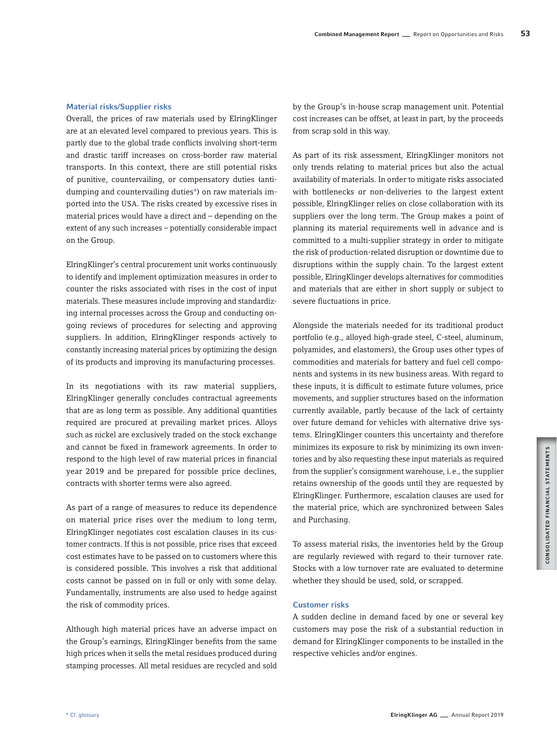# Material risks/Supplier risks

Overall, the prices of raw materials used by ElringKlinger are at an elevated level compared to previous years. This is partly due to the global trade conflicts involving short-term and drastic tariff increases on cross-border raw material transports. In this context, there are still potential risks of punitive, countervailing, or compensatory duties (antidumping and countervailing duties\*) on raw materials imported into the USA. The risks created by excessive rises in material prices would have a direct and – depending on the extent of any such increases – potentially considerable impact on the Group.

ElringKlinger's central procurement unit works continuously to identify and implement optimization measures in order to counter the risks associated with rises in the cost of input materials. These measures include improving and standardizing internal processes across the Group and conducting ongoing reviews of procedures for selecting and approving suppliers. In addition, ElringKlinger responds actively to constantly increasing material prices by optimizing the design of its products and improving its manufacturing processes.

In its negotiations with its raw material suppliers, ElringKlinger generally concludes contractual agreements that are as long term as possible. Any additional quantities required are procured at prevailing market prices. Alloys such as nickel are exclusively traded on the stock exchange and cannot be fixed in framework agreements. In order to respond to the high level of raw material prices in financial year 2019 and be prepared for possible price declines, contracts with shorter terms were also agreed.

As part of a range of measures to reduce its dependence on material price rises over the medium to long term, ElringKlinger negotiates cost escalation clauses in its customer contracts. If this is not possible, price rises that exceed cost estimates have to be passed on to customers where this is considered possible. This involves a risk that additional costs cannot be passed on in full or only with some delay. Fundamentally, instruments are also used to hedge against the risk of commodity prices.

Although high material prices have an adverse impact on the Group's earnings, ElringKlinger benefits from the same high prices when it sells the metal residues produced during stamping processes. All metal residues are recycled and sold by the Group's in-house scrap management unit. Potential cost increases can be offset, at least in part, by the proceeds from scrap sold in this way.

As part of its risk assessment, ElringKlinger monitors not only trends relating to material prices but also the actual availability of materials. In order to mitigate risks associated with bottlenecks or non-deliveries to the largest extent possible, ElringKlinger relies on close collaboration with its suppliers over the long term. The Group makes a point of planning its material requirements well in advance and is committed to a multi-supplier strategy in order to mitigate the risk of production-related disruption or downtime due to disruptions within the supply chain. To the largest extent possible, ElringKlinger develops alternatives for commodities and materials that are either in short supply or subject to severe fluctuations in price.

Alongside the materials needed for its traditional product portfolio (e.g., alloyed high-grade steel, C-steel, aluminum, polyamides, and elastomers), the Group uses other types of commodities and materials for battery and fuel cell components and systems in its new business areas. With regard to these inputs, it is difficult to estimate future volumes, price movements, and supplier structures based on the information currently available, partly because of the lack of certainty over future demand for vehicles with alternative drive systems. ElringKlinger counters this uncertainty and therefore minimizes its exposure to risk by minimizing its own inventories and by also requesting these input materials as required from the supplier's consignment warehouse, i.e., the supplier retains ownership of the goods until they are requested by ElringKlinger. Furthermore, escalation clauses are used for the material price, which are synchronized between Sales and Purchasing.

To assess material risks, the inventories held by the Group are regularly reviewed with regard to their turnover rate. Stocks with a low turnover rate are evaluated to determine whether they should be used, sold, or scrapped.

# Customer risks

A sudden decline in demand faced by one or several key customers may pose the risk of a substantial reduction in demand for ElringKlinger components to be installed in the respective vehicles and/or engines.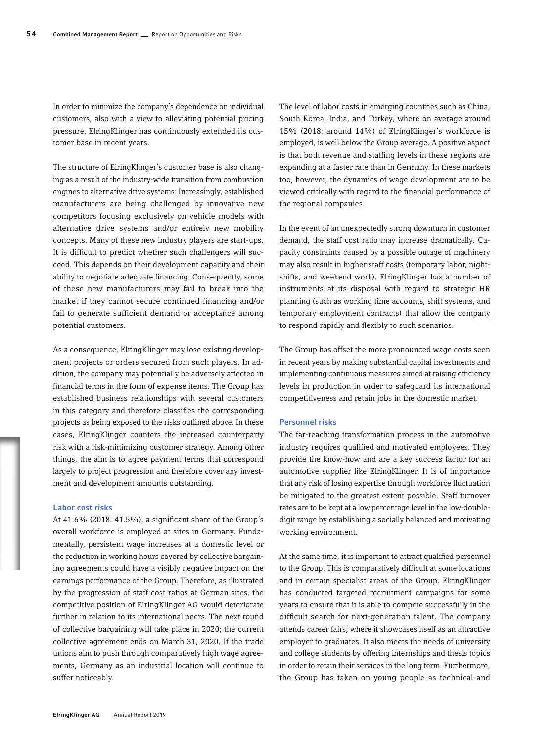In order to minimize the company's dependence on individual customers, also with a view to alleviating potential pricing pressure, ElringKlinger has continuously extended its customer base in recent years.

The structure of ElringKlinger's customer base is also changing as a result of the industry-wide transition from combustion engines to alternative drive systems: Increasingly, established manufacturers are being challenged by innovative new competitors focusing exclusively on vehicle models with alternative drive systems and/or entirely new mobility concepts. Many of these new industry players are start-ups. It is difficult to predict whether such challengers will succeed. This depends on their development capacity and their ability to negotiate adequate financing. Consequently, some of these new manufacturers may fail to break into the market if they cannot secure continued financing and/or fail to generate sufficient demand or acceptance among potential customers.

As a consequence, ElringKlinger may lose existing development projects or orders secured from such players. In addition, the company may potentially be adversely affected in financial terms in the form of expense items. The Group has established business relationships with several customers in this category and therefore classifies the corresponding projects as being exposed to the risks outlined above. In these cases, ElringKlinger counters the increased counterparty risk with a risk-minimizing customer strategy. Among other things, the aim is to agree payment terms that correspond largely to project progression and therefore cover any investment and development amounts outstanding.

## Labor cost risks

At 41.6% (2018: 41.5%), a significant share of the Group's overall workforce is employed at sites in Germany. Fundamentally, persistent wage increases at a domestic level or the reduction in working hours covered by collective bargaining agreements could have a visibly negative impact on the earnings performance of the Group. Therefore, as illustrated by the progression of staff cost ratios at German sites, the competitive position of ElringKlinger AG would deteriorate further in relation to its international peers. The next round of collective bargaining will take place in 2020; the current collective agreement ends on March 31, 2020. If the trade unions aim to push through comparatively high wage agreements, Germany as an industrial location will continue to suffer noticeably.

The level of labor costs in emerging countries such as China, South Korea, India, and Turkey, where on average around 15% (2018: around 14%) of ElringKlinger's workforce is employed, is well below the Group average. A positive aspect is that both revenue and staffing levels in these regions are expanding at a faster rate than in Germany. In these markets too, however, the dynamics of wage development are to be viewed critically with regard to the financial performance of the regional companies.

In the event of an unexpectedly strong downturn in customer demand, the staff cost ratio may increase dramatically. Capacity constraints caused by a possible outage of machinery may also result in higher staff costs (temporary labor, nightshifts, and weekend work). ElringKlinger has a number of instruments at its disposal with regard to strategic HR planning (such as working time accounts, shift systems, and temporary employment contracts) that allow the company to respond rapidly and flexibly to such scenarios.

The Group has offset the more pronounced wage costs seen in recent years by making substantial capital investments and implementing continuous measures aimed at raising efficiency levels in production in order to safeguard its international competitiveness and retain jobs in the domestic market.

## Personnel risks

The far-reaching transformation process in the automotive industry requires qualified and motivated employees. They provide the know-how and are a key success factor for an automotive supplier like ElringKlinger. It is of importance that any risk of losing expertise through workforce fluctuation be mitigated to the greatest extent possible. Staff turnover rates are to be kept at a low percentage level in the low-doubledigit range by establishing a socially balanced and motivating working environment.

At the same time, it is important to attract qualified personnel to the Group. This is comparatively difficult at some locations and in certain specialist areas of the Group. ElringKlinger has conducted targeted recruitment campaigns for some years to ensure that it is able to compete successfully in the difficult search for next-generation talent. The company attends career fairs, where it showcases itself as an attractive employer to graduates. It also meets the needs of university and college students by offering internships and thesis topics in order to retain their services in the long term. Furthermore, the Group has taken on young people as technical and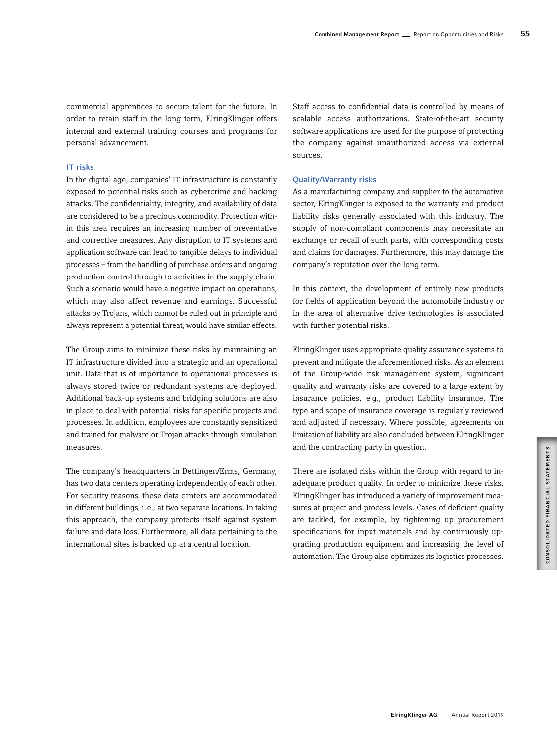commercial apprentices to secure talent for the future. In order to retain staff in the long term, ElringKlinger offers internal and external training courses and programs for personal advancement.

# IT risks

In the digital age, companies' IT infrastructure is constantly exposed to potential risks such as cybercrime and hacking attacks. The confidentiality, integrity, and availability of data are considered to be a precious commodity. Protection within this area requires an increasing number of preventative and corrective measures. Any disruption to IT systems and application software can lead to tangible delays to individual processes – from the handling of purchase orders and ongoing production control through to activities in the supply chain. Such a scenario would have a negative impact on operations, which may also affect revenue and earnings. Successful attacks by Trojans, which cannot be ruled out in principle and always represent a potential threat, would have similar effects.

The Group aims to minimize these risks by maintaining an IT infrastructure divided into a strategic and an operational unit. Data that is of importance to operational processes is always stored twice or redundant systems are deployed. Additional back-up systems and bridging solutions are also in place to deal with potential risks for specific projects and processes. In addition, employees are constantly sensitized and trained for malware or Trojan attacks through simulation measures.

The company's headquarters in Dettingen/Erms, Germany, has two data centers operating independently of each other. For security reasons, these data centers are accommodated in different buildings, i.e., at two separate locations. In taking this approach, the company protects itself against system failure and data loss. Furthermore, all data pertaining to the international sites is backed up at a central location.

Staff access to confidential data is controlled by means of scalable access authorizations. State-of-the-art security software applications are used for the purpose of protecting the company against unauthorized access via external sources.

# Quality/Warranty risks

As a manufacturing company and supplier to the automotive sector, ElringKlinger is exposed to the warranty and product liability risks generally associated with this industry. The supply of non-compliant components may necessitate an exchange or recall of such parts, with corresponding costs and claims for damages. Furthermore, this may damage the company's reputation over the long term.

In this context, the development of entirely new products for fields of application beyond the automobile industry or in the area of alternative drive technologies is associated with further potential risks.

ElringKlinger uses appropriate quality assurance systems to prevent and mitigate the aforementioned risks. As an element of the Group-wide risk management system, significant quality and warranty risks are covered to a large extent by insurance policies, e.g., product liability insurance. The type and scope of insurance coverage is regularly reviewed and adjusted if necessary. Where possible, agreements on limitation of liability are also concluded between ElringKlinger and the contracting party in question.

There are isolated risks within the Group with regard to inadequate product quality. In order to minimize these risks, ElringKlinger has introduced a variety of improvement measures at project and process levels. Cases of deficient quality are tackled, for example, by tightening up procurement specifications for input materials and by continuously upgrading production equipment and increasing the level of automation. The Group also optimizes its logistics processes.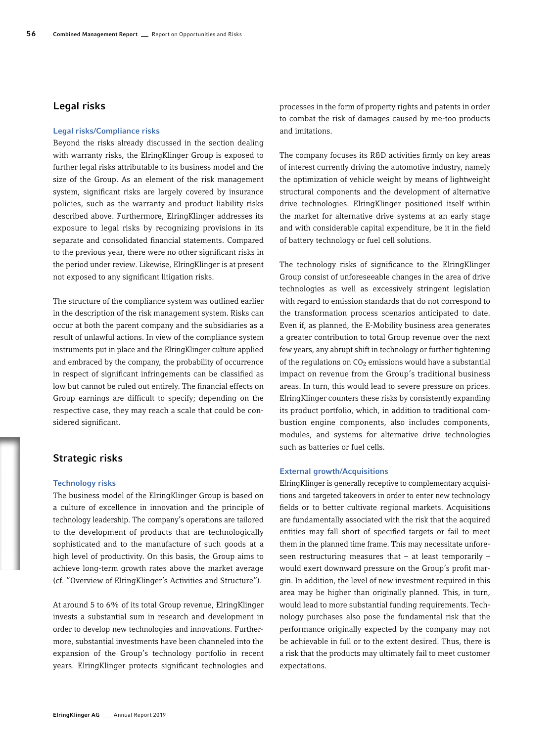# Legal risks

# Legal risks/Compliance risks

Beyond the risks already discussed in the section dealing with warranty risks, the ElringKlinger Group is exposed to further legal risks attributable to its business model and the size of the Group. As an element of the risk management system, significant risks are largely covered by insurance policies, such as the warranty and product liability risks described above. Furthermore, ElringKlinger addresses its exposure to legal risks by recognizing provisions in its separate and consolidated financial statements. Compared to the previous year, there were no other significant risks in the period under review. Likewise, ElringKlinger is at present not exposed to any significant litigation risks.

The structure of the compliance system was outlined earlier in the description of the risk management system. Risks can occur at both the parent company and the subsidiaries as a result of unlawful actions. In view of the compliance system instruments put in place and the ElringKlinger culture applied and embraced by the company, the probability of occurrence in respect of significant infringements can be classified as low but cannot be ruled out entirely. The financial effects on Group earnings are difficult to specify; depending on the respective case, they may reach a scale that could be considered significant.

# Strategic risks

#### Technology risks

The business model of the ElringKlinger Group is based on a culture of excellence in innovation and the principle of technology leadership. The company's operations are tailored to the development of products that are technologically sophisticated and to the manufacture of such goods at a high level of productivity. On this basis, the Group aims to achieve long-term growth rates above the market average (cf. "Overview of ElringKlinger's Activities and Structure").

At around 5 to 6% of its total Group revenue, ElringKlinger invests a substantial sum in research and development in order to develop new technologies and innovations. Furthermore, substantial investments have been channeled into the expansion of the Group's technology portfolio in recent years. ElringKlinger protects significant technologies and

processes in the form of property rights and patents in order to combat the risk of damages caused by me-too products and imitations.

The company focuses its R&D activities firmly on key areas of interest currently driving the automotive industry, namely the optimization of vehicle weight by means of lightweight structural components and the development of alternative drive technologies. ElringKlinger positioned itself within the market for alternative drive systems at an early stage and with considerable capital expenditure, be it in the field of battery technology or fuel cell solutions.

The technology risks of significance to the ElringKlinger Group consist of unforeseeable changes in the area of drive technologies as well as excessively stringent legislation with regard to emission standards that do not correspond to the transformation process scenarios anticipated to date. Even if, as planned, the E-Mobility business area generates a greater contribution to total Group revenue over the next few years, any abrupt shift in technology or further tightening of the regulations on  $CO<sub>2</sub>$  emissions would have a substantial impact on revenue from the Group's traditional business areas. In turn, this would lead to severe pressure on prices. ElringKlinger counters these risks by consistently expanding its product portfolio, which, in addition to traditional combustion engine components, also includes components, modules, and systems for alternative drive technologies such as batteries or fuel cells.

# External growth/Acquisitions

ElringKlinger is generally receptive to complementary acquisitions and targeted takeovers in order to enter new technology fields or to better cultivate regional markets. Acquisitions are fundamentally associated with the risk that the acquired entities may fall short of specified targets or fail to meet them in the planned time frame. This may necessitate unforeseen restructuring measures that – at least temporarily – would exert downward pressure on the Group's profit margin. In addition, the level of new investment required in this area may be higher than originally planned. This, in turn, would lead to more substantial funding requirements. Technology purchases also pose the fundamental risk that the performance originally expected by the company may not be achievable in full or to the extent desired. Thus, there is a risk that the products may ultimately fail to meet customer expectations.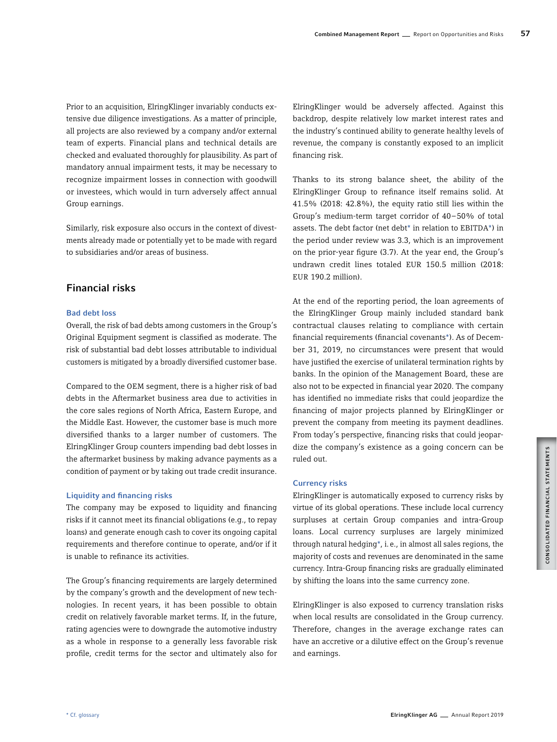Prior to an acquisition, ElringKlinger invariably conducts extensive due diligence investigations. As a matter of principle, all projects are also reviewed by a company and/or external team of experts. Financial plans and technical details are checked and evaluated thoroughly for plausibility. As part of mandatory annual impairment tests, it may be necessary to recognize impairment losses in connection with goodwill or investees, which would in turn adversely affect annual Group earnings.

Similarly, risk exposure also occurs in the context of divestments already made or potentially yet to be made with regard to subsidiaries and/or areas of business.

# Financial risks

# Bad debt loss

Overall, the risk of bad debts among customers in the Group's Original Equipment segment is classified as moderate. The risk of substantial bad debt losses attributable to individual customers is mitigated by a broadly diversified customer base.

Compared to the OEM segment, there is a higher risk of bad debts in the Aftermarket business area due to activities in the core sales regions of North Africa, Eastern Europe, and the Middle East. However, the customer base is much more diversified thanks to a larger number of customers. The ElringKlinger Group counters impending bad debt losses in the aftermarket business by making advance payments as a condition of payment or by taking out trade credit insurance.

# Liquidity and financing risks

The company may be exposed to liquidity and financing risks if it cannot meet its financial obligations (e.g., to repay loans) and generate enough cash to cover its ongoing capital requirements and therefore continue to operate, and/or if it is unable to refinance its activities.

The Group's financing requirements are largely determined by the company's growth and the development of new technologies. In recent years, it has been possible to obtain credit on relatively favorable market terms. If, in the future, rating agencies were to downgrade the automotive industry as a whole in response to a generally less favorable risk profile, credit terms for the sector and ultimately also for ElringKlinger would be adversely affected. Against this backdrop, despite relatively low market interest rates and the industry's continued ability to generate healthy levels of revenue, the company is constantly exposed to an implicit financing risk.

Thanks to its strong balance sheet, the ability of the ElringKlinger Group to refinance itself remains solid. At 41.5% (2018: 42.8%), the equity ratio still lies within the Group's medium-term target corridor of 40–50% of total assets. The debt factor (net debt\* in relation to EBITDA\*) in the period under review was 3.3, which is an improvement on the prior-year figure (3.7). At the year end, the Group's undrawn credit lines totaled EUR 150.5 million (2018: EUR 190.2 million).

At the end of the reporting period, the loan agreements of the ElringKlinger Group mainly included standard bank contractual clauses relating to compliance with certain financial requirements (financial covenants\*). As of December 31, 2019, no circumstances were present that would have justified the exercise of unilateral termination rights by banks. In the opinion of the Management Board, these are also not to be expected in financial year 2020. The company has identified no immediate risks that could jeopardize the financing of major projects planned by ElringKlinger or prevent the company from meeting its payment deadlines. From today's perspective, financing risks that could jeopardize the company's existence as a going concern can be ruled out.

# Currency risks

ElringKlinger is automatically exposed to currency risks by virtue of its global operations. These include local currency surpluses at certain Group companies and intra-Group loans. Local currency surpluses are largely minimized through natural hedging\*, i.e., in almost all sales regions, the majority of costs and revenues are denominated in the same currency. Intra-Group financing risks are gradually eliminated by shifting the loans into the same currency zone.

ElringKlinger is also exposed to currency translation risks when local results are consolidated in the Group currency. Therefore, changes in the average exchange rates can have an accretive or a dilutive effect on the Group's revenue and earnings.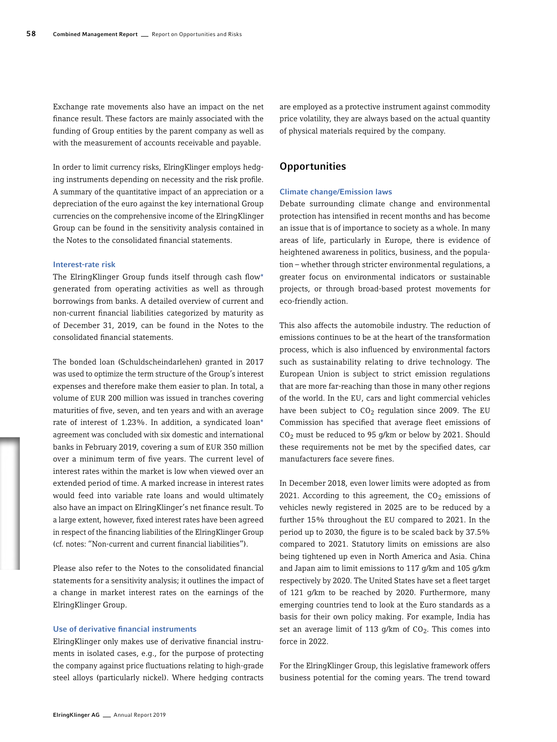Exchange rate movements also have an impact on the net finance result. These factors are mainly associated with the funding of Group entities by the parent company as well as with the measurement of accounts receivable and payable.

In order to limit currency risks, ElringKlinger employs hedging instruments depending on necessity and the risk profile. A summary of the quantitative impact of an appreciation or a depreciation of the euro against the key international Group currencies on the comprehensive income of the ElringKlinger Group can be found in the sensitivity analysis contained in the Notes to the consolidated financial statements.

# Interest-rate risk

The ElringKlinger Group funds itself through cash flow\* generated from operating activities as well as through borrowings from banks. A detailed overview of current and non-current financial liabilities categorized by maturity as of December 31, 2019, can be found in the Notes to the consolidated financial statements.

The bonded loan (Schuldscheindarlehen) granted in 2017 was used to optimize the term structure of the Group's interest expenses and therefore make them easier to plan. In total, a volume of EUR 200 million was issued in tranches covering maturities of five, seven, and ten years and with an average rate of interest of 1.23%. In addition, a syndicated loan\* agreement was concluded with six domestic and international banks in February 2019, covering a sum of EUR 350 million over a minimum term of five years. The current level of interest rates within the market is low when viewed over an extended period of time. A marked increase in interest rates would feed into variable rate loans and would ultimately also have an impact on ElringKlinger's net finance result. To a large extent, however, fixed interest rates have been agreed in respect of the financing liabilities of the ElringKlinger Group (cf. notes: "Non-current and current financial liabilities").

Please also refer to the Notes to the consolidated financial statements for a sensitivity analysis; it outlines the impact of a change in market interest rates on the earnings of the ElringKlinger Group.

## Use of derivative financial instruments

ElringKlinger only makes use of derivative financial instruments in isolated cases, e.g., for the purpose of protecting the company against price fluctuations relating to high-grade steel alloys (particularly nickel). Where hedging contracts

are employed as a protective instrument against commodity price volatility, they are always based on the actual quantity of physical materials required by the company.

# **Opportunities**

#### Climate change/Emission laws

Debate surrounding climate change and environmental protection has intensified in recent months and has become an issue that is of importance to society as a whole. In many areas of life, particularly in Europe, there is evidence of heightened awareness in politics, business, and the population – whether through stricter environmental regulations, a greater focus on environmental indicators or sustainable projects, or through broad-based protest movements for eco-friendly action.

This also affects the automobile industry. The reduction of emissions continues to be at the heart of the transformation process, which is also influenced by environmental factors such as sustainability relating to drive technology. The European Union is subject to strict emission regulations that are more far-reaching than those in many other regions of the world. In the EU, cars and light commercial vehicles have been subject to  $CO<sub>2</sub>$  regulation since 2009. The EU Commission has specified that average fleet emissions of CO2 must be reduced to 95 g/km or below by 2021. Should these requirements not be met by the specified dates, car manufacturers face severe fines.

In December 2018, even lower limits were adopted as from 2021. According to this agreement, the  $CO<sub>2</sub>$  emissions of vehicles newly registered in 2025 are to be reduced by a further 15% throughout the EU compared to 2021. In the period up to 2030, the figure is to be scaled back by 37.5% compared to 2021. Statutory limits on emissions are also being tightened up even in North America and Asia. China and Japan aim to limit emissions to 117 g/km and 105 g/km respectively by 2020. The United States have set a fleet target of 121 g/km to be reached by 2020. Furthermore, many emerging countries tend to look at the Euro standards as a basis for their own policy making. For example, India has set an average limit of 113 g/km of  $CO<sub>2</sub>$ . This comes into force in 2022.

For the ElringKlinger Group, this legislative framework offers business potential for the coming years. The trend toward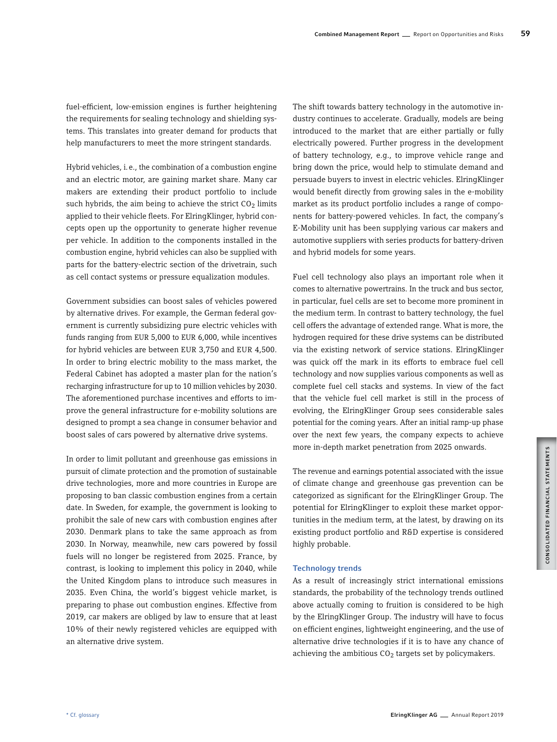fuel-efficient, low-emission engines is further heightening the requirements for sealing technology and shielding systems. This translates into greater demand for products that help manufacturers to meet the more stringent standards.

Hybrid vehicles, i.e., the combination of a combustion engine and an electric motor, are gaining market share. Many car makers are extending their product portfolio to include such hybrids, the aim being to achieve the strict  $CO<sub>2</sub>$  limits applied to their vehicle fleets. For ElringKlinger, hybrid concepts open up the opportunity to generate higher revenue per vehicle. In addition to the components installed in the combustion engine, hybrid vehicles can also be supplied with parts for the battery-electric section of the drivetrain, such as cell contact systems or pressure equalization modules.

Government subsidies can boost sales of vehicles powered by alternative drives. For example, the German federal government is currently subsidizing pure electric vehicles with funds ranging from EUR 5,000 to EUR 6,000, while incentives for hybrid vehicles are between EUR 3,750 and EUR 4,500. In order to bring electric mobility to the mass market, the Federal Cabinet has adopted a master plan for the nation's recharging infrastructure for up to 10 million vehicles by 2030. The aforementioned purchase incentives and efforts to improve the general infrastructure for e-mobility solutions are designed to prompt a sea change in consumer behavior and boost sales of cars powered by alternative drive systems.

In order to limit pollutant and greenhouse gas emissions in pursuit of climate protection and the promotion of sustainable drive technologies, more and more countries in Europe are proposing to ban classic combustion engines from a certain date. In Sweden, for example, the government is looking to prohibit the sale of new cars with combustion engines after 2030. Denmark plans to take the same approach as from 2030. In Norway, meanwhile, new cars powered by fossil fuels will no longer be registered from 2025. France, by contrast, is looking to implement this policy in 2040, while the United Kingdom plans to introduce such measures in 2035. Even China, the world's biggest vehicle market, is preparing to phase out combustion engines. Effective from 2019, car makers are obliged by law to ensure that at least 10% of their newly registered vehicles are equipped with an alternative drive system.

The shift towards battery technology in the automotive industry continues to accelerate. Gradually, models are being introduced to the market that are either partially or fully electrically powered. Further progress in the development of battery technology, e.g., to improve vehicle range and bring down the price, would help to stimulate demand and persuade buyers to invest in electric vehicles. ElringKlinger would benefit directly from growing sales in the e-mobility market as its product portfolio includes a range of components for battery-powered vehicles. In fact, the company's E-Mobility unit has been supplying various car makers and automotive suppliers with series products for battery-driven and hybrid models for some years.

Fuel cell technology also plays an important role when it comes to alternative powertrains. In the truck and bus sector, in particular, fuel cells are set to become more prominent in the medium term. In contrast to battery technology, the fuel cell offers the advantage of extended range. What is more, the hydrogen required for these drive systems can be distributed via the existing network of service stations. ElringKlinger was quick off the mark in its efforts to embrace fuel cell technology and now supplies various components as well as complete fuel cell stacks and systems. In view of the fact that the vehicle fuel cell market is still in the process of evolving, the ElringKlinger Group sees considerable sales potential for the coming years. After an initial ramp-up phase over the next few years, the company expects to achieve more in-depth market penetration from 2025 onwards.

The revenue and earnings potential associated with the issue of climate change and greenhouse gas prevention can be categorized as significant for the ElringKlinger Group. The potential for ElringKlinger to exploit these market opportunities in the medium term, at the latest, by drawing on its existing product portfolio and R&D expertise is considered highly probable.

# Technology trends

As a result of increasingly strict international emissions standards, the probability of the technology trends outlined above actually coming to fruition is considered to be high by the ElringKlinger Group. The industry will have to focus on efficient engines, lightweight engineering, and the use of alternative drive technologies if it is to have any chance of achieving the ambitious  $CO<sub>2</sub>$  targets set by policymakers.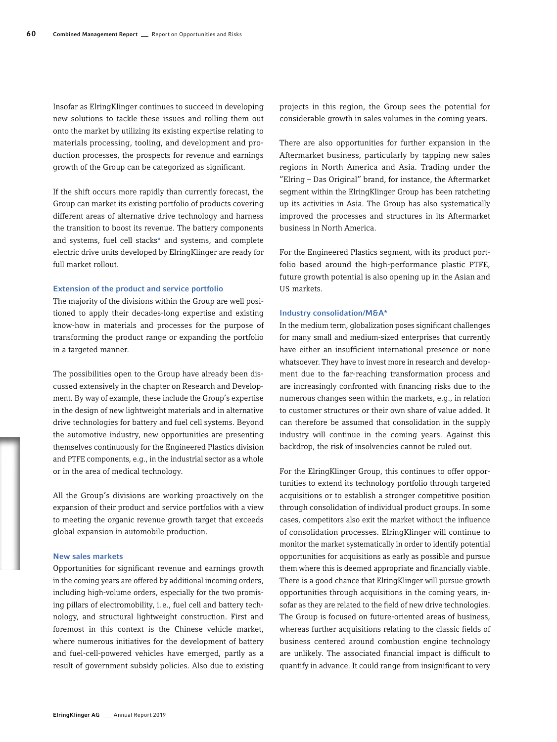Insofar as ElringKlinger continues to succeed in developing new solutions to tackle these issues and rolling them out onto the market by utilizing its existing expertise relating to materials processing, tooling, and development and production processes, the prospects for revenue and earnings growth of the Group can be categorized as significant.

If the shift occurs more rapidly than currently forecast, the Group can market its existing portfolio of products covering different areas of alternative drive technology and harness the transition to boost its revenue. The battery components and systems, fuel cell stacks\* and systems, and complete electric drive units developed by ElringKlinger are ready for full market rollout.

#### Extension of the product and service portfolio

The majority of the divisions within the Group are well positioned to apply their decades-long expertise and existing know-how in materials and processes for the purpose of transforming the product range or expanding the portfolio in a targeted manner.

The possibilities open to the Group have already been discussed extensively in the chapter on Research and Development. By way of example, these include the Group's expertise in the design of new lightweight materials and in alternative drive technologies for battery and fuel cell systems. Beyond the automotive industry, new opportunities are presenting themselves continuously for the Engineered Plastics division and PTFE components, e.g., in the industrial sector as a whole or in the area of medical technology.

All the Group's divisions are working proactively on the expansion of their product and service portfolios with a view to meeting the organic revenue growth target that exceeds global expansion in automobile production.

# New sales markets

Opportunities for significant revenue and earnings growth in the coming years are offered by additional incoming orders, including high-volume orders, especially for the two promising pillars of electromobility, i.e., fuel cell and battery technology, and structural lightweight construction. First and foremost in this context is the Chinese vehicle market, where numerous initiatives for the development of battery and fuel-cell-powered vehicles have emerged, partly as a result of government subsidy policies. Also due to existing

projects in this region, the Group sees the potential for considerable growth in sales volumes in the coming years.

There are also opportunities for further expansion in the Aftermarket business, particularly by tapping new sales regions in North America and Asia. Trading under the "Elring – Das Original" brand, for instance, the Aftermarket segment within the ElringKlinger Group has been ratcheting up its activities in Asia. The Group has also systematically improved the processes and structures in its Aftermarket business in North America.

For the Engineered Plastics segment, with its product portfolio based around the high-performance plastic PTFE, future growth potential is also opening up in the Asian and US markets.

#### Industry consolidation/M&A\*

In the medium term, globalization poses significant challenges for many small and medium-sized enterprises that currently have either an insufficient international presence or none whatsoever. They have to invest more in research and development due to the far-reaching transformation process and are increasingly confronted with financing risks due to the numerous changes seen within the markets, e.g., in relation to customer structures or their own share of value added. It can therefore be assumed that consolidation in the supply industry will continue in the coming years. Against this backdrop, the risk of insolvencies cannot be ruled out.

For the ElringKlinger Group, this continues to offer opportunities to extend its technology portfolio through targeted acquisitions or to establish a stronger competitive position through consolidation of individual product groups. In some cases, competitors also exit the market without the influence of consolidation processes. ElringKlinger will continue to monitor the market systematically in order to identify potential opportunities for acquisitions as early as possible and pursue them where this is deemed appropriate and financially viable. There is a good chance that ElringKlinger will pursue growth opportunities through acquisitions in the coming years, insofar as they are related to the field of new drive technologies. The Group is focused on future-oriented areas of business, whereas further acquisitions relating to the classic fields of business centered around combustion engine technology are unlikely. The associated financial impact is difficult to quantify in advance. It could range from insignificant to very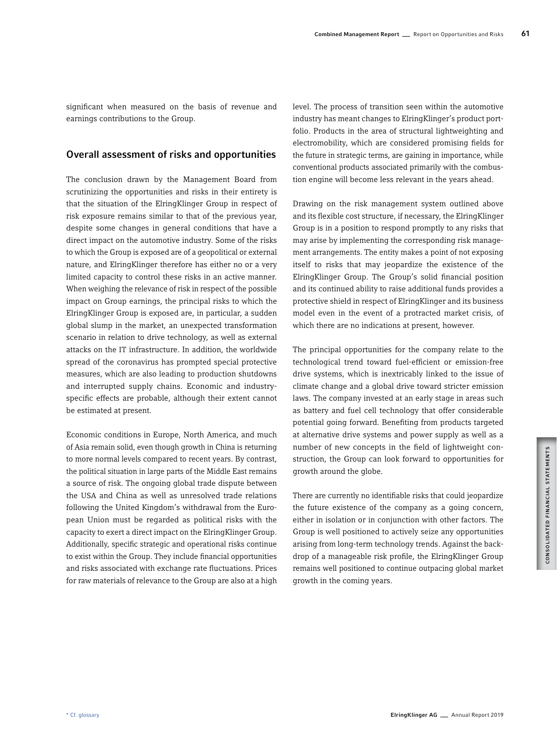significant when measured on the basis of revenue and earnings contributions to the Group.

# Overall assessment of risks and opportunities

The conclusion drawn by the Management Board from scrutinizing the opportunities and risks in their entirety is that the situation of the ElringKlinger Group in respect of risk exposure remains similar to that of the previous year, despite some changes in general conditions that have a direct impact on the automotive industry. Some of the risks to which the Group is exposed are of a geopolitical or external nature, and ElringKlinger therefore has either no or a very limited capacity to control these risks in an active manner. When weighing the relevance of risk in respect of the possible impact on Group earnings, the principal risks to which the ElringKlinger Group is exposed are, in particular, a sudden global slump in the market, an unexpected transformation scenario in relation to drive technology, as well as external attacks on the IT infrastructure. In addition, the worldwide spread of the coronavirus has prompted special protective measures, which are also leading to production shutdowns and interrupted supply chains. Economic and industryspecific effects are probable, although their extent cannot be estimated at present.

Economic conditions in Europe, North America, and much of Asia remain solid, even though growth in China is returning to more normal levels compared to recent years. By contrast, the political situation in large parts of the Middle East remains a source of risk. The ongoing global trade dispute between the USA and China as well as unresolved trade relations following the United Kingdom's withdrawal from the European Union must be regarded as political risks with the capacity to exert a direct impact on the ElringKlinger Group. Additionally, specific strategic and operational risks continue to exist within the Group. They include financial opportunities and risks associated with exchange rate fluctuations. Prices for raw materials of relevance to the Group are also at a high level. The process of transition seen within the automotive industry has meant changes to ElringKlinger's product portfolio. Products in the area of structural lightweighting and electromobility, which are considered promising fields for the future in strategic terms, are gaining in importance, while conventional products associated primarily with the combustion engine will become less relevant in the years ahead.

Drawing on the risk management system outlined above and its flexible cost structure, if necessary, the ElringKlinger Group is in a position to respond promptly to any risks that may arise by implementing the corresponding risk management arrangements. The entity makes a point of not exposing itself to risks that may jeopardize the existence of the ElringKlinger Group. The Group's solid financial position and its continued ability to raise additional funds provides a protective shield in respect of ElringKlinger and its business model even in the event of a protracted market crisis, of which there are no indications at present, however.

The principal opportunities for the company relate to the technological trend toward fuel-efficient or emission-free drive systems, which is inextricably linked to the issue of climate change and a global drive toward stricter emission laws. The company invested at an early stage in areas such as battery and fuel cell technology that offer considerable potential going forward. Benefiting from products targeted at alternative drive systems and power supply as well as a number of new concepts in the field of lightweight construction, the Group can look forward to opportunities for growth around the globe.

There are currently no identifiable risks that could jeopardize the future existence of the company as a going concern, either in isolation or in conjunction with other factors. The Group is well positioned to actively seize any opportunities arising from long-term technology trends. Against the backdrop of a manageable risk profile, the ElringKlinger Group remains well positioned to continue outpacing global market growth in the coming years.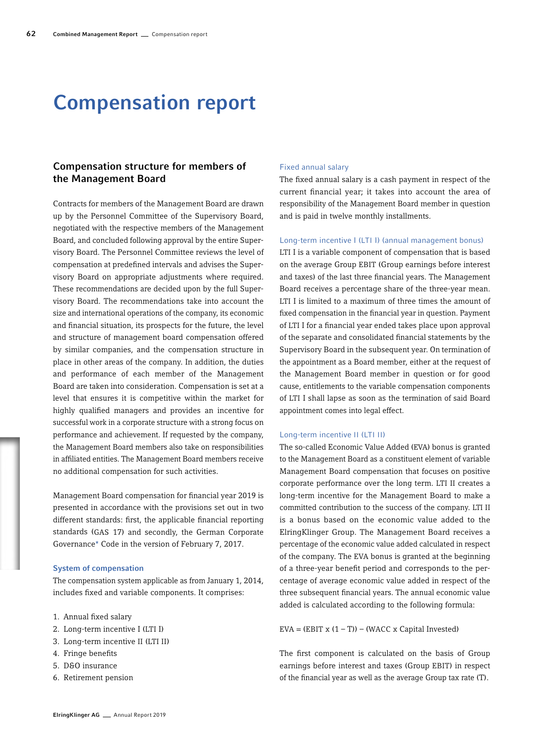# Compensation report

# Compensation structure for members of the Management Board

Contracts for members of the Management Board are drawn up by the Personnel Committee of the Supervisory Board, negotiated with the respective members of the Management Board, and concluded following approval by the entire Supervisory Board. The Personnel Committee reviews the level of compensation at predefined intervals and advises the Supervisory Board on appropriate adjustments where required. These recommendations are decided upon by the full Supervisory Board. The recommendations take into account the size and international operations of the company, its economic and financial situation, its prospects for the future, the level and structure of management board compensation offered by similar companies, and the compensation structure in place in other areas of the company. In addition, the duties and performance of each member of the Management Board are taken into consideration. Compensation is set at a level that ensures it is competitive within the market for highly qualified managers and provides an incentive for successful work in a corporate structure with a strong focus on performance and achievement. If requested by the company, the Management Board members also take on responsibilities in affiliated entities. The Management Board members receive no additional compensation for such activities.

Management Board compensation for financial year 2019 is presented in accordance with the provisions set out in two different standards: first, the applicable financial reporting standards (GAS 17) and secondly, the German Corporate Governance\* Code in the version of February 7, 2017.

# System of compensation

The compensation system applicable as from January 1, 2014, includes fixed and variable components. It comprises:

- 1. Annual fixed salary
- 2. Long-term incentive I (LTI I)
- 3. Long-term incentive II (LTI II)
- 4. Fringe benefits
- 5. D&O insurance
- 6. Retirement pension

# Fixed annual salary

The fixed annual salary is a cash payment in respect of the current financial year; it takes into account the area of responsibility of the Management Board member in question and is paid in twelve monthly installments.

# Long-term incentive I (LTI I) (annual management bonus)

LTI I is a variable component of compensation that is based on the average Group EBIT (Group earnings before interest and taxes) of the last three financial years. The Management Board receives a percentage share of the three-year mean. LTI I is limited to a maximum of three times the amount of fixed compensation in the financial year in question. Payment of LTI I for a financial year ended takes place upon approval of the separate and consolidated financial statements by the Supervisory Board in the subsequent year. On termination of the appointment as a Board member, either at the request of the Management Board member in question or for good cause, entitlements to the variable compensation components of LTI I shall lapse as soon as the termination of said Board appointment comes into legal effect.

## Long-term incentive II (LTI II)

The so-called Economic Value Added (EVA) bonus is granted to the Management Board as a constituent element of variable Management Board compensation that focuses on positive corporate performance over the long term. LTI II creates a long-term incentive for the Management Board to make a committed contribution to the success of the company. LTI II is a bonus based on the economic value added to the ElringKlinger Group. The Management Board receives a percentage of the economic value added calculated in respect of the company. The EVA bonus is granted at the beginning of a three-year benefit period and corresponds to the percentage of average economic value added in respect of the three subsequent financial years. The annual economic value added is calculated according to the following formula:

EVA =  $(EBIT \times (1 - T)) - (WACC \times Capital\ Invested)$ 

The first component is calculated on the basis of Group earnings before interest and taxes (Group EBIT) in respect of the financial year as well as the average Group tax rate (T).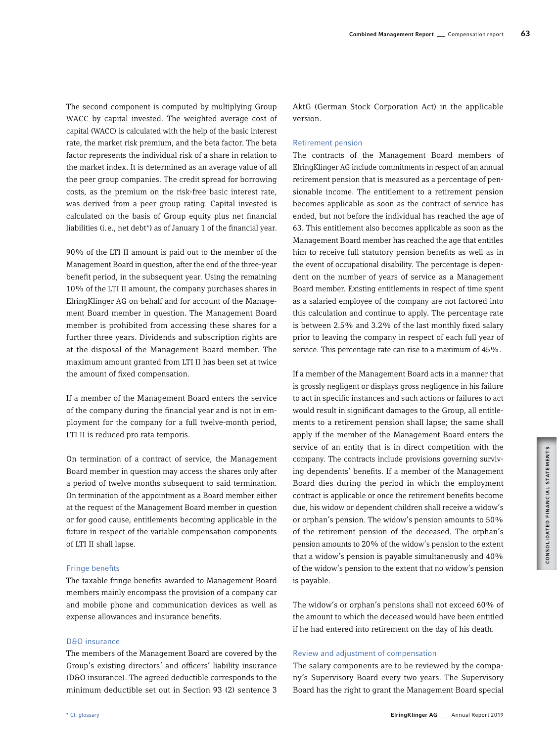The second component is computed by multiplying Group WACC by capital invested. The weighted average cost of capital (WACC) is calculated with the help of the basic interest rate, the market risk premium, and the beta factor. The beta factor represents the individual risk of a share in relation to the market index. It is determined as an average value of all the peer group companies. The credit spread for borrowing costs, as the premium on the risk-free basic interest rate, was derived from a peer group rating. Capital invested is calculated on the basis of Group equity plus net financial liabilities (i.e., net debt\*) as of January 1 of the financial year.

90% of the LTI II amount is paid out to the member of the Management Board in question, after the end of the three-year benefit period, in the subsequent year. Using the remaining 10% of the LTI II amount, the company purchases shares in ElringKlinger AG on behalf and for account of the Management Board member in question. The Management Board member is prohibited from accessing these shares for a further three years. Dividends and subscription rights are at the disposal of the Management Board member. The maximum amount granted from LTI II has been set at twice the amount of fixed compensation.

If a member of the Management Board enters the service of the company during the financial year and is not in employment for the company for a full twelve-month period, LTI II is reduced pro rata temporis.

On termination of a contract of service, the Management Board member in question may access the shares only after a period of twelve months subsequent to said termination. On termination of the appointment as a Board member either at the request of the Management Board member in question or for good cause, entitlements becoming applicable in the future in respect of the variable compensation components of LTI II shall lapse.

#### Fringe benefits

The taxable fringe benefits awarded to Management Board members mainly encompass the provision of a company car and mobile phone and communication devices as well as expense allowances and insurance benefits.

# D&O insurance

The members of the Management Board are covered by the Group's existing directors' and officers' liability insurance (D&O insurance). The agreed deductible corresponds to the minimum deductible set out in Section 93 (2) sentence 3

AktG (German Stock Corporation Act) in the applicable version.

#### Retirement pension

The contracts of the Management Board members of ElringKlinger AG include commitments in respect of an annual retirement pension that is measured as a percentage of pensionable income. The entitlement to a retirement pension becomes applicable as soon as the contract of service has ended, but not before the individual has reached the age of 63. This entitlement also becomes applicable as soon as the Management Board member has reached the age that entitles him to receive full statutory pension benefits as well as in the event of occupational disability. The percentage is dependent on the number of years of service as a Management Board member. Existing entitlements in respect of time spent as a salaried employee of the company are not factored into this calculation and continue to apply. The percentage rate is between 2.5% and 3.2% of the last monthly fixed salary prior to leaving the company in respect of each full year of service. This percentage rate can rise to a maximum of 45%.

If a member of the Management Board acts in a manner that is grossly negligent or displays gross negligence in his failure to act in specific instances and such actions or failures to act would result in significant damages to the Group, all entitlements to a retirement pension shall lapse; the same shall apply if the member of the Management Board enters the service of an entity that is in direct competition with the company. The contracts include provisions governing surviving dependents' benefits. If a member of the Management Board dies during the period in which the employment contract is applicable or once the retirement benefits become due, his widow or dependent children shall receive a widow's or orphan's pension. The widow's pension amounts to 50% of the retirement pension of the deceased. The orphan's pension amounts to 20% of the widow's pension to the extent that a widow's pension is payable simultaneously and 40% of the widow's pension to the extent that no widow's pension is payable.

The widow's or orphan's pensions shall not exceed 60% of the amount to which the deceased would have been entitled if he had entered into retirement on the day of his death.

# Review and adjustment of compensation

The salary components are to be reviewed by the company's Supervisory Board every two years. The Supervisory Board has the right to grant the Management Board special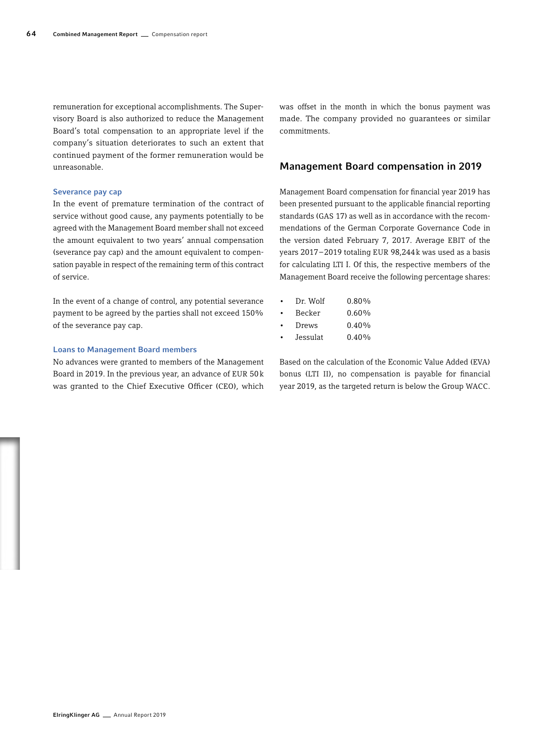remuneration for exceptional accomplishments. The Supervisory Board is also authorized to reduce the Management Board's total compensation to an appropriate level if the company's situation deteriorates to such an extent that continued payment of the former remuneration would be unreasonable.

# Severance pay cap

In the event of premature termination of the contract of service without good cause, any payments potentially to be agreed with the Management Board member shall not exceed the amount equivalent to two years' annual compensation (severance pay cap) and the amount equivalent to compensation payable in respect of the remaining term of this contract of service.

In the event of a change of control, any potential severance payment to be agreed by the parties shall not exceed 150% of the severance pay cap.

## Loans to Management Board members

No advances were granted to members of the Management Board in 2019. In the previous year, an advance of EUR 50k was granted to the Chief Executive Officer (CEO), which

was offset in the month in which the bonus payment was made. The company provided no guarantees or similar commitments.

# Management Board compensation in 2019

Management Board compensation for financial year 2019 has been presented pursuant to the applicable financial reporting standards (GAS 17) as well as in accordance with the recommendations of the German Corporate Governance Code in the version dated February 7, 2017. Average EBIT of the years 2017–2019 totaling EUR 98,244k was used as a basis for calculating LTI I. Of this, the respective members of the Management Board receive the following percentage shares:

| ٠         | Dr. Wolf       | $0.80\%$ |
|-----------|----------------|----------|
| $\bullet$ | Becker         | 0.60%    |
| $\bullet$ | Drews          | $0.40\%$ |
|           | T 1 . <i>1</i> | 0.1001   |

• Jessulat 0.40%

Based on the calculation of the Economic Value Added (EVA) bonus (LTI II), no compensation is payable for financial year 2019, as the targeted return is below the Group WACC.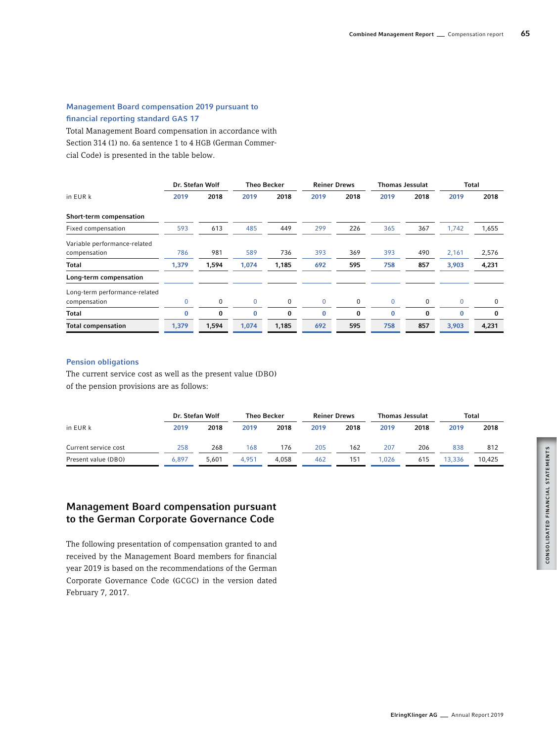# Management Board compensation 2019 pursuant to financial reporting standard GAS 17

Total Management Board compensation in accordance with Section 314 (1) no. 6a sentence 1 to 4 HGB (German Commercial Code) is presented in the table below.

|                                               |       | Dr. Stefan Wolf |             | <b>Theo Becker</b> | <b>Reiner Drews</b> |      | Thomas Jessulat |             |             | <b>Total</b> |
|-----------------------------------------------|-------|-----------------|-------------|--------------------|---------------------|------|-----------------|-------------|-------------|--------------|
| in EUR k                                      | 2019  | 2018            | 2019        | 2018               | 2019                | 2018 | 2019            | 2018        | 2019        | 2018         |
| Short-term compensation                       |       |                 |             |                    |                     |      |                 |             |             |              |
| Fixed compensation                            | 593   | 613             | 485         | 449                | 299                 | 226  | 365             | 367         | 1,742       | 1,655        |
| Variable performance-related<br>compensation  | 786   | 981             | 589         | 736                | 393                 | 369  | 393             | 490         | 2,161       | 2,576        |
| Total                                         | 1,379 | 1,594           | 1,074       | 1,185              | 692                 | 595  | 758             | 857         | 3,903       | 4,231        |
| Long-term compensation                        |       |                 |             |                    |                     |      |                 |             |             |              |
| Long-term performance-related<br>compensation | 0     | 0               | $\mathbf 0$ | 0                  | $\mathbf{0}$        | 0    | $\mathbf 0$     | $\mathbf 0$ | $\mathbf 0$ | 0            |
| Total                                         | 0     | 0               | 0           | 0                  | 0                   | 0    | 0               | $\bf{0}$    | $\bf{0}$    | $\bf{0}$     |
| <b>Total compensation</b>                     | 1,379 | 1,594           | 1,074       | 1,185              | 692                 | 595  | 758             | 857         | 3,903       | 4,231        |

# Pension obligations

The current service cost as well as the present value (DBO) of the pension provisions are as follows:

|                      |       | Dr. Stefan Wolf |       | <b>Theo Becker</b> | <b>Reiner Drews</b> |      |      | <b>Thomas Jessulat</b> |        | Total  |
|----------------------|-------|-----------------|-------|--------------------|---------------------|------|------|------------------------|--------|--------|
| in EUR k             | 2019  | 2018            | 2019  | 2018               | 2019                | 2018 | 2019 | 2018                   | 2019   | 2018   |
| Current service cost | 258   | 268             | 168   | 176                | 205                 | 162  | 207  | 206                    | 838    | 812    |
| Present value (DBO)  | 6.897 | 5.601           | 4.951 | 4.058              | 462                 | 151  | .026 | 615                    | 13,336 | 10.425 |

# Management Board compensation pursuant to the German Corporate Governance Code

The following presentation of compensation granted to and received by the Management Board members for financial year 2019 is based on the recommendations of the German Corporate Governance Code (GCGC) in the version dated February 7, 2017.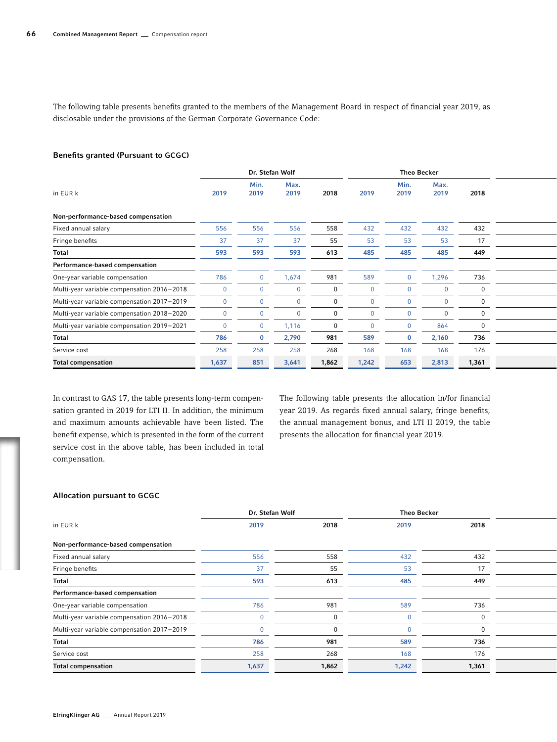The following table presents benefits granted to the members of the Management Board in respect of financial year 2019, as disclosable under the provisions of the German Corporate Governance Code:

# Benefits granted (Pursuant to GCGC)

|                                            |       |              | Dr. Stefan Wolf |       |       | <b>Theo Becker</b> |              |       |  |
|--------------------------------------------|-------|--------------|-----------------|-------|-------|--------------------|--------------|-------|--|
| in EUR k                                   | 2019  | Min.<br>2019 | Max.<br>2019    | 2018  | 2019  | Min.<br>2019       | Max.<br>2019 | 2018  |  |
| Non-performance-based compensation         |       |              |                 |       |       |                    |              |       |  |
| Fixed annual salary                        | 556   | 556          | 556             | 558   | 432   | 432                | 432          | 432   |  |
| Fringe benefits                            | 37    | 27           | 37              | 55    | 53    | 53                 | 53           | 17    |  |
| Total                                      | 593   | 593          | 593             | 613   | 485   | 485                | 485          | 449   |  |
| Performance-based compensation             |       |              |                 |       |       |                    |              |       |  |
| One-year variable compensation             | 786   |              | 1.674           | 981   | 589   |                    | 1,296        | 736   |  |
| Multi-year variable compensation 2016-2018 |       |              |                 |       |       |                    |              |       |  |
| Multi-year variable compensation 2017-2019 |       |              |                 |       |       |                    |              |       |  |
| Multi-year variable compensation 2018-2020 |       |              |                 |       |       |                    |              |       |  |
| Multi-year variable compensation 2019-2021 |       |              | 1.116           |       |       |                    | 864          |       |  |
| Total                                      | 786   |              | 2,790           | 981   | 589   |                    | 2,160        | 736   |  |
| Service cost                               | 258   | 258          | 258             | 268   | 168   | 168                | 168          | 176   |  |
| <b>Total compensation</b>                  | 1,637 | 851          | 3,641           | 1,862 | 1,242 | 653                | 2,813        | 1,361 |  |

In contrast to GAS 17, the table presents long-term compensation granted in 2019 for LTI II. In addition, the minimum and maximum amounts achievable have been listed. The benefit expense, which is presented in the form of the current service cost in the above table, has been included in total compensation.

The following table presents the allocation in/for financial year 2019. As regards fixed annual salary, fringe benefits, the annual management bonus, and LTI II 2019, the table presents the allocation for financial year 2019.

# Allocation pursuant to GCGC

|                                            | Dr. Stefan Wolf |       | <b>Theo Becker</b> |       |  |
|--------------------------------------------|-----------------|-------|--------------------|-------|--|
| in EUR k                                   | 2019            | 2018  | 2019               | 2018  |  |
| Non-performance-based compensation         |                 |       |                    |       |  |
| Fixed annual salary                        | 556             | 558   | 432                | 432   |  |
| Fringe benefits                            |                 |       | 53                 |       |  |
| Total                                      | 593             | 613   | 485                | 449   |  |
| Performance-based compensation             |                 |       |                    |       |  |
| One-year variable compensation             | 786             | 981   | 589                | 736   |  |
| Multi-year variable compensation 2016-2018 |                 |       |                    |       |  |
| Multi-year variable compensation 2017-2019 |                 |       |                    |       |  |
| Total                                      | 786             | 981   | 589                | 736   |  |
| Service cost                               | 258             | 268   | 168                | 176   |  |
| <b>Total compensation</b>                  | 1,637           | 1,862 | 1,242              | 1,361 |  |
|                                            |                 |       |                    |       |  |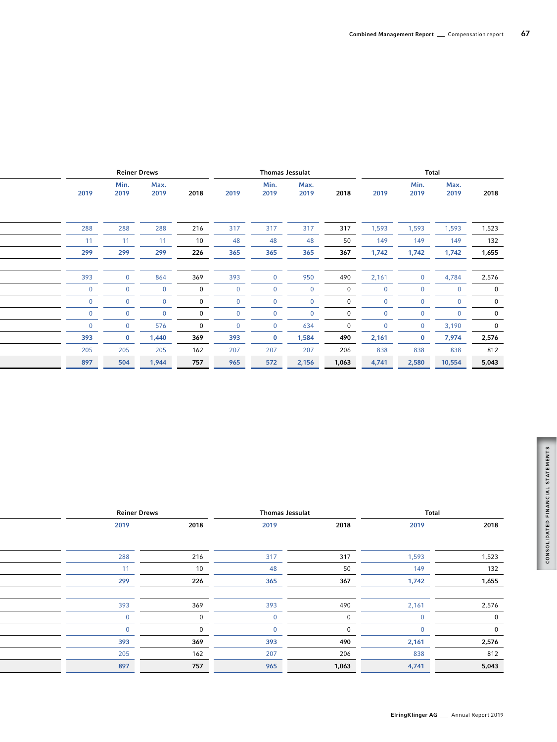| Reiner Drews |              |              | <b>Thomas Jessulat</b> |      |              |              | Total |       |              |              |       |
|--------------|--------------|--------------|------------------------|------|--------------|--------------|-------|-------|--------------|--------------|-------|
| 2019         | Min.<br>2019 | Max.<br>2019 | 2018                   | 2019 | Min.<br>2019 | Max.<br>2019 | 2018  | 2019  | Min.<br>2019 | Max.<br>2019 | 2018  |
|              |              |              |                        |      |              |              |       |       |              |              |       |
| 288          | 288          | 288          | 216                    | 317  | 317          | 317          | 317   | 1,593 | 1,593        | 1,593        | 1,523 |
| 11           | 11           | 11           | 10 <sup>°</sup>        | 48   | 48           | 48           | 50    | 149   | 149          | 149          | 132   |
| 299          | 299          | 299          | 226                    | 365  | 365          | 365          | 367   | 1,742 | 1,742        | 1,742        | 1,655 |
|              |              |              |                        |      |              |              |       |       |              |              |       |
| 393          |              | 864          | 369                    | 393  |              | 950          | 490   | 2,161 | $\mathbf{r}$ | 4,784        | 2,576 |
|              |              |              |                        |      |              |              |       |       |              |              |       |
|              |              |              |                        |      |              |              |       |       |              |              |       |
|              |              |              |                        |      |              |              |       |       |              |              |       |
|              |              | 576          |                        |      |              | 634          |       |       |              | 3.190        |       |
| 393          |              | 1,440        | 369                    | 393  |              | 1,584        | 490   | 2,161 | $\mathbf{0}$ | 7,974        | 2,576 |
| 205          | 205          | 205          | 162                    | 207  | 207          | 207          | 206   | 838   | 838          | 838          | 812   |
| 897          | 504          | 1.944        | 757                    | 965  | 572          | 2,156        | 1,063 | 4,741 | 2,580        | 10,554       | 5,043 |
|              |              |              |                        |      |              |              |       |       |              |              |       |

| 2019<br>2018<br>2019<br>2018          |      | <b>Reiner Drews</b> |  |
|---------------------------------------|------|---------------------|--|
|                                       | 2018 | 2019                |  |
|                                       |      |                     |  |
| 317<br>216<br>317<br>1,593<br>1,523   |      | 288                 |  |
| 132<br>10<br>149<br>50<br>48<br>44    |      |                     |  |
| 226<br>1,742<br>1,655<br>365<br>367   |      | 299                 |  |
|                                       |      |                     |  |
| 369<br>393<br>490<br>2,161<br>2,576   |      | 393                 |  |
|                                       |      |                     |  |
|                                       |      |                     |  |
| 2,576<br>369<br>393<br>490<br>2,161   |      | 393                 |  |
| 162<br>207<br>206<br>838<br>812       |      | 205                 |  |
| 5,043<br>757<br>1,063<br>965<br>4,741 |      | 897                 |  |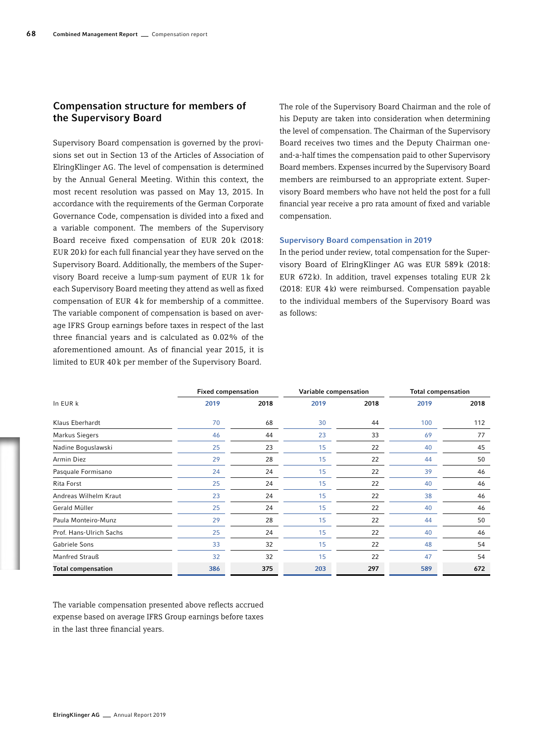# Compensation structure for members of the Supervisory Board

Supervisory Board compensation is governed by the provisions set out in Section 13 of the Articles of Association of ElringKlinger AG. The level of compensation is determined by the Annual General Meeting. Within this context, the most recent resolution was passed on May 13, 2015. In accordance with the requirements of the German Corporate Governance Code, compensation is divided into a fixed and a variable component. The members of the Supervisory Board receive fixed compensation of EUR 20k (2018: EUR 20k) for each full financial year they have served on the Supervisory Board. Additionally, the members of the Supervisory Board receive a lump-sum payment of EUR 1k for each Supervisory Board meeting they attend as well as fixed compensation of EUR 4k for membership of a committee. The variable component of compensation is based on average IFRS Group earnings before taxes in respect of the last three financial years and is calculated as 0.02% of the aforementioned amount. As of financial year 2015, it is limited to EUR 40k per member of the Supervisory Board.

The role of the Supervisory Board Chairman and the role of his Deputy are taken into consideration when determining the level of compensation. The Chairman of the Supervisory Board receives two times and the Deputy Chairman oneand-a-half times the compensation paid to other Supervisory Board members. Expenses incurred by the Supervisory Board members are reimbursed to an appropriate extent. Supervisory Board members who have not held the post for a full financial year receive a pro rata amount of fixed and variable compensation.

# Supervisory Board compensation in 2019

In the period under review, total compensation for the Supervisory Board of ElringKlinger AG was EUR 589k (2018: EUR 672k). In addition, travel expenses totaling EUR 2k (2018: EUR 4k) were reimbursed. Compensation payable to the individual members of the Supervisory Board was as follows:

|                           | <b>Fixed compensation</b> |      |      | Variable compensation | <b>Total compensation</b> |      |  |
|---------------------------|---------------------------|------|------|-----------------------|---------------------------|------|--|
| In EUR k                  | 2019                      | 2018 | 2019 | 2018                  | 2019                      | 2018 |  |
| Klaus Eberhardt           | 70                        | 68   | 30   | 44                    | 100                       | 112  |  |
| Markus Siegers            | 46                        | 44   | 23   | 33                    | 69                        | 77   |  |
| Nadine Boguslawski        | 25                        | 23   | 15   | 22                    | 40                        | 45   |  |
| Armin Diez                | 29                        | 28   | 15   | 22                    | 44                        | 50   |  |
| Pasquale Formisano        | 24                        | 24   | 15   | 22                    | 39                        | 46   |  |
| Rita Forst                | 25                        | 24   | 15   | 22                    | 40                        | 46   |  |
| Andreas Wilhelm Kraut     | 23                        | 24   | 15   | 22                    | 38                        | 46   |  |
| Gerald Müller             | 25                        | 24   | 15   | 22                    | 40                        | 46   |  |
| Paula Monteiro-Munz       | 29                        | 28   | 15   | 22                    | 44                        | 50   |  |
| Prof. Hans-Ulrich Sachs   | 25                        | 24   | 15   | 22                    | 40                        | 46   |  |
| Gabriele Sons             | 33                        | 32   | 15   | 22                    | 48                        | 54   |  |
| Manfred Strauß            | 32                        | 32   | 15   | 22                    | 47                        | 54   |  |
| <b>Total compensation</b> | 386                       | 375  | 203  | 297                   | 589                       | 672  |  |

The variable compensation presented above reflects accrued expense based on average IFRS Group earnings before taxes in the last three financial years.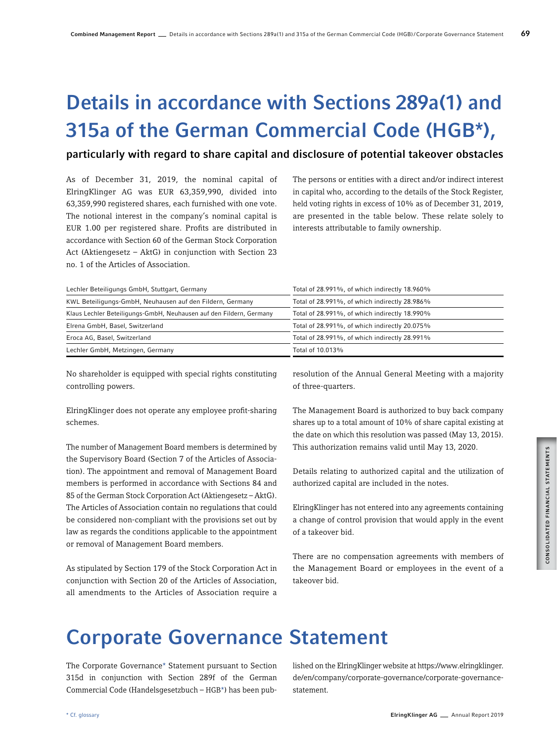# Details in accordance with Sections 289a(1) and 315a of the German Commercial Code (HGB\*),

# particularly with regard to share capital and disclosure of potential takeover obstacles

As of December 31, 2019, the nominal capital of ElringKlinger AG was EUR 63,359,990, divided into 63,359,990 registered shares, each furnished with one vote. The notional interest in the company's nominal capital is EUR 1.00 per registered share. Profits are distributed in accordance with Section 60 of the German Stock Corporation Act (Aktiengesetz – AktG) in conjunction with Section 23 no. 1 of the Articles of Association.

The persons or entities with a direct and/or indirect interest in capital who, according to the details of the Stock Register, held voting rights in excess of 10% as of December 31, 2019, are presented in the table below. These relate solely to interests attributable to family ownership.

| Lechler Beteiligungs GmbH, Stuttgart, Germany                       | Total of 28.991%, of which indirectly 18.960% |  |  |  |
|---------------------------------------------------------------------|-----------------------------------------------|--|--|--|
| KWL Beteiligungs-GmbH, Neuhausen auf den Fildern, Germany           | Total of 28.991%, of which indirectly 28.986% |  |  |  |
| Klaus Lechler Beteiligungs-GmbH, Neuhausen auf den Fildern, Germany | Total of 28.991%, of which indirectly 18.990% |  |  |  |
| Elrena GmbH, Basel, Switzerland                                     | Total of 28.991%, of which indirectly 20.075% |  |  |  |
| Eroca AG, Basel, Switzerland                                        | Total of 28.991%, of which indirectly 28.991% |  |  |  |
| Lechler GmbH, Metzingen, Germany                                    | Total of 10.013%                              |  |  |  |

No shareholder is equipped with special rights constituting controlling powers.

ElringKlinger does not operate any employee profit-sharing schemes.

The number of Management Board members is determined by the Supervisory Board (Section 7 of the Articles of Association). The appointment and removal of Management Board members is performed in accordance with Sections 84 and 85 of the German Stock Corporation Act (Aktiengesetz – AktG). The Articles of Association contain no regulations that could be considered non-compliant with the provisions set out by law as regards the conditions applicable to the appointment or removal of Management Board members.

As stipulated by Section 179 of the Stock Corporation Act in conjunction with Section 20 of the Articles of Association, all amendments to the Articles of Association require a

resolution of the Annual General Meeting with a majority of three-quarters.

The Management Board is authorized to buy back company shares up to a total amount of 10% of share capital existing at the date on which this resolution was passed (May 13, 2015). This authorization remains valid until May 13, 2020.

Details relating to authorized capital and the utilization of authorized capital are included in the notes.

ElringKlinger has not entered into any agreements containing a change of control provision that would apply in the event of a takeover bid.

There are no compensation agreements with members of the Management Board or employees in the event of a takeover bid.

# Corporate Governance Statement

The Corporate Governance\* Statement pursuant to Section 315d in conjunction with Section 289f of the German Commercial Code (Handelsgesetzbuch – HGB\*) has been published on the ElringKlinger website at https://www.elringklinger. de/en/company/corporate-governance/corporate-governancestatement.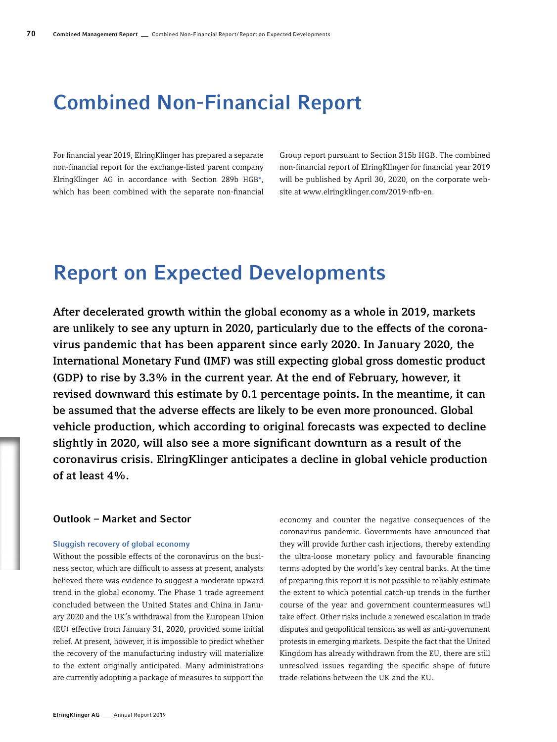# Combined Non-Financial Report

For financial year 2019, ElringKlinger has prepared a separate non-financial report for the exchange-listed parent company ElringKlinger AG in accordance with Section 289b HGB\*, which has been combined with the separate non-financial

Group report pursuant to Section 315b HGB. The combined non-financial report of ElringKlinger for financial year 2019 will be published by April 30, 2020, on the corporate website at www.elringklinger.com/2019-nfb-en.

# Report on Expected Developments

After decelerated growth within the global economy as a whole in 2019, markets are unlikely to see any upturn in 2020, particularly due to the effects of the coronavirus pandemic that has been apparent since early 2020. In January 2020, the International Monetary Fund (IMF) was still expecting global gross domestic product (GDP) to rise by 3.3% in the current year. At the end of February, however, it revised downward this estimate by 0.1 percentage points. In the meantime, it can be assumed that the adverse effects are likely to be even more pronounced. Global vehicle production, which according to original forecasts was expected to decline slightly in 2020, will also see a more significant downturn as a result of the coronavirus crisis. ElringKlinger anticipates a decline in global vehicle production of at least 4%.

# Outlook – Market and Sector

#### Sluggish recovery of global economy

Without the possible effects of the coronavirus on the business sector, which are difficult to assess at present, analysts believed there was evidence to suggest a moderate upward trend in the global economy. The Phase 1 trade agreement concluded between the United States and China in January 2020 and the UK's withdrawal from the European Union (EU) effective from January 31, 2020, provided some initial relief. At present, however, it is impossible to predict whether the recovery of the manufacturing industry will materialize to the extent originally anticipated. Many administrations are currently adopting a package of measures to support the

economy and counter the negative consequences of the coronavirus pandemic. Governments have announced that they will provide further cash injections, thereby extending the ultra-loose monetary policy and favourable financing terms adopted by the world's key central banks. At the time of preparing this report it is not possible to reliably estimate the extent to which potential catch-up trends in the further course of the year and government countermeasures will take effect. Other risks include a renewed escalation in trade disputes and geopolitical tensions as well as anti-government protests in emerging markets. Despite the fact that the United Kingdom has already withdrawn from the EU, there are still unresolved issues regarding the specific shape of future trade relations between the UK and the EU.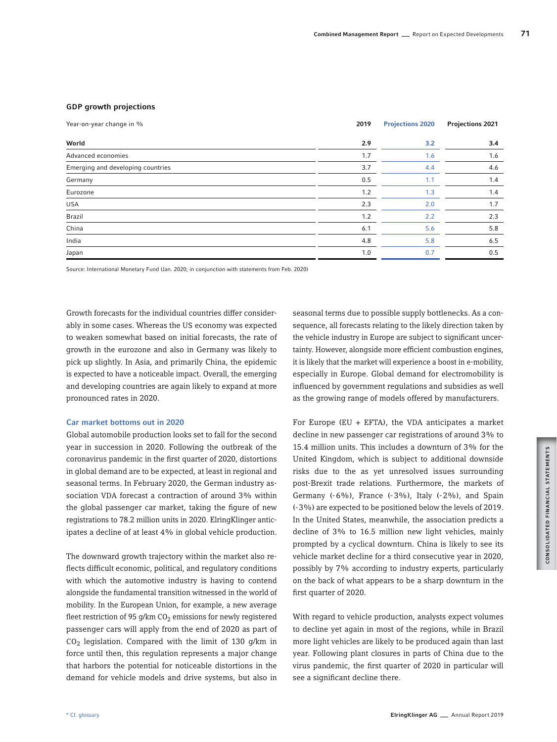## GDP growth projections

| Year-on-year change in %          | 2019 | <b>Projections 2020</b> | <b>Projections 2021</b> |
|-----------------------------------|------|-------------------------|-------------------------|
| World                             | 2.9  | 3.2                     | 3.4                     |
| Advanced economies                | 1.7  | 1.6                     | 1.6                     |
| Emerging and developing countries | 3.7  | 4.4                     | 4.6                     |
| Germany                           | 0.5  | 1.1                     | 1.4                     |
| Eurozone                          | 1.2  | 1.3                     | 1.4                     |
| <b>USA</b>                        | 2.3  | 2.0                     | 1.7                     |
| Brazil                            | 1.2  | 2.2                     | 2.3                     |
| China                             | 6.1  | 5.6                     | 5.8                     |
| India                             | 4.8  | 5.8                     | 6.5                     |
| Japan                             | 1.0  | 0.7                     | 0.5                     |

Source: International Monetary Fund (Jan. 2020; in conjunction with statements from Feb. 2020)

Growth forecasts for the individual countries differ considerably in some cases. Whereas the US economy was expected to weaken somewhat based on initial forecasts, the rate of growth in the eurozone and also in Germany was likely to pick up slightly. In Asia, and primarily China, the epidemic is expected to have a noticeable impact. Overall, the emerging and developing countries are again likely to expand at more pronounced rates in 2020.

#### Car market bottoms out in 2020

Global automobile production looks set to fall for the second year in succession in 2020. Following the outbreak of the coronavirus pandemic in the first quarter of 2020, distortions in global demand are to be expected, at least in regional and seasonal terms. In February 2020, the German industry association VDA forecast a contraction of around 3% within the global passenger car market, taking the figure of new registrations to 78.2 million units in 2020. ElringKlinger anticipates a decline of at least 4% in global vehicle production.

The downward growth trajectory within the market also reflects difficult economic, political, and regulatory conditions with which the automotive industry is having to contend alongside the fundamental transition witnessed in the world of mobility. In the European Union, for example, a new average fleet restriction of 95 g/km  $CO<sub>2</sub>$  emissions for newly registered passenger cars will apply from the end of 2020 as part of  $CO<sub>2</sub>$  legislation. Compared with the limit of 130 g/km in force until then, this regulation represents a major change that harbors the potential for noticeable distortions in the demand for vehicle models and drive systems, but also in

seasonal terms due to possible supply bottlenecks. As a consequence, all forecasts relating to the likely direction taken by the vehicle industry in Europe are subject to significant uncertainty. However, alongside more efficient combustion engines, it is likely that the market will experience a boost in e-mobility, especially in Europe. Global demand for electromobility is influenced by government regulations and subsidies as well as the growing range of models offered by manufacturers.

For Europe (EU + EFTA), the VDA anticipates a market decline in new passenger car registrations of around 3% to 15.4 million units. This includes a downturn of 3% for the United Kingdom, which is subject to additional downside risks due to the as yet unresolved issues surrounding post-Brexit trade relations. Furthermore, the markets of Germany (-6%), France (-3%), Italy (-2%), and Spain (-3%) are expected to be positioned below the levels of 2019. In the United States, meanwhile, the association predicts a decline of 3% to 16.5 million new light vehicles, mainly prompted by a cyclical downturn. China is likely to see its vehicle market decline for a third consecutive year in 2020, possibly by 7% according to industry experts, particularly on the back of what appears to be a sharp downturn in the first quarter of 2020.

With regard to vehicle production, analysts expect volumes to decline yet again in most of the regions, while in Brazil more light vehicles are likely to be produced again than last year. Following plant closures in parts of China due to the virus pandemic, the first quarter of 2020 in particular will see a significant decline there.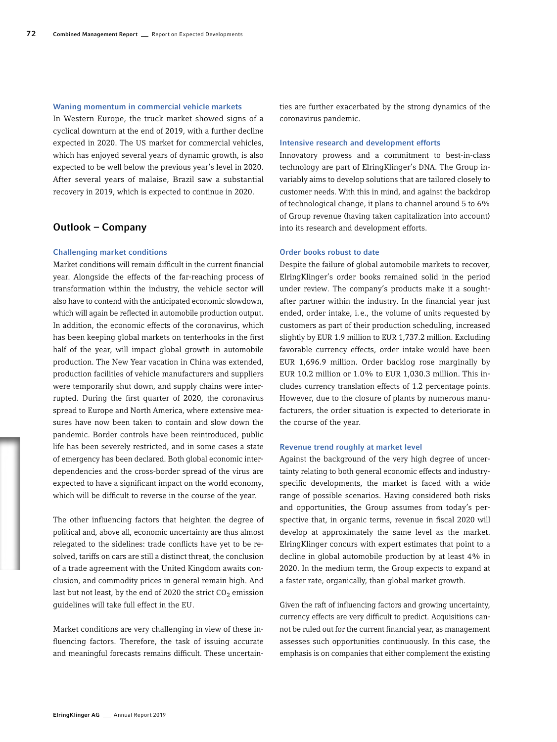#### Waning momentum in commercial vehicle markets

In Western Europe, the truck market showed signs of a cyclical downturn at the end of 2019, with a further decline expected in 2020. The US market for commercial vehicles, which has enjoyed several years of dynamic growth, is also expected to be well below the previous year's level in 2020. After several years of malaise, Brazil saw a substantial recovery in 2019, which is expected to continue in 2020.

# Outlook – Company

# Challenging market conditions

Market conditions will remain difficult in the current financial year. Alongside the effects of the far-reaching process of transformation within the industry, the vehicle sector will also have to contend with the anticipated economic slowdown, which will again be reflected in automobile production output. In addition, the economic effects of the coronavirus, which has been keeping global markets on tenterhooks in the first half of the year, will impact global growth in automobile production. The New Year vacation in China was extended, production facilities of vehicle manufacturers and suppliers were temporarily shut down, and supply chains were interrupted. During the first quarter of 2020, the coronavirus spread to Europe and North America, where extensive measures have now been taken to contain and slow down the pandemic. Border controls have been reintroduced, public life has been severely restricted, and in some cases a state of emergency has been declared. Both global economic interdependencies and the cross-border spread of the virus are expected to have a significant impact on the world economy, which will be difficult to reverse in the course of the year.

The other influencing factors that heighten the degree of political and, above all, economic uncertainty are thus almost relegated to the sidelines: trade conflicts have yet to be resolved, tariffs on cars are still a distinct threat, the conclusion of a trade agreement with the United Kingdom awaits conclusion, and commodity prices in general remain high. And last but not least, by the end of 2020 the strict  $CO<sub>2</sub>$  emission guidelines will take full effect in the EU.

Market conditions are very challenging in view of these influencing factors. Therefore, the task of issuing accurate and meaningful forecasts remains difficult. These uncertainties are further exacerbated by the strong dynamics of the coronavirus pandemic.

#### Intensive research and development efforts

Innovatory prowess and a commitment to best-in-class technology are part of ElringKlinger's DNA. The Group invariably aims to develop solutions that are tailored closely to customer needs. With this in mind, and against the backdrop of technological change, it plans to channel around 5 to 6% of Group revenue (having taken capitalization into account) into its research and development efforts.

# Order books robust to date

Despite the failure of global automobile markets to recover, ElringKlinger's order books remained solid in the period under review. The company's products make it a soughtafter partner within the industry. In the financial year just ended, order intake, i.e., the volume of units requested by customers as part of their production scheduling, increased slightly by EUR 1.9 million to EUR 1,737.2 million. Excluding favorable currency effects, order intake would have been EUR 1,696.9 million. Order backlog rose marginally by EUR 10.2 million or 1.0% to EUR 1,030.3 million. This includes currency translation effects of 1.2 percentage points. However, due to the closure of plants by numerous manufacturers, the order situation is expected to deteriorate in the course of the year.

#### Revenue trend roughly at market level

Against the background of the very high degree of uncertainty relating to both general economic effects and industryspecific developments, the market is faced with a wide range of possible scenarios. Having considered both risks and opportunities, the Group assumes from today's perspective that, in organic terms, revenue in fiscal 2020 will develop at approximately the same level as the market. ElringKlinger concurs with expert estimates that point to a decline in global automobile production by at least 4% in 2020. In the medium term, the Group expects to expand at a faster rate, organically, than global market growth.

Given the raft of influencing factors and growing uncertainty, currency effects are very difficult to predict. Acquisitions cannot be ruled out for the current financial year, as management assesses such opportunities continuously. In this case, the emphasis is on companies that either complement the existing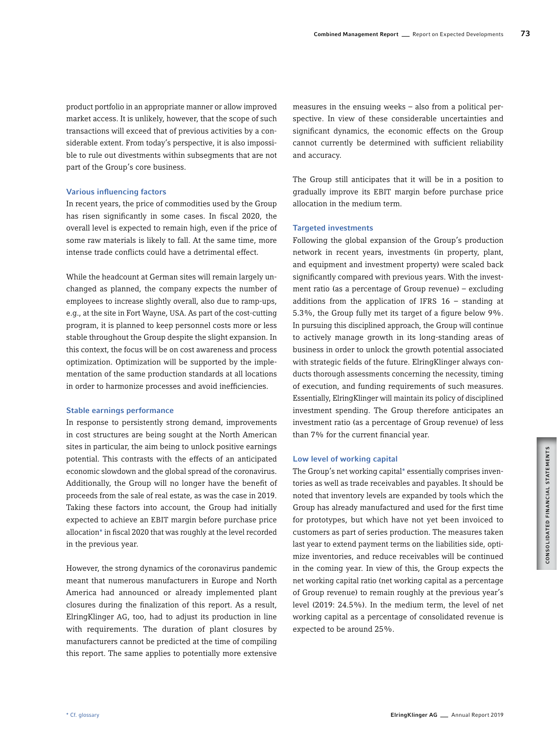product portfolio in an appropriate manner or allow improved market access. It is unlikely, however, that the scope of such transactions will exceed that of previous activities by a considerable extent. From today's perspective, it is also impossible to rule out divestments within subsegments that are not part of the Group's core business.

## Various influencing factors

In recent years, the price of commodities used by the Group has risen significantly in some cases. In fiscal 2020, the overall level is expected to remain high, even if the price of some raw materials is likely to fall. At the same time, more intense trade conflicts could have a detrimental effect.

While the headcount at German sites will remain largely unchanged as planned, the company expects the number of employees to increase slightly overall, also due to ramp-ups, e.g., at the site in Fort Wayne, USA. As part of the cost-cutting program, it is planned to keep personnel costs more or less stable throughout the Group despite the slight expansion. In this context, the focus will be on cost awareness and process optimization. Optimization will be supported by the implementation of the same production standards at all locations in order to harmonize processes and avoid inefficiencies.

# Stable earnings performance

In response to persistently strong demand, improvements in cost structures are being sought at the North American sites in particular, the aim being to unlock positive earnings potential. This contrasts with the effects of an anticipated economic slowdown and the global spread of the coronavirus. Additionally, the Group will no longer have the benefit of proceeds from the sale of real estate, as was the case in 2019. Taking these factors into account, the Group had initially expected to achieve an EBIT margin before purchase price allocation\* in fiscal 2020 that was roughly at the level recorded in the previous year.

However, the strong dynamics of the coronavirus pandemic meant that numerous manufacturers in Europe and North America had announced or already implemented plant closures during the finalization of this report. As a result, ElringKlinger AG, too, had to adjust its production in line with requirements. The duration of plant closures by manufacturers cannot be predicted at the time of compiling this report. The same applies to potentially more extensive measures in the ensuing weeks – also from a political perspective. In view of these considerable uncertainties and significant dynamics, the economic effects on the Group cannot currently be determined with sufficient reliability and accuracy.

The Group still anticipates that it will be in a position to gradually improve its EBIT margin before purchase price allocation in the medium term.

# Targeted investments

Following the global expansion of the Group's production network in recent years, investments (in property, plant, and equipment and investment property) were scaled back significantly compared with previous years. With the investment ratio (as a percentage of Group revenue) – excluding additions from the application of IFRS  $16 -$  standing at 5.3%, the Group fully met its target of a figure below 9%. In pursuing this disciplined approach, the Group will continue to actively manage growth in its long-standing areas of business in order to unlock the growth potential associated with strategic fields of the future. ElringKlinger always conducts thorough assessments concerning the necessity, timing of execution, and funding requirements of such measures. Essentially, ElringKlinger will maintain its policy of disciplined investment spending. The Group therefore anticipates an investment ratio (as a percentage of Group revenue) of less than 7% for the current financial year.

#### Low level of working capital

The Group's net working capital\* essentially comprises inventories as well as trade receivables and payables. It should be noted that inventory levels are expanded by tools which the Group has already manufactured and used for the first time for prototypes, but which have not yet been invoiced to customers as part of series production. The measures taken last year to extend payment terms on the liabilities side, optimize inventories, and reduce receivables will be continued in the coming year. In view of this, the Group expects the net working capital ratio (net working capital as a percentage of Group revenue) to remain roughly at the previous year's level (2019: 24.5%). In the medium term, the level of net working capital as a percentage of consolidated revenue is expected to be around 25%.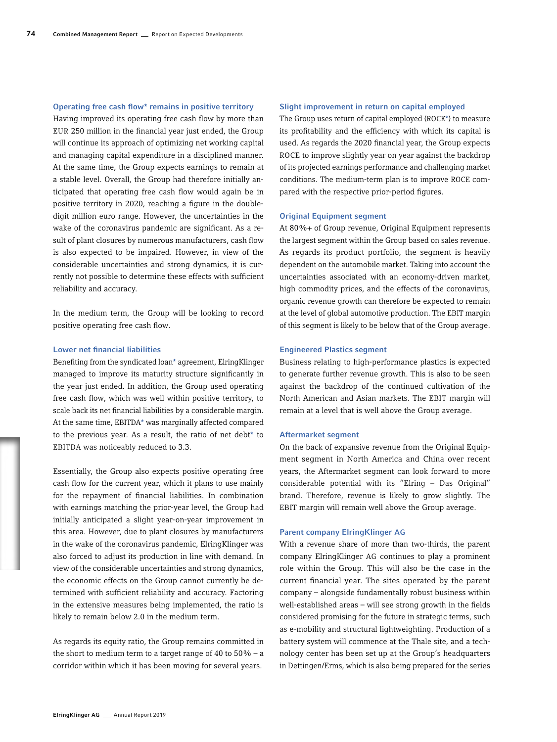# Operating free cash flow\* remains in positive territory

Having improved its operating free cash flow by more than EUR 250 million in the financial year just ended, the Group will continue its approach of optimizing net working capital and managing capital expenditure in a disciplined manner. At the same time, the Group expects earnings to remain at a stable level. Overall, the Group had therefore initially anticipated that operating free cash flow would again be in positive territory in 2020, reaching a figure in the doubledigit million euro range. However, the uncertainties in the wake of the coronavirus pandemic are significant. As a result of plant closures by numerous manufacturers, cash flow is also expected to be impaired. However, in view of the considerable uncertainties and strong dynamics, it is currently not possible to determine these effects with sufficient reliability and accuracy.

In the medium term, the Group will be looking to record positive operating free cash flow.

# Lower net financial liabilities

Benefiting from the syndicated loan\* agreement, ElringKlinger managed to improve its maturity structure significantly in the year just ended. In addition, the Group used operating free cash flow, which was well within positive territory, to scale back its net financial liabilities by a considerable margin. At the same time, EBITDA\* was marginally affected compared to the previous year. As a result, the ratio of net debt\* to EBITDA was noticeably reduced to 3.3.

Essentially, the Group also expects positive operating free cash flow for the current year, which it plans to use mainly for the repayment of financial liabilities. In combination with earnings matching the prior-year level, the Group had initially anticipated a slight year-on-year improvement in this area. However, due to plant closures by manufacturers in the wake of the coronavirus pandemic, ElringKlinger was also forced to adjust its production in line with demand. In view of the considerable uncertainties and strong dynamics, the economic effects on the Group cannot currently be determined with sufficient reliability and accuracy. Factoring in the extensive measures being implemented, the ratio is likely to remain below 2.0 in the medium term.

As regards its equity ratio, the Group remains committed in the short to medium term to a target range of 40 to  $50\%$  – a corridor within which it has been moving for several years.

#### Slight improvement in return on capital employed

The Group uses return of capital employed (ROCE\*) to measure its profitability and the efficiency with which its capital is used. As regards the 2020 financial year, the Group expects ROCE to improve slightly year on year against the backdrop of its projected earnings performance and challenging market conditions. The medium-term plan is to improve ROCE compared with the respective prior-period figures.

# Original Equipment segment

At 80%+ of Group revenue, Original Equipment represents the largest segment within the Group based on sales revenue. As regards its product portfolio, the segment is heavily dependent on the automobile market. Taking into account the uncertainties associated with an economy-driven market, high commodity prices, and the effects of the coronavirus, organic revenue growth can therefore be expected to remain at the level of global automotive production. The EBIT margin of this segment is likely to be below that of the Group average.

# Engineered Plastics segment

Business relating to high-performance plastics is expected to generate further revenue growth. This is also to be seen against the backdrop of the continued cultivation of the North American and Asian markets. The EBIT margin will remain at a level that is well above the Group average.

#### Aftermarket segment

On the back of expansive revenue from the Original Equipment segment in North America and China over recent years, the Aftermarket segment can look forward to more considerable potential with its "Elring – Das Original" brand. Therefore, revenue is likely to grow slightly. The EBIT margin will remain well above the Group average.

# Parent company ElringKlinger AG

With a revenue share of more than two-thirds, the parent company ElringKlinger AG continues to play a prominent role within the Group. This will also be the case in the current financial year. The sites operated by the parent company – alongside fundamentally robust business within well-established areas – will see strong growth in the fields considered promising for the future in strategic terms, such as e-mobility and structural lightweighting. Production of a battery system will commence at the Thale site, and a technology center has been set up at the Group's headquarters in Dettingen/Erms, which is also being prepared for the series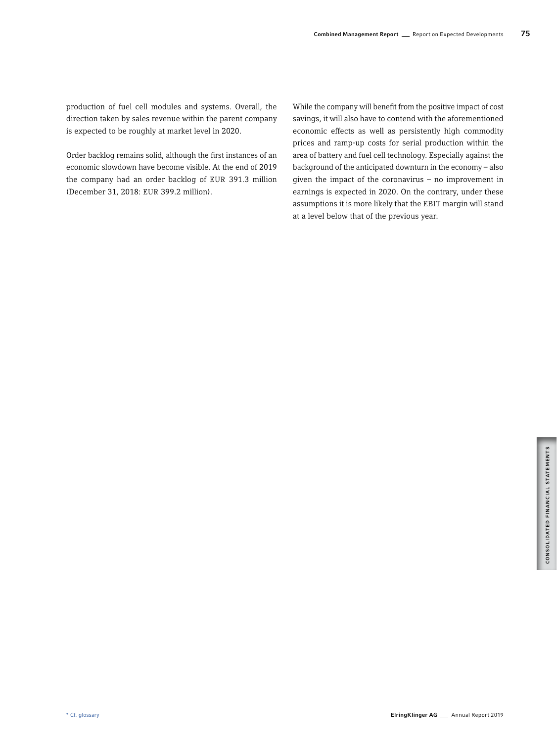production of fuel cell modules and systems. Overall, the direction taken by sales revenue within the parent company is expected to be roughly at market level in 2020.

Order backlog remains solid, although the first instances of an economic slowdown have become visible. At the end of 2019 the company had an order backlog of EUR 391.3 million (December 31, 2018: EUR 399.2 million).

While the company will benefit from the positive impact of cost savings, it will also have to contend with the aforementioned economic effects as well as persistently high commodity prices and ramp-up costs for serial production within the area of battery and fuel cell technology. Especially against the background of the anticipated downturn in the economy – also given the impact of the coronavirus – no improvement in earnings is expected in 2020. On the contrary, under these assumptions it is more likely that the EBIT margin will stand at a level below that of the previous year.